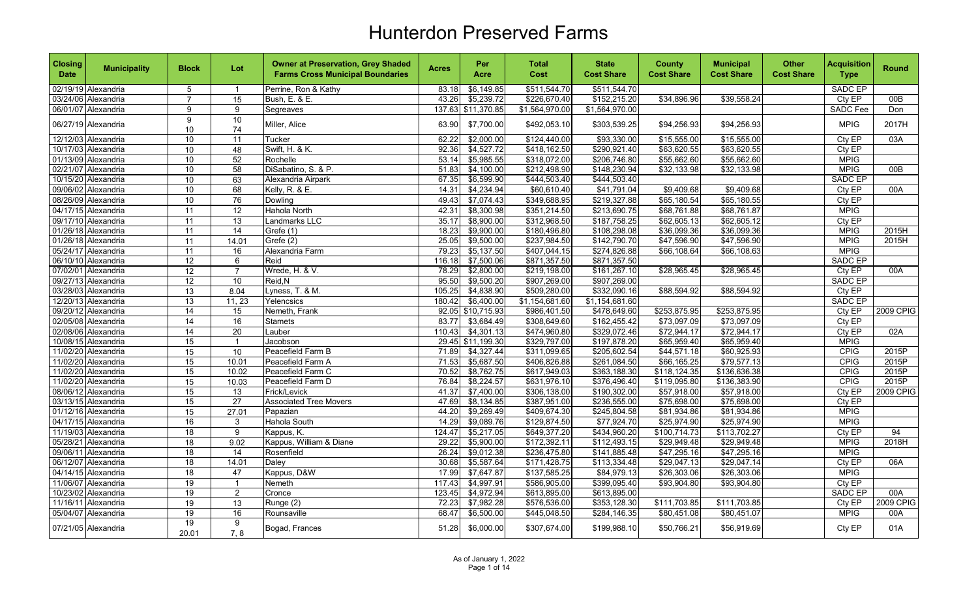| <b>Closing</b><br><b>Date</b> | <b>Municipality</b> | <b>Block</b>         | Lot                    | <b>Owner at Preservation, Grey Shaded</b><br><b>Farms Cross Municipal Boundaries</b> | <b>Acres</b> | Per<br>Acre | <b>Total</b><br>Cost | <b>State</b><br><b>Cost Share</b> | <b>County</b><br><b>Cost Share</b> | <b>Municipal</b><br><b>Cost Share</b> | <b>Other</b><br><b>Cost Share</b> | <b>Acquisition</b><br><b>Type</b> | <b>Round</b>     |
|-------------------------------|---------------------|----------------------|------------------------|--------------------------------------------------------------------------------------|--------------|-------------|----------------------|-----------------------------------|------------------------------------|---------------------------------------|-----------------------------------|-----------------------------------|------------------|
|                               | 02/19/19 Alexandria | 5                    | $\overline{1}$         | Perrine, Ron & Kathy                                                                 | 83.18        | \$6,149.85  | \$511,544.70         | \$511,544.70                      |                                    |                                       |                                   | SADC EP                           |                  |
|                               | 03/24/06 Alexandria | $\overline{7}$       | $\overline{15}$        | Bush, E. & E.                                                                        | 43.26        | \$5,239.72  | \$226,670.40         | \$152,215.20                      | \$34,896.96                        | \$39,558.24                           |                                   | Cty EP                            | 00B              |
|                               | 06/01/07 Alexandria | $\overline{9}$       | 9                      | Segreaves                                                                            | 137.63       | \$11,370.85 | \$1,564,970.00       | \$1,564,970.00                    |                                    |                                       |                                   | <b>SADC Fee</b>                   | Don              |
|                               | 06/27/19 Alexandria | 9<br>10 <sup>1</sup> | 10<br>74               | Miller, Alice                                                                        | 63.90        | \$7,700.00  | \$492,053.10         | \$303,539.25                      | \$94,256.93                        | \$94,256.93                           |                                   | <b>MPIG</b>                       | 2017H            |
|                               | 12/12/03 Alexandria | 10                   | 11                     | Tucker                                                                               | 62.22        | \$2,000.00  | \$124,440.00         | \$93,330.00                       | \$15,555.00                        | \$15,555.00                           |                                   | Cty EP                            | 03A              |
|                               | 10/17/03 Alexandria | 10                   | 48                     | Swift, H. & K.                                                                       | 92.36        | \$4,527.72  | \$418,162.50         | \$290,921.40                      | \$63,620.55                        | \$63,620.55                           |                                   | Cty EP                            |                  |
|                               | 01/13/09 Alexandria | $\overline{10}$      | 52                     | Rochelle                                                                             | 53.14        | \$5,985.55  | \$318,072.00         | \$206,746.80                      | \$55,662.60                        | \$55,662.60                           |                                   | <b>MPIG</b>                       |                  |
|                               | 02/21/07 Alexandria | 10                   | 58                     | DiSabatino, S. & P.                                                                  | 51.83        | \$4,100.00  | \$212,498.90         | \$148,230.94                      | \$32,133.98                        | \$32,133.98                           |                                   | <b>MPIG</b>                       | 00B              |
|                               | 10/15/20 Alexandria | 10                   | 63                     | Alexandria Airpark                                                                   | 67.35        | \$6,599.90  | \$444,503.40         | \$444,503.40                      |                                    |                                       |                                   | <b>SADC EP</b>                    |                  |
|                               | 09/06/02 Alexandria | 10                   | 68                     | Kelly, R. & E.                                                                       | 14.31        | \$4,234.94  | \$60,610.40          | \$41,791.04                       | \$9,409.68                         | \$9,409.68                            |                                   | Cty EP                            | 00A              |
|                               | 08/26/09 Alexandria | 10                   | $\overline{76}$        | Dowling                                                                              | 49.43        | \$7,074.43  | \$349,688.95         | \$219,327.88                      | \$65,180.54                        | \$65,180.55                           |                                   | CtyEP                             |                  |
|                               | 04/17/15 Alexandria | $\overline{11}$      | $\overline{12}$        | Hahola North                                                                         | 42.31        | \$8,300.98  | \$351,214.50         | \$213,690.75                      | \$68,761.88                        | \$68,761.87                           |                                   | <b>MPIG</b>                       |                  |
|                               | 09/17/10 Alexandria | 11                   | 13                     | Landmarks LLC                                                                        | 35.17        | \$8,900.00  | \$312,968.50         | \$187,758.25                      | \$62,605.13                        | \$62,605.12                           |                                   | Cty EP                            |                  |
|                               | 01/26/18 Alexandria | 11                   | 14                     | Grefe(1)                                                                             | 18.23        | \$9,900.00  | \$180,496.80         | \$108,298.08                      | \$36,099.36                        | \$36,099.36                           |                                   | <b>MPIG</b>                       | 2015H            |
|                               | 01/26/18 Alexandria | 11                   | 14.01                  | Grefe (2)                                                                            | 25.05        | \$9,500.00  | \$237,984.50         | \$142,790.70                      | \$47,596.90                        | \$47,596.90                           |                                   | <b>MPIG</b>                       | 2015H            |
|                               | 05/24/17 Alexandria | 11                   | 16                     | Alexandria Farm                                                                      | 79.23        | \$5,137.50  | \$407,044.15         | \$274,826.88                      | \$66,108.64                        | \$66,108.63                           |                                   | <b>MPIG</b>                       |                  |
|                               | 06/10/10 Alexandria | $\overline{12}$      | 6                      | Reid                                                                                 | 116.18       | \$7,500.06  | \$871,357.50         | \$871,357.50                      |                                    |                                       |                                   | <b>SADC EP</b>                    |                  |
|                               | 07/02/01 Alexandria | $\overline{12}$      | $\overline{7}$         | Wrede, H. & V.                                                                       | 78.29        | \$2,800.00  | \$219,198.00         | \$161,267.10                      | \$28,965.45                        | \$28,965.45                           |                                   | Cty EP                            | 00A              |
|                               | 09/27/13 Alexandria | $\overline{12}$      | 10                     | Reid.N                                                                               | 95.50        | \$9,500.20  | \$907,269.00         | \$907,269.00                      |                                    |                                       |                                   | SADC EP                           |                  |
|                               | 03/28/03 Alexandria | 13                   | 8.04                   | Lyness, T. & M.                                                                      | 105.25       | \$4,838.90  | \$509,280.00         | \$332,090.16                      | \$88,594.92                        | \$88,594.92                           |                                   | Cty EP                            |                  |
|                               | 12/20/13 Alexandria | 13                   | 11, 23                 | Yelencsics                                                                           | 180.42       | \$6,400.00  | \$1,154,681.60       | \$1,154,681.60                    |                                    |                                       |                                   | <b>SADC EP</b>                    |                  |
|                               | 09/20/12 Alexandria | $\overline{14}$      | 15                     | Nemeth, Frank                                                                        | 92.05        | \$10,715.93 | \$986,401.50         | \$478,649.60                      | \$253,875.95                       | \$253,875.95                          |                                   | Cty EP                            | <b>2009 CPIG</b> |
|                               | 02/05/08 Alexandria | 14                   | 16                     | <b>Stamets</b>                                                                       | 83.77        | \$3,684.49  | \$308,649.60         | \$162,455.42                      | \$73,097.09                        | \$73,097.09                           |                                   | Cty EP                            |                  |
|                               | 02/08/06 Alexandria | 14                   | 20                     | Lauber                                                                               | 110.43       | \$4,301.13  | \$474,960.80         | \$329,072.46                      | \$72,944.17                        | \$72,944.17                           |                                   | Cty EP                            | 02A              |
|                               | 10/08/15 Alexandria | 15                   | $\mathbf 1$            | Jacobson                                                                             | 29.45        | \$11,199.30 | \$329,797.00         | \$197,878.20                      | \$65,959.40                        | \$65,959.40                           |                                   | <b>MPIG</b>                       |                  |
|                               | 11/02/20 Alexandria | 15                   | 10                     | Peacefield Farm B                                                                    | 71.89        | \$4,327.44  | \$311,099.65         | \$205,602.54                      | \$44,571.18                        | \$60,925.93                           |                                   | <b>CPIG</b>                       | 2015P            |
|                               | 11/02/20 Alexandria | 15                   | 10.01                  | Peacefield Farm A                                                                    | 71.53        | \$5,687.50  | \$406,826.88         | \$261,084.50                      | \$66,165.25                        | \$79,577.13                           |                                   | CPIG                              | 2015P            |
|                               | 11/02/20 Alexandria | $\overline{15}$      | 10.02                  | Peacefield Farm C                                                                    | 70.52        | \$8,762.75  | \$617,949.03         | \$363,188.30                      | \$118,124.35                       | \$136,636.38                          |                                   | <b>CPIG</b>                       | 2015P            |
|                               | 11/02/20 Alexandria | 15                   | 10.03                  | Peacefield Farm D                                                                    | 76.84        | \$8,224.57  | \$631,976.10         | \$376.496.40                      | \$119,095.80                       | \$136,383.90                          |                                   | <b>CPIG</b>                       | 2015P            |
|                               | 08/06/12 Alexandria | $\overline{15}$      | 13                     | Frick/Levick                                                                         | 41.37        | \$7,400.00  | \$306,138.00         | \$190,302.00                      | \$57,918.00                        | \$57,918.00                           |                                   | Cty EP                            | <b>2009 CPIG</b> |
|                               | 03/13/15 Alexandria | 15                   | $\overline{27}$        | <b>Associated Tree Movers</b>                                                        | 47.69        | \$8,134.85  | \$387,951.00         | \$236,555.00                      | \$75,698.00                        | \$75,698.00                           |                                   | CtyEP                             |                  |
|                               | 01/12/16 Alexandria | 15                   | 27.01                  | Papazian                                                                             | 44.20        | \$9,269.49  | \$409,674.30         | \$245,804.58                      | \$81,934.86                        | \$81,934.86                           |                                   | <b>MPIG</b>                       |                  |
|                               | 04/17/15 Alexandria | 16                   | 3                      | Hahola South                                                                         | 14.29        | \$9,089.76  | \$129,874.50         | \$77,924.70                       | \$25,974.90                        | \$25,974.90                           |                                   | <b>MPIG</b>                       |                  |
|                               | 11/19/03 Alexandria | 18                   | 9                      | Kappus, K.                                                                           | 124.47       | \$5,217.05  | \$649,377.20         | \$434,960.20                      | \$100.714.73                       | \$113,702.27                          |                                   | Cty EP                            | 94               |
|                               | 05/28/21 Alexandria | $\overline{18}$      | 9.02                   | Kappus, William & Diane                                                              | 29.22        | \$5,900.00  | \$172,392.11         | \$112,493.15                      | \$29,949.48                        | \$29,949.48                           |                                   | <b>MPIG</b>                       | 2018H            |
|                               | 09/06/11 Alexandria | 18                   | 14                     | Rosenfield                                                                           | 26.24        | \$9,012.38  | \$236,475.80         | $\overline{$141,885.48}$          | \$47,295.16                        | \$47,295.16                           |                                   | <b>MPIG</b>                       |                  |
|                               | 06/12/07 Alexandria | 18                   | 14.01                  | Daley                                                                                | 30.68        | \$5,587.64  | \$171,428.75         | \$113,334.48                      | \$29,047.13                        | \$29,047.14                           |                                   | Cty EP                            | 06A              |
|                               | 04/14/15 Alexandria | $\overline{18}$      | 47                     | Kappus, D&W                                                                          | 17.99        | \$7,647.87  | \$137,585.25         | \$84,979.13                       | \$26,303.06                        | \$26,303.06                           |                                   | <b>MPIG</b>                       |                  |
|                               | 11/06/07 Alexandria | 19                   | $\mathbf{1}$           | Nemeth                                                                               | 117.43       | \$4,997.91  | \$586,905.00         | \$399,095.40                      | \$93,904.80                        | \$93,904.80                           |                                   | Cty EP                            |                  |
|                               | 10/23/02 Alexandria | 19                   | $\overline{2}$         | Cronce                                                                               | 123.45       | \$4,972.94  | \$613,895.00         | \$613,895.00                      |                                    |                                       |                                   | <b>SADC EP</b>                    | 00A              |
|                               | 11/16/11 Alexandria | 19                   | 13                     | Runge (2)                                                                            | 72.23        | \$7,982.28  | \$576,536.00         | \$353,128.30                      | \$111,703.85                       | \$111,703.85                          |                                   | Cty EP                            | 2009 CPIG        |
|                               | 05/04/07 Alexandria | 19                   | 16                     | Rounsaville                                                                          | 68.47        | \$6,500.00  | \$445,048.50         | \$284,146.35                      | \$80,451.08                        | \$80,451.07                           |                                   | <b>MPIG</b>                       | 00A              |
|                               | 07/21/05 Alexandria | 19<br>20.01          | $\overline{9}$<br>7, 8 | Bogad, Frances                                                                       | 51.28        | \$6,000.00  | \$307,674.00         | \$199,988.10                      | \$50,766.21                        | \$56,919.69                           |                                   | Cty EP                            | 01A              |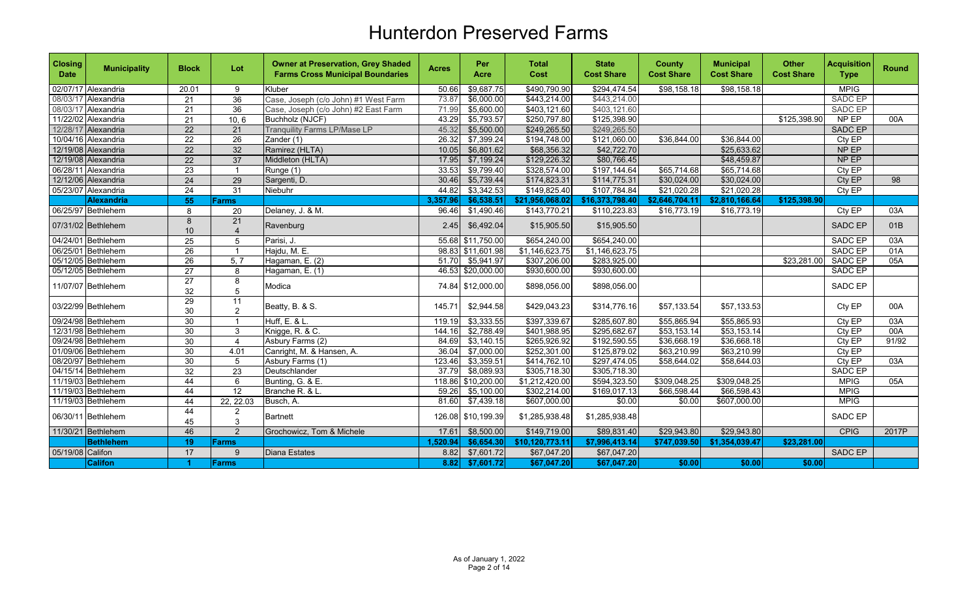| <b>Closing</b><br><b>Date</b> | <b>Municipality</b> | <b>Block</b>          | Lot                  | <b>Owner at Preservation, Grey Shaded</b><br><b>Farms Cross Municipal Boundaries</b> | <b>Acres</b> | Per<br>Acre        | <b>Total</b><br>Cost | <b>State</b><br><b>Cost Share</b> | <b>County</b><br><b>Cost Share</b> | <b>Municipal</b><br><b>Cost Share</b> | <b>Other</b><br><b>Cost Share</b> | <b>Acquisition</b><br><b>Type</b> | <b>Round</b>    |
|-------------------------------|---------------------|-----------------------|----------------------|--------------------------------------------------------------------------------------|--------------|--------------------|----------------------|-----------------------------------|------------------------------------|---------------------------------------|-----------------------------------|-----------------------------------|-----------------|
|                               | 02/07/17 Alexandria | 20.01                 | 9                    | Kluber                                                                               | 50.66        | \$9,687.75         | \$490,790.90         | \$294,474.54                      | \$98,158.18                        | \$98,158.18                           |                                   | <b>MPIG</b>                       |                 |
|                               | 08/03/17 Alexandria | 21                    | $\overline{36}$      | Case, Joseph (c/o John) #1 West Farm                                                 | 73.87        | \$6,000.00         | \$443,214.00         | \$443,214.00                      |                                    |                                       |                                   | <b>SADC EP</b>                    |                 |
|                               | 08/03/17 Alexandria | 21                    | 36                   | Case, Joseph (c/o John) #2 East Farm                                                 | 71.99        | \$5,600.00         | \$403,121.60         | \$403,121.60                      |                                    |                                       |                                   | SADC EP                           |                 |
|                               | 11/22/02 Alexandria | 21                    | 10, 6                | Buchholz (NJCF)                                                                      | 43.29        | \$5,793.57         | \$250,797.80         | \$125,398.90                      |                                    |                                       | \$125,398.90                      | NP EP                             | 00A             |
|                               | 12/28/17 Alexandria | $\overline{22}$       | 21                   | <b>Tranquility Farms LP/Mase LP</b>                                                  | 45.32        | \$5,500.00         | \$249,265.50         | \$249,265.50                      |                                    |                                       |                                   | <b>SADC EP</b>                    |                 |
|                               | 10/04/16 Alexandria | $\overline{22}$       | $\overline{26}$      | Zander (1)                                                                           | 26.32        | \$7,399.24         | \$194,748.00         | \$121,060.00                      | \$36,844.00                        | \$36,844.00                           |                                   | Cty EP                            |                 |
|                               | 12/19/08 Alexandria | $\overline{22}$       | 32                   | Ramirez (HLTA)                                                                       | 10.05        | \$6,801.62         | \$68,356.32          | \$42,722.70                       |                                    | \$25,633.62                           |                                   | NP EP                             |                 |
|                               | 12/19/08 Alexandria | 22                    | $\overline{37}$      | Middleton (HLTA)                                                                     | 17.95        | \$7,199.24         | \$129,226.32         | \$80,766.45                       |                                    | \$48,459.87                           |                                   | NP EP                             |                 |
|                               | 06/28/11 Alexandria | 23                    | $\overline{1}$       | Runge (1)                                                                            | 33.53        | \$9,799.40         | \$328,574.00         | \$197,144.64                      | \$65,714.68                        | \$65,714.68                           |                                   | Cty EP                            |                 |
|                               | 12/12/06 Alexandria | 24                    | 29                   | Sargenti, D.                                                                         | 30.46        | \$5,739.44         | \$174,823.31         | \$114,775.31                      | \$30,024.00                        | \$30,024.00                           |                                   | Cty EP                            | $\overline{98}$ |
|                               | 05/23/07 Alexandria | $\overline{24}$       | 31                   | Niebuhr                                                                              | 44.82        | \$3,342.53         | \$149,825.40         | \$107,784.84                      | \$21,020.28                        | \$21,020.28                           |                                   | Cty EP                            |                 |
|                               | <b>Alexandria</b>   | 55                    | Farms                |                                                                                      | 3,357.96     | \$6,538.51         | \$21,956,068.02      | \$16,373,798.40                   | \$2,646,704.11                     | \$2,810,166.64                        | \$125,398.90                      |                                   |                 |
|                               | 06/25/97 Bethlehem  | 8                     | 20                   | Delaney, J. & M.                                                                     | 96.46        | \$1,490.46         | \$143,770.21         | \$110,223.83                      | \$16,773.19                        | \$16,773.19                           |                                   | Cty EP                            | 03A             |
|                               | 07/31/02 Bethlehem  | 8<br>10               | 21<br>$\overline{4}$ | Ravenburg                                                                            | 2.45         | \$6,492.04         | \$15,905.50          | \$15,905.50                       |                                    |                                       |                                   | <b>SADC EP</b>                    | 01B             |
|                               | 04/24/01 Bethlehem  | 25                    | 5                    | Parisi, J.                                                                           |              | 55.68 \$11,750.00  | \$654,240.00         | \$654,240.00                      |                                    |                                       |                                   | <b>SADC EP</b>                    | 03A             |
|                               | 06/25/01 Bethlehem  | 26                    | $\overline{1}$       | Hajdu, M. E.                                                                         |              | 98.83 \$11,601.98  | \$1,146,623.75       | \$1,146,623.75                    |                                    |                                       |                                   | SADC EP                           | 01A             |
|                               | 05/12/05 Bethlehem  | 26                    | 5, 7                 | Hagaman, E. (2)                                                                      | 51.70        | \$5,941.97         | \$307,206.00         | \$283,925.00                      |                                    |                                       | \$23,281.00                       | <b>SADC EP</b>                    | 05A             |
|                               | 05/12/05 Bethlehem  | 27                    | 8                    | Hagaman, E. (1)                                                                      |              | 46.53 \$20,000.00  | \$930,600.00         | \$930,600.00                      |                                    |                                       |                                   | SADC EP                           |                 |
|                               | 11/07/07 Bethlehem  | $\overline{27}$<br>32 | 8<br>5               | Modica                                                                               |              | 74.84 \$12,000.00  | \$898,056.00         | \$898,056.00                      |                                    |                                       |                                   | SADC EP                           |                 |
|                               | 03/22/99 Bethlehem  | $\overline{29}$<br>30 | 11<br>$\overline{2}$ | Beatty, B. & S.                                                                      | 145.71       | \$2,944.58         | \$429,043.23         | \$314,776.16                      | \$57,133.54                        | \$57,133.53                           |                                   | Cty EP                            | 00A             |
|                               | 09/24/98 Bethlehem  | 30                    | $\overline{1}$       | Huff, E. & L.                                                                        | 119.19       | \$3,333.55         | \$397,339.67         | \$285,607.80                      | \$55,865.94                        | \$55,865.93                           |                                   | CtyEP                             | 03A             |
|                               | 12/31/98 Bethlehem  | 30                    | 3                    | Knigge, R. & C.                                                                      | 144.16       | \$2,788.49         | \$401,988.95         | \$295,682.67                      | \$53,153.14                        | \$53,153.14                           |                                   | $City$ $EP$                       | 00A             |
|                               | 09/24/98 Bethlehem  | 30                    | $\overline{4}$       | Asbury Farms (2)                                                                     | 84.69        | \$3,140.15         | \$265,926.92         | \$192,590.55                      | \$36,668.19                        | \$36,668.18                           |                                   | Cty EP                            | 91/92           |
|                               | 01/09/06 Bethlehem  | $\overline{30}$       | 4.01                 | Canright, M. & Hansen, A.                                                            | 36.04        | \$7,000.00         | \$252,301.00         | \$125,879.02                      | \$63,210.99                        | \$63,210.99                           |                                   | Cty EP                            |                 |
|                               | 08/20/97 Bethlehem  | 30                    | 5                    | Asbury Farms (1)                                                                     | 123.46       | \$3,359.51         | \$414,762.10         | \$297,474.05                      | \$58,644.02                        | \$58,644.03                           |                                   | $Cty E\overline{P}$               | 03A             |
|                               | 04/15/14 Bethlehem  | 32                    | $\overline{23}$      | Deutschlander                                                                        | 37.79        | \$8,089.93         | \$305,718.30         | \$305,718.30                      |                                    |                                       |                                   | SADC EP                           |                 |
|                               | 11/19/03 Bethlehem  | 44                    | 6                    | Bunting, G. & E.                                                                     | 118.86       | \$10,200.00        | \$1,212,420.00       | \$594,323.50                      | \$309,048.25                       | \$309,048.25                          |                                   | <b>MPIG</b>                       | 05A             |
|                               | 11/19/03 Bethlehem  | 44                    | 12                   | Branche R. & L.                                                                      | 59.26        | \$5,100.00         | \$302,214.00         | \$169,017.13                      | \$66,598.44                        | \$66,598.43                           |                                   | <b>MPIG</b>                       |                 |
|                               | 11/19/03 Bethlehem  | 44                    | 22, 22.03            | Busch, A.                                                                            | 81.60        | \$7,439.18         | \$607,000.00         | \$0.00                            | \$0.00                             | \$607,000.00                          |                                   | <b>MPIG</b>                       |                 |
|                               | 06/30/11 Bethlehem  | $\overline{44}$<br>45 | $\overline{c}$<br>3  | <b>Bartnett</b>                                                                      |              | 126.08 \$10.199.39 | \$1,285,938.48       | \$1,285,938.48                    |                                    |                                       |                                   | SADC EP                           |                 |
|                               | 11/30/21 Bethlehem  | 46                    | 2                    | Grochowicz, Tom & Michele                                                            | 17.61        | \$8,500.00         | \$149,719.00         | \$89,831.40                       | \$29,943.80                        | \$29,943.80                           |                                   | <b>CPIG</b>                       | 2017P           |
|                               | <b>Bethlehem</b>    | 19                    | Farms                |                                                                                      | 1.520.94     | \$6,654.30         | \$10,120,773.11      | \$7,996,413.14                    | \$747,039.50                       | \$1,354,039.47                        | \$23,281.00                       |                                   |                 |
| 05/19/08 Califon              |                     | 17                    | 9                    | <b>Diana Estates</b>                                                                 | 8.82         | \$7,601.72         | \$67,047.20          | \$67,047.20                       |                                    |                                       |                                   | SADC EP                           |                 |
|                               | <b>Califon</b>      | -1                    | Farms                |                                                                                      | 8.82         | \$7,601.72         | \$67,047.20          | \$67,047.20                       | \$0.00                             | \$0.00                                | \$0.00                            |                                   |                 |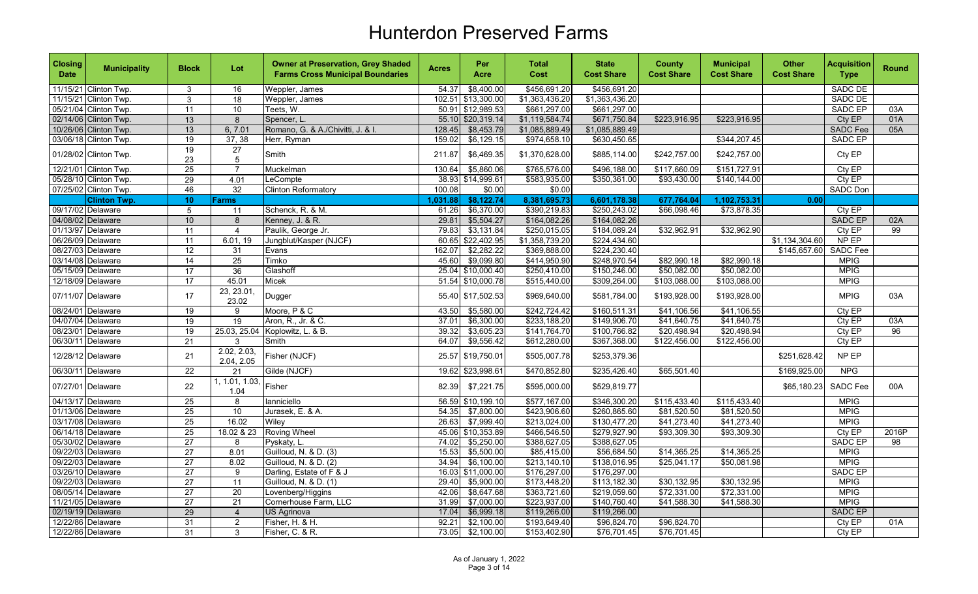| 11/15/21 Clinton Twp.<br>\$456,691.20<br><b>SADC DE</b><br>54.37<br>\$8,400.00<br>\$456,691.20<br>$\mathbf{3}$<br>Weppler, James<br>16<br>102.51<br>\$13,300.00<br>\$1,363,436.20<br>\$1,363,436.20<br><b>SADC DE</b><br>11/15/21 Clinton Twp.<br>$\mathbf{3}$<br>Weppler, James<br>18<br>$\overline{11}$<br>\$12,989.53<br>\$661,297.00<br>\$661,297.00<br><b>SADC EP</b><br>03A<br>05/21/04 Clinton Twp.<br>10<br>Teets, W.<br>50.91<br>13<br>\$1,119,584.74<br>\$671,750.84<br>01A<br>02/14/06 Clinton Twp.<br>8<br>55.10<br>\$20,319.14<br>\$223,916.95<br>\$223,916.95<br>Cty EP<br>Spencer, L<br>13<br>\$1,085,889.49<br>\$1,085,889.49<br><b>SADC</b> Fee<br>05A<br>10/26/06 Clinton Twp.<br>6, 7.01<br>Romano, G. & A./Chivitti, J. & I.<br>128.45<br>\$8,453.79<br>19<br>\$344,207.45<br>SADC EP<br>03/06/18 Clinton Twp.<br>37, 38<br>Herr, Ryman<br>159.02<br>\$6,129.15<br>\$974,658.10<br>\$630,450.65<br>$\overline{19}$<br>27<br>01/28/02 Clinton Twp.<br>Smith<br>\$6,469.35<br>\$1,370,628.00<br>\$885,114.00<br>\$242,757.00<br>\$242,757.00<br>Cty EP<br>211.87<br>23<br>5<br>$\overline{25}$<br>12/21/01 Clinton Twp.<br>$\overline{7}$<br>130.64<br>\$5,860.06<br>\$765,576.00<br>\$496,188.00<br>\$117,660.09<br>\$151,727.91<br>Cty EP<br>Muckelman<br>Cty EP<br>05/28/10 Clinton Twp.<br>$\overline{29}$<br>LeCompte<br>38.93 \$14,999.61<br>\$583,935.00<br>\$350,361.00<br>\$93,430.00<br>\$140,144.00<br>4.01<br>32<br>07/25/02 Clinton Twp.<br>46<br>\$0.00<br>\$0.00<br><b>Clinton Reformatory</b><br>100.08<br>SADC Don<br>\$8,122.74<br>8,381,695.73<br>6,601,178.38<br>677,764.04<br>1,102,753.31<br><b>Clinton Twp.</b><br>10<br>1,031.88<br>0.00<br><b>Farms</b><br>09/17/02 Delaware<br>Schenck, R. & M.<br>\$6,370.00<br>\$390,219.83<br>\$250,243.02<br>\$66,098.46<br>\$73,878.35<br>Cty EP<br>$5\phantom{.0}$<br>61.26<br>11<br>10<br>SADC EP<br>04/08/02 Delaware<br>8<br>Kenney, J. & R.<br>29.81<br>\$5,504.27<br>\$164,082.26<br>\$164,082.26<br>02A<br>$\overline{11}$<br>99<br>01/13/97 Delaware<br>79.83<br>\$3,131.84<br>\$250,015.05<br>\$184,089.24<br>\$32,962.91<br>\$32,962.90<br>Cty EP<br>$\overline{4}$<br>Paulik, George Jr.<br>\$22,402.95<br>\$1,358,739.20<br>\$224,434.60<br>\$1,134,304.60<br>NP EP<br>06/26/09 Delaware<br>11<br>Jungblut/Kasper (NJCF)<br>60.65<br>6.01, 19<br><b>SADC</b> Fee<br>08/27/03 Delaware<br>162.07<br>\$2,282.22<br>\$369,888.00<br>\$224,230.40<br>\$145,657.60<br>12<br>31<br>Evans<br>03/14/08 Delaware<br>14<br>\$9,099.80<br>25<br>Timko<br>45.60<br>\$414,950.90<br>\$248,970.54<br>\$82,990.18<br>\$82,990.18<br><b>MPIG</b><br>36<br>\$250,410.00<br>\$150,246.00<br><b>MPIG</b><br>05/15/09 Delaware<br>$\overline{17}$<br>25.04<br>\$10,000.40<br>\$50,082.00<br>\$50,082.00<br>Glashoff<br>17<br>45.01<br>51.54 \$10,000.78<br>\$515,440.00<br>\$309,264.00<br><b>MPIG</b><br>12/18/09 Delaware<br>Micek<br>\$103,088.00<br>\$103,088.00<br>23, 23.01,<br>07/11/07 Delaware<br>17<br>Dugger<br>\$17,502.53<br>\$969,640.00<br>\$581,784.00<br>\$193,928.00<br>\$193,928.00<br><b>MPIG</b><br>03A<br>55.40<br>23.02<br>\$5,580.00<br>\$242,724.42<br>\$160,511.31<br>\$41,106.55<br>08/24/01 Delaware<br>19<br>Moore, P & C<br>43.50<br>\$41,106.56<br>Cty EP<br>9<br>19<br>19<br>37.01<br>\$6,300.00<br>\$233,188.20<br>\$149,906.70<br>\$41,640.75<br>\$41,640.75<br>Cty EP<br>03A<br>04/07/04 Delaware<br>Aron, R., Jr. & C.<br>19<br>\$3,605.23<br>\$141,764.70<br>\$20,498.94<br>CtyEP<br>08/23/01 Delaware<br>25.03, 25.04<br>Koplowitz, L. & B.<br>39.32<br>\$100,766.82<br>\$20,498.94<br>96<br>$\overline{21}$<br>\$9,556.42<br>\$612,280.00<br>\$367,368.00<br>\$122,456.00<br>\$122,456.00<br>Cty EP<br>06/30/11 Delaware<br>3<br>Smith<br>64.07<br>2.02, 2.03,<br>NP EP<br>21<br>\$19,750.01<br>\$505,007.78<br>\$253,379.36<br>12/28/12 Delaware<br>Fisher (NJCF)<br>25.57<br>\$251,628.42<br>2.04, 2.05<br>$\overline{22}$<br><b>NPG</b><br>06/30/11 Delaware<br>Gilde (NJCF)<br>19.62 \$23,998.61<br>\$470,852.80<br>\$235,426.40<br>\$65,501.40<br>\$169,925.00<br>21<br>1, 1.01, 1.03,<br>Fisher<br>07/27/01<br>Delaware<br>22<br>\$7,221.75<br>\$595,000.00<br>\$529,819.77<br>SADC Fee<br>82.39<br>\$65,180.23<br>00A<br>1.04<br>\$10,199.10<br>\$577,167.00<br>\$346,300.20<br><b>MPIG</b><br>04/13/17 Delaware<br>$\overline{25}$<br>lanniciello<br>56.59<br>\$115,433.40<br>\$115,433.40<br>8<br>$\overline{25}$<br>01/13/06 Delaware<br>10<br>Jurasek, E. & A.<br>\$7,800.00<br>\$423,906.60<br>\$260,865.60<br>\$81,520.50<br>\$81,520.50<br><b>MPIG</b><br>54.35<br>25<br>16.02<br>\$7,999.40<br>\$213,024.00<br>\$41,273.40<br>\$41,273.40<br><b>MPIG</b><br>03/17/08 Delaware<br>26.63<br>\$130,477.20<br>Wiley<br>25<br>06/14/18 Delaware<br>45.06<br>\$10,353.89<br>\$466,546.50<br>\$279,927.90<br>\$93,309.30<br>\$93,309.30<br>Cty EP<br>2016P<br>18.02 & 23<br><b>Roving Wheel</b><br>05/30/02 Delaware<br>27<br>\$5,250.00<br>\$388,627.05<br>\$388,627.05<br><b>SADC EP</b><br>8<br>Pyskaty, L.<br>74.02<br>98<br>09/22/03 Delaware<br>$\overline{27}$<br>15.53<br>\$5,500.00<br>\$85,415.00<br>\$56,684.50<br>\$14,365.25<br>\$14,365.25<br><b>MPIG</b><br>8.01<br>Guilloud, N. & D. (3)<br>$\overline{27}$<br><b>MPIG</b><br>09/22/03 Delaware<br>8.02<br>Guilloud, N. & D. (2)<br>34.94<br>\$6,100.00<br>\$213,140.10<br>\$138,016.95<br>\$25,041.17<br>\$50,081.98<br>03/26/10 Delaware<br>27<br>\$176,297.00<br>SADC EP<br>9<br>Darling, Estate of F & J<br>16.03<br>\$11,000.00<br>\$176,297.00<br>$\overline{27}$<br>\$5,900.00<br>\$30,132.95<br><b>MPIG</b><br>09/22/03 Delaware<br>11<br>Guilloud, N. & D. (1)<br>29.40<br>\$173,448.20<br>\$113,182.30<br>\$30,132.95<br><b>MPIG</b><br>08/05/14 Delaware<br>$\overline{27}$<br>42.06<br>\$8,647.68<br>\$363,721.60<br>\$219,059.60<br>\$72,331.00<br>\$72,331.00<br>20<br>Lovenberg/Higgins<br><b>MPIG</b><br>$\overline{27}$<br>$\overline{21}$<br>\$7,000.00<br>\$223,937.00<br>\$140,760.40<br>\$41,588.30<br>\$41,588.30<br>11/21/05 Delaware<br>Cornerhouse Farm, LLC<br>31.99 | <b>Closing</b><br><b>Date</b> | <b>Municipality</b> | <b>Block</b> | Lot            | <b>Owner at Preservation, Grey Shaded</b><br><b>Farms Cross Municipal Boundaries</b> | <b>Acres</b> | Per<br>Acre | <b>Total</b><br>Cost | <b>State</b><br><b>Cost Share</b> | <b>County</b><br><b>Cost Share</b> | <b>Municipal</b><br><b>Cost Share</b> | <b>Other</b><br><b>Cost Share</b> | <b>Acquisition</b><br><b>Type</b> | <b>Round</b> |
|----------------------------------------------------------------------------------------------------------------------------------------------------------------------------------------------------------------------------------------------------------------------------------------------------------------------------------------------------------------------------------------------------------------------------------------------------------------------------------------------------------------------------------------------------------------------------------------------------------------------------------------------------------------------------------------------------------------------------------------------------------------------------------------------------------------------------------------------------------------------------------------------------------------------------------------------------------------------------------------------------------------------------------------------------------------------------------------------------------------------------------------------------------------------------------------------------------------------------------------------------------------------------------------------------------------------------------------------------------------------------------------------------------------------------------------------------------------------------------------------------------------------------------------------------------------------------------------------------------------------------------------------------------------------------------------------------------------------------------------------------------------------------------------------------------------------------------------------------------------------------------------------------------------------------------------------------------------------------------------------------------------------------------------------------------------------------------------------------------------------------------------------------------------------------------------------------------------------------------------------------------------------------------------------------------------------------------------------------------------------------------------------------------------------------------------------------------------------------------------------------------------------------------------------------------------------------------------------------------------------------------------------------------------------------------------------------------------------------------------------------------------------------------------------------------------------------------------------------------------------------------------------------------------------------------------------------------------------------------------------------------------------------------------------------------------------------------------------------------------------------------------------------------------------------------------------------------------------------------------------------------------------------------------------------------------------------------------------------------------------------------------------------------------------------------------------------------------------------------------------------------------------------------------------------------------------------------------------------------------------------------------------------------------------------------------------------------------------------------------------------------------------------------------------------------------------------------------------------------------------------------------------------------------------------------------------------------------------------------------------------------------------------------------------------------------------------------------------------------------------------------------------------------------------------------------------------------------------------------------------------------------------------------------------------------------------------------------------------------------------------------------------------------------------------------------------------------------------------------------------------------------------------------------------------------------------------------------------------------------------------------------------------------------------------------------------------------------------------------------------------------------------------------------------------------------------------------------------------------------------------------------------------------------------------------------------------------------------------------------------------------------------------------------------------------------------------------------------------------------------------------------------------------------------------------------------------------------------------------------------------------------------------------------------------------------------------------------------------------------------------------------------------------------------------------------------------------------------------------------------------------------------------------------------------------------------------------------------------------------------------------------------------------------------------------------------------------------------------------------------------------------------------------------------------------------------------------------------------------------------------------------------------------------------------------------------------------------------------------------------------------------------------------------------------------------------------------------|-------------------------------|---------------------|--------------|----------------|--------------------------------------------------------------------------------------|--------------|-------------|----------------------|-----------------------------------|------------------------------------|---------------------------------------|-----------------------------------|-----------------------------------|--------------|
|                                                                                                                                                                                                                                                                                                                                                                                                                                                                                                                                                                                                                                                                                                                                                                                                                                                                                                                                                                                                                                                                                                                                                                                                                                                                                                                                                                                                                                                                                                                                                                                                                                                                                                                                                                                                                                                                                                                                                                                                                                                                                                                                                                                                                                                                                                                                                                                                                                                                                                                                                                                                                                                                                                                                                                                                                                                                                                                                                                                                                                                                                                                                                                                                                                                                                                                                                                                                                                                                                                                                                                                                                                                                                                                                                                                                                                                                                                                                                                                                                                                                                                                                                                                                                                                                                                                                                                                                                                                                                                                                                                                                                                                                                                                                                                                                                                                                                                                                                                                                                                                                                                                                                                                                                                                                                                                                                                                                                                                                                                                                                                                                                                                                                                                                                                                                                                                                                                                                                                                                                                                                                        |                               |                     |              |                |                                                                                      |              |             |                      |                                   |                                    |                                       |                                   |                                   |              |
|                                                                                                                                                                                                                                                                                                                                                                                                                                                                                                                                                                                                                                                                                                                                                                                                                                                                                                                                                                                                                                                                                                                                                                                                                                                                                                                                                                                                                                                                                                                                                                                                                                                                                                                                                                                                                                                                                                                                                                                                                                                                                                                                                                                                                                                                                                                                                                                                                                                                                                                                                                                                                                                                                                                                                                                                                                                                                                                                                                                                                                                                                                                                                                                                                                                                                                                                                                                                                                                                                                                                                                                                                                                                                                                                                                                                                                                                                                                                                                                                                                                                                                                                                                                                                                                                                                                                                                                                                                                                                                                                                                                                                                                                                                                                                                                                                                                                                                                                                                                                                                                                                                                                                                                                                                                                                                                                                                                                                                                                                                                                                                                                                                                                                                                                                                                                                                                                                                                                                                                                                                                                                        |                               |                     |              |                |                                                                                      |              |             |                      |                                   |                                    |                                       |                                   |                                   |              |
|                                                                                                                                                                                                                                                                                                                                                                                                                                                                                                                                                                                                                                                                                                                                                                                                                                                                                                                                                                                                                                                                                                                                                                                                                                                                                                                                                                                                                                                                                                                                                                                                                                                                                                                                                                                                                                                                                                                                                                                                                                                                                                                                                                                                                                                                                                                                                                                                                                                                                                                                                                                                                                                                                                                                                                                                                                                                                                                                                                                                                                                                                                                                                                                                                                                                                                                                                                                                                                                                                                                                                                                                                                                                                                                                                                                                                                                                                                                                                                                                                                                                                                                                                                                                                                                                                                                                                                                                                                                                                                                                                                                                                                                                                                                                                                                                                                                                                                                                                                                                                                                                                                                                                                                                                                                                                                                                                                                                                                                                                                                                                                                                                                                                                                                                                                                                                                                                                                                                                                                                                                                                                        |                               |                     |              |                |                                                                                      |              |             |                      |                                   |                                    |                                       |                                   |                                   |              |
|                                                                                                                                                                                                                                                                                                                                                                                                                                                                                                                                                                                                                                                                                                                                                                                                                                                                                                                                                                                                                                                                                                                                                                                                                                                                                                                                                                                                                                                                                                                                                                                                                                                                                                                                                                                                                                                                                                                                                                                                                                                                                                                                                                                                                                                                                                                                                                                                                                                                                                                                                                                                                                                                                                                                                                                                                                                                                                                                                                                                                                                                                                                                                                                                                                                                                                                                                                                                                                                                                                                                                                                                                                                                                                                                                                                                                                                                                                                                                                                                                                                                                                                                                                                                                                                                                                                                                                                                                                                                                                                                                                                                                                                                                                                                                                                                                                                                                                                                                                                                                                                                                                                                                                                                                                                                                                                                                                                                                                                                                                                                                                                                                                                                                                                                                                                                                                                                                                                                                                                                                                                                                        |                               |                     |              |                |                                                                                      |              |             |                      |                                   |                                    |                                       |                                   |                                   |              |
|                                                                                                                                                                                                                                                                                                                                                                                                                                                                                                                                                                                                                                                                                                                                                                                                                                                                                                                                                                                                                                                                                                                                                                                                                                                                                                                                                                                                                                                                                                                                                                                                                                                                                                                                                                                                                                                                                                                                                                                                                                                                                                                                                                                                                                                                                                                                                                                                                                                                                                                                                                                                                                                                                                                                                                                                                                                                                                                                                                                                                                                                                                                                                                                                                                                                                                                                                                                                                                                                                                                                                                                                                                                                                                                                                                                                                                                                                                                                                                                                                                                                                                                                                                                                                                                                                                                                                                                                                                                                                                                                                                                                                                                                                                                                                                                                                                                                                                                                                                                                                                                                                                                                                                                                                                                                                                                                                                                                                                                                                                                                                                                                                                                                                                                                                                                                                                                                                                                                                                                                                                                                                        |                               |                     |              |                |                                                                                      |              |             |                      |                                   |                                    |                                       |                                   |                                   |              |
|                                                                                                                                                                                                                                                                                                                                                                                                                                                                                                                                                                                                                                                                                                                                                                                                                                                                                                                                                                                                                                                                                                                                                                                                                                                                                                                                                                                                                                                                                                                                                                                                                                                                                                                                                                                                                                                                                                                                                                                                                                                                                                                                                                                                                                                                                                                                                                                                                                                                                                                                                                                                                                                                                                                                                                                                                                                                                                                                                                                                                                                                                                                                                                                                                                                                                                                                                                                                                                                                                                                                                                                                                                                                                                                                                                                                                                                                                                                                                                                                                                                                                                                                                                                                                                                                                                                                                                                                                                                                                                                                                                                                                                                                                                                                                                                                                                                                                                                                                                                                                                                                                                                                                                                                                                                                                                                                                                                                                                                                                                                                                                                                                                                                                                                                                                                                                                                                                                                                                                                                                                                                                        |                               |                     |              |                |                                                                                      |              |             |                      |                                   |                                    |                                       |                                   |                                   |              |
|                                                                                                                                                                                                                                                                                                                                                                                                                                                                                                                                                                                                                                                                                                                                                                                                                                                                                                                                                                                                                                                                                                                                                                                                                                                                                                                                                                                                                                                                                                                                                                                                                                                                                                                                                                                                                                                                                                                                                                                                                                                                                                                                                                                                                                                                                                                                                                                                                                                                                                                                                                                                                                                                                                                                                                                                                                                                                                                                                                                                                                                                                                                                                                                                                                                                                                                                                                                                                                                                                                                                                                                                                                                                                                                                                                                                                                                                                                                                                                                                                                                                                                                                                                                                                                                                                                                                                                                                                                                                                                                                                                                                                                                                                                                                                                                                                                                                                                                                                                                                                                                                                                                                                                                                                                                                                                                                                                                                                                                                                                                                                                                                                                                                                                                                                                                                                                                                                                                                                                                                                                                                                        |                               |                     |              |                |                                                                                      |              |             |                      |                                   |                                    |                                       |                                   |                                   |              |
|                                                                                                                                                                                                                                                                                                                                                                                                                                                                                                                                                                                                                                                                                                                                                                                                                                                                                                                                                                                                                                                                                                                                                                                                                                                                                                                                                                                                                                                                                                                                                                                                                                                                                                                                                                                                                                                                                                                                                                                                                                                                                                                                                                                                                                                                                                                                                                                                                                                                                                                                                                                                                                                                                                                                                                                                                                                                                                                                                                                                                                                                                                                                                                                                                                                                                                                                                                                                                                                                                                                                                                                                                                                                                                                                                                                                                                                                                                                                                                                                                                                                                                                                                                                                                                                                                                                                                                                                                                                                                                                                                                                                                                                                                                                                                                                                                                                                                                                                                                                                                                                                                                                                                                                                                                                                                                                                                                                                                                                                                                                                                                                                                                                                                                                                                                                                                                                                                                                                                                                                                                                                                        |                               |                     |              |                |                                                                                      |              |             |                      |                                   |                                    |                                       |                                   |                                   |              |
|                                                                                                                                                                                                                                                                                                                                                                                                                                                                                                                                                                                                                                                                                                                                                                                                                                                                                                                                                                                                                                                                                                                                                                                                                                                                                                                                                                                                                                                                                                                                                                                                                                                                                                                                                                                                                                                                                                                                                                                                                                                                                                                                                                                                                                                                                                                                                                                                                                                                                                                                                                                                                                                                                                                                                                                                                                                                                                                                                                                                                                                                                                                                                                                                                                                                                                                                                                                                                                                                                                                                                                                                                                                                                                                                                                                                                                                                                                                                                                                                                                                                                                                                                                                                                                                                                                                                                                                                                                                                                                                                                                                                                                                                                                                                                                                                                                                                                                                                                                                                                                                                                                                                                                                                                                                                                                                                                                                                                                                                                                                                                                                                                                                                                                                                                                                                                                                                                                                                                                                                                                                                                        |                               |                     |              |                |                                                                                      |              |             |                      |                                   |                                    |                                       |                                   |                                   |              |
|                                                                                                                                                                                                                                                                                                                                                                                                                                                                                                                                                                                                                                                                                                                                                                                                                                                                                                                                                                                                                                                                                                                                                                                                                                                                                                                                                                                                                                                                                                                                                                                                                                                                                                                                                                                                                                                                                                                                                                                                                                                                                                                                                                                                                                                                                                                                                                                                                                                                                                                                                                                                                                                                                                                                                                                                                                                                                                                                                                                                                                                                                                                                                                                                                                                                                                                                                                                                                                                                                                                                                                                                                                                                                                                                                                                                                                                                                                                                                                                                                                                                                                                                                                                                                                                                                                                                                                                                                                                                                                                                                                                                                                                                                                                                                                                                                                                                                                                                                                                                                                                                                                                                                                                                                                                                                                                                                                                                                                                                                                                                                                                                                                                                                                                                                                                                                                                                                                                                                                                                                                                                                        |                               |                     |              |                |                                                                                      |              |             |                      |                                   |                                    |                                       |                                   |                                   |              |
|                                                                                                                                                                                                                                                                                                                                                                                                                                                                                                                                                                                                                                                                                                                                                                                                                                                                                                                                                                                                                                                                                                                                                                                                                                                                                                                                                                                                                                                                                                                                                                                                                                                                                                                                                                                                                                                                                                                                                                                                                                                                                                                                                                                                                                                                                                                                                                                                                                                                                                                                                                                                                                                                                                                                                                                                                                                                                                                                                                                                                                                                                                                                                                                                                                                                                                                                                                                                                                                                                                                                                                                                                                                                                                                                                                                                                                                                                                                                                                                                                                                                                                                                                                                                                                                                                                                                                                                                                                                                                                                                                                                                                                                                                                                                                                                                                                                                                                                                                                                                                                                                                                                                                                                                                                                                                                                                                                                                                                                                                                                                                                                                                                                                                                                                                                                                                                                                                                                                                                                                                                                                                        |                               |                     |              |                |                                                                                      |              |             |                      |                                   |                                    |                                       |                                   |                                   |              |
|                                                                                                                                                                                                                                                                                                                                                                                                                                                                                                                                                                                                                                                                                                                                                                                                                                                                                                                                                                                                                                                                                                                                                                                                                                                                                                                                                                                                                                                                                                                                                                                                                                                                                                                                                                                                                                                                                                                                                                                                                                                                                                                                                                                                                                                                                                                                                                                                                                                                                                                                                                                                                                                                                                                                                                                                                                                                                                                                                                                                                                                                                                                                                                                                                                                                                                                                                                                                                                                                                                                                                                                                                                                                                                                                                                                                                                                                                                                                                                                                                                                                                                                                                                                                                                                                                                                                                                                                                                                                                                                                                                                                                                                                                                                                                                                                                                                                                                                                                                                                                                                                                                                                                                                                                                                                                                                                                                                                                                                                                                                                                                                                                                                                                                                                                                                                                                                                                                                                                                                                                                                                                        |                               |                     |              |                |                                                                                      |              |             |                      |                                   |                                    |                                       |                                   |                                   |              |
|                                                                                                                                                                                                                                                                                                                                                                                                                                                                                                                                                                                                                                                                                                                                                                                                                                                                                                                                                                                                                                                                                                                                                                                                                                                                                                                                                                                                                                                                                                                                                                                                                                                                                                                                                                                                                                                                                                                                                                                                                                                                                                                                                                                                                                                                                                                                                                                                                                                                                                                                                                                                                                                                                                                                                                                                                                                                                                                                                                                                                                                                                                                                                                                                                                                                                                                                                                                                                                                                                                                                                                                                                                                                                                                                                                                                                                                                                                                                                                                                                                                                                                                                                                                                                                                                                                                                                                                                                                                                                                                                                                                                                                                                                                                                                                                                                                                                                                                                                                                                                                                                                                                                                                                                                                                                                                                                                                                                                                                                                                                                                                                                                                                                                                                                                                                                                                                                                                                                                                                                                                                                                        |                               |                     |              |                |                                                                                      |              |             |                      |                                   |                                    |                                       |                                   |                                   |              |
|                                                                                                                                                                                                                                                                                                                                                                                                                                                                                                                                                                                                                                                                                                                                                                                                                                                                                                                                                                                                                                                                                                                                                                                                                                                                                                                                                                                                                                                                                                                                                                                                                                                                                                                                                                                                                                                                                                                                                                                                                                                                                                                                                                                                                                                                                                                                                                                                                                                                                                                                                                                                                                                                                                                                                                                                                                                                                                                                                                                                                                                                                                                                                                                                                                                                                                                                                                                                                                                                                                                                                                                                                                                                                                                                                                                                                                                                                                                                                                                                                                                                                                                                                                                                                                                                                                                                                                                                                                                                                                                                                                                                                                                                                                                                                                                                                                                                                                                                                                                                                                                                                                                                                                                                                                                                                                                                                                                                                                                                                                                                                                                                                                                                                                                                                                                                                                                                                                                                                                                                                                                                                        |                               |                     |              |                |                                                                                      |              |             |                      |                                   |                                    |                                       |                                   |                                   |              |
|                                                                                                                                                                                                                                                                                                                                                                                                                                                                                                                                                                                                                                                                                                                                                                                                                                                                                                                                                                                                                                                                                                                                                                                                                                                                                                                                                                                                                                                                                                                                                                                                                                                                                                                                                                                                                                                                                                                                                                                                                                                                                                                                                                                                                                                                                                                                                                                                                                                                                                                                                                                                                                                                                                                                                                                                                                                                                                                                                                                                                                                                                                                                                                                                                                                                                                                                                                                                                                                                                                                                                                                                                                                                                                                                                                                                                                                                                                                                                                                                                                                                                                                                                                                                                                                                                                                                                                                                                                                                                                                                                                                                                                                                                                                                                                                                                                                                                                                                                                                                                                                                                                                                                                                                                                                                                                                                                                                                                                                                                                                                                                                                                                                                                                                                                                                                                                                                                                                                                                                                                                                                                        |                               |                     |              |                |                                                                                      |              |             |                      |                                   |                                    |                                       |                                   |                                   |              |
|                                                                                                                                                                                                                                                                                                                                                                                                                                                                                                                                                                                                                                                                                                                                                                                                                                                                                                                                                                                                                                                                                                                                                                                                                                                                                                                                                                                                                                                                                                                                                                                                                                                                                                                                                                                                                                                                                                                                                                                                                                                                                                                                                                                                                                                                                                                                                                                                                                                                                                                                                                                                                                                                                                                                                                                                                                                                                                                                                                                                                                                                                                                                                                                                                                                                                                                                                                                                                                                                                                                                                                                                                                                                                                                                                                                                                                                                                                                                                                                                                                                                                                                                                                                                                                                                                                                                                                                                                                                                                                                                                                                                                                                                                                                                                                                                                                                                                                                                                                                                                                                                                                                                                                                                                                                                                                                                                                                                                                                                                                                                                                                                                                                                                                                                                                                                                                                                                                                                                                                                                                                                                        |                               |                     |              |                |                                                                                      |              |             |                      |                                   |                                    |                                       |                                   |                                   |              |
|                                                                                                                                                                                                                                                                                                                                                                                                                                                                                                                                                                                                                                                                                                                                                                                                                                                                                                                                                                                                                                                                                                                                                                                                                                                                                                                                                                                                                                                                                                                                                                                                                                                                                                                                                                                                                                                                                                                                                                                                                                                                                                                                                                                                                                                                                                                                                                                                                                                                                                                                                                                                                                                                                                                                                                                                                                                                                                                                                                                                                                                                                                                                                                                                                                                                                                                                                                                                                                                                                                                                                                                                                                                                                                                                                                                                                                                                                                                                                                                                                                                                                                                                                                                                                                                                                                                                                                                                                                                                                                                                                                                                                                                                                                                                                                                                                                                                                                                                                                                                                                                                                                                                                                                                                                                                                                                                                                                                                                                                                                                                                                                                                                                                                                                                                                                                                                                                                                                                                                                                                                                                                        |                               |                     |              |                |                                                                                      |              |             |                      |                                   |                                    |                                       |                                   |                                   |              |
|                                                                                                                                                                                                                                                                                                                                                                                                                                                                                                                                                                                                                                                                                                                                                                                                                                                                                                                                                                                                                                                                                                                                                                                                                                                                                                                                                                                                                                                                                                                                                                                                                                                                                                                                                                                                                                                                                                                                                                                                                                                                                                                                                                                                                                                                                                                                                                                                                                                                                                                                                                                                                                                                                                                                                                                                                                                                                                                                                                                                                                                                                                                                                                                                                                                                                                                                                                                                                                                                                                                                                                                                                                                                                                                                                                                                                                                                                                                                                                                                                                                                                                                                                                                                                                                                                                                                                                                                                                                                                                                                                                                                                                                                                                                                                                                                                                                                                                                                                                                                                                                                                                                                                                                                                                                                                                                                                                                                                                                                                                                                                                                                                                                                                                                                                                                                                                                                                                                                                                                                                                                                                        |                               |                     |              |                |                                                                                      |              |             |                      |                                   |                                    |                                       |                                   |                                   |              |
|                                                                                                                                                                                                                                                                                                                                                                                                                                                                                                                                                                                                                                                                                                                                                                                                                                                                                                                                                                                                                                                                                                                                                                                                                                                                                                                                                                                                                                                                                                                                                                                                                                                                                                                                                                                                                                                                                                                                                                                                                                                                                                                                                                                                                                                                                                                                                                                                                                                                                                                                                                                                                                                                                                                                                                                                                                                                                                                                                                                                                                                                                                                                                                                                                                                                                                                                                                                                                                                                                                                                                                                                                                                                                                                                                                                                                                                                                                                                                                                                                                                                                                                                                                                                                                                                                                                                                                                                                                                                                                                                                                                                                                                                                                                                                                                                                                                                                                                                                                                                                                                                                                                                                                                                                                                                                                                                                                                                                                                                                                                                                                                                                                                                                                                                                                                                                                                                                                                                                                                                                                                                                        |                               |                     |              |                |                                                                                      |              |             |                      |                                   |                                    |                                       |                                   |                                   |              |
|                                                                                                                                                                                                                                                                                                                                                                                                                                                                                                                                                                                                                                                                                                                                                                                                                                                                                                                                                                                                                                                                                                                                                                                                                                                                                                                                                                                                                                                                                                                                                                                                                                                                                                                                                                                                                                                                                                                                                                                                                                                                                                                                                                                                                                                                                                                                                                                                                                                                                                                                                                                                                                                                                                                                                                                                                                                                                                                                                                                                                                                                                                                                                                                                                                                                                                                                                                                                                                                                                                                                                                                                                                                                                                                                                                                                                                                                                                                                                                                                                                                                                                                                                                                                                                                                                                                                                                                                                                                                                                                                                                                                                                                                                                                                                                                                                                                                                                                                                                                                                                                                                                                                                                                                                                                                                                                                                                                                                                                                                                                                                                                                                                                                                                                                                                                                                                                                                                                                                                                                                                                                                        |                               |                     |              |                |                                                                                      |              |             |                      |                                   |                                    |                                       |                                   |                                   |              |
|                                                                                                                                                                                                                                                                                                                                                                                                                                                                                                                                                                                                                                                                                                                                                                                                                                                                                                                                                                                                                                                                                                                                                                                                                                                                                                                                                                                                                                                                                                                                                                                                                                                                                                                                                                                                                                                                                                                                                                                                                                                                                                                                                                                                                                                                                                                                                                                                                                                                                                                                                                                                                                                                                                                                                                                                                                                                                                                                                                                                                                                                                                                                                                                                                                                                                                                                                                                                                                                                                                                                                                                                                                                                                                                                                                                                                                                                                                                                                                                                                                                                                                                                                                                                                                                                                                                                                                                                                                                                                                                                                                                                                                                                                                                                                                                                                                                                                                                                                                                                                                                                                                                                                                                                                                                                                                                                                                                                                                                                                                                                                                                                                                                                                                                                                                                                                                                                                                                                                                                                                                                                                        |                               |                     |              |                |                                                                                      |              |             |                      |                                   |                                    |                                       |                                   |                                   |              |
|                                                                                                                                                                                                                                                                                                                                                                                                                                                                                                                                                                                                                                                                                                                                                                                                                                                                                                                                                                                                                                                                                                                                                                                                                                                                                                                                                                                                                                                                                                                                                                                                                                                                                                                                                                                                                                                                                                                                                                                                                                                                                                                                                                                                                                                                                                                                                                                                                                                                                                                                                                                                                                                                                                                                                                                                                                                                                                                                                                                                                                                                                                                                                                                                                                                                                                                                                                                                                                                                                                                                                                                                                                                                                                                                                                                                                                                                                                                                                                                                                                                                                                                                                                                                                                                                                                                                                                                                                                                                                                                                                                                                                                                                                                                                                                                                                                                                                                                                                                                                                                                                                                                                                                                                                                                                                                                                                                                                                                                                                                                                                                                                                                                                                                                                                                                                                                                                                                                                                                                                                                                                                        |                               |                     |              |                |                                                                                      |              |             |                      |                                   |                                    |                                       |                                   |                                   |              |
|                                                                                                                                                                                                                                                                                                                                                                                                                                                                                                                                                                                                                                                                                                                                                                                                                                                                                                                                                                                                                                                                                                                                                                                                                                                                                                                                                                                                                                                                                                                                                                                                                                                                                                                                                                                                                                                                                                                                                                                                                                                                                                                                                                                                                                                                                                                                                                                                                                                                                                                                                                                                                                                                                                                                                                                                                                                                                                                                                                                                                                                                                                                                                                                                                                                                                                                                                                                                                                                                                                                                                                                                                                                                                                                                                                                                                                                                                                                                                                                                                                                                                                                                                                                                                                                                                                                                                                                                                                                                                                                                                                                                                                                                                                                                                                                                                                                                                                                                                                                                                                                                                                                                                                                                                                                                                                                                                                                                                                                                                                                                                                                                                                                                                                                                                                                                                                                                                                                                                                                                                                                                                        |                               |                     |              |                |                                                                                      |              |             |                      |                                   |                                    |                                       |                                   |                                   |              |
|                                                                                                                                                                                                                                                                                                                                                                                                                                                                                                                                                                                                                                                                                                                                                                                                                                                                                                                                                                                                                                                                                                                                                                                                                                                                                                                                                                                                                                                                                                                                                                                                                                                                                                                                                                                                                                                                                                                                                                                                                                                                                                                                                                                                                                                                                                                                                                                                                                                                                                                                                                                                                                                                                                                                                                                                                                                                                                                                                                                                                                                                                                                                                                                                                                                                                                                                                                                                                                                                                                                                                                                                                                                                                                                                                                                                                                                                                                                                                                                                                                                                                                                                                                                                                                                                                                                                                                                                                                                                                                                                                                                                                                                                                                                                                                                                                                                                                                                                                                                                                                                                                                                                                                                                                                                                                                                                                                                                                                                                                                                                                                                                                                                                                                                                                                                                                                                                                                                                                                                                                                                                                        |                               |                     |              |                |                                                                                      |              |             |                      |                                   |                                    |                                       |                                   |                                   |              |
|                                                                                                                                                                                                                                                                                                                                                                                                                                                                                                                                                                                                                                                                                                                                                                                                                                                                                                                                                                                                                                                                                                                                                                                                                                                                                                                                                                                                                                                                                                                                                                                                                                                                                                                                                                                                                                                                                                                                                                                                                                                                                                                                                                                                                                                                                                                                                                                                                                                                                                                                                                                                                                                                                                                                                                                                                                                                                                                                                                                                                                                                                                                                                                                                                                                                                                                                                                                                                                                                                                                                                                                                                                                                                                                                                                                                                                                                                                                                                                                                                                                                                                                                                                                                                                                                                                                                                                                                                                                                                                                                                                                                                                                                                                                                                                                                                                                                                                                                                                                                                                                                                                                                                                                                                                                                                                                                                                                                                                                                                                                                                                                                                                                                                                                                                                                                                                                                                                                                                                                                                                                                                        |                               |                     |              |                |                                                                                      |              |             |                      |                                   |                                    |                                       |                                   |                                   |              |
|                                                                                                                                                                                                                                                                                                                                                                                                                                                                                                                                                                                                                                                                                                                                                                                                                                                                                                                                                                                                                                                                                                                                                                                                                                                                                                                                                                                                                                                                                                                                                                                                                                                                                                                                                                                                                                                                                                                                                                                                                                                                                                                                                                                                                                                                                                                                                                                                                                                                                                                                                                                                                                                                                                                                                                                                                                                                                                                                                                                                                                                                                                                                                                                                                                                                                                                                                                                                                                                                                                                                                                                                                                                                                                                                                                                                                                                                                                                                                                                                                                                                                                                                                                                                                                                                                                                                                                                                                                                                                                                                                                                                                                                                                                                                                                                                                                                                                                                                                                                                                                                                                                                                                                                                                                                                                                                                                                                                                                                                                                                                                                                                                                                                                                                                                                                                                                                                                                                                                                                                                                                                                        |                               |                     |              |                |                                                                                      |              |             |                      |                                   |                                    |                                       |                                   |                                   |              |
|                                                                                                                                                                                                                                                                                                                                                                                                                                                                                                                                                                                                                                                                                                                                                                                                                                                                                                                                                                                                                                                                                                                                                                                                                                                                                                                                                                                                                                                                                                                                                                                                                                                                                                                                                                                                                                                                                                                                                                                                                                                                                                                                                                                                                                                                                                                                                                                                                                                                                                                                                                                                                                                                                                                                                                                                                                                                                                                                                                                                                                                                                                                                                                                                                                                                                                                                                                                                                                                                                                                                                                                                                                                                                                                                                                                                                                                                                                                                                                                                                                                                                                                                                                                                                                                                                                                                                                                                                                                                                                                                                                                                                                                                                                                                                                                                                                                                                                                                                                                                                                                                                                                                                                                                                                                                                                                                                                                                                                                                                                                                                                                                                                                                                                                                                                                                                                                                                                                                                                                                                                                                                        |                               |                     |              |                |                                                                                      |              |             |                      |                                   |                                    |                                       |                                   |                                   |              |
|                                                                                                                                                                                                                                                                                                                                                                                                                                                                                                                                                                                                                                                                                                                                                                                                                                                                                                                                                                                                                                                                                                                                                                                                                                                                                                                                                                                                                                                                                                                                                                                                                                                                                                                                                                                                                                                                                                                                                                                                                                                                                                                                                                                                                                                                                                                                                                                                                                                                                                                                                                                                                                                                                                                                                                                                                                                                                                                                                                                                                                                                                                                                                                                                                                                                                                                                                                                                                                                                                                                                                                                                                                                                                                                                                                                                                                                                                                                                                                                                                                                                                                                                                                                                                                                                                                                                                                                                                                                                                                                                                                                                                                                                                                                                                                                                                                                                                                                                                                                                                                                                                                                                                                                                                                                                                                                                                                                                                                                                                                                                                                                                                                                                                                                                                                                                                                                                                                                                                                                                                                                                                        |                               |                     |              |                |                                                                                      |              |             |                      |                                   |                                    |                                       |                                   |                                   |              |
|                                                                                                                                                                                                                                                                                                                                                                                                                                                                                                                                                                                                                                                                                                                                                                                                                                                                                                                                                                                                                                                                                                                                                                                                                                                                                                                                                                                                                                                                                                                                                                                                                                                                                                                                                                                                                                                                                                                                                                                                                                                                                                                                                                                                                                                                                                                                                                                                                                                                                                                                                                                                                                                                                                                                                                                                                                                                                                                                                                                                                                                                                                                                                                                                                                                                                                                                                                                                                                                                                                                                                                                                                                                                                                                                                                                                                                                                                                                                                                                                                                                                                                                                                                                                                                                                                                                                                                                                                                                                                                                                                                                                                                                                                                                                                                                                                                                                                                                                                                                                                                                                                                                                                                                                                                                                                                                                                                                                                                                                                                                                                                                                                                                                                                                                                                                                                                                                                                                                                                                                                                                                                        |                               |                     |              |                |                                                                                      |              |             |                      |                                   |                                    |                                       |                                   |                                   |              |
|                                                                                                                                                                                                                                                                                                                                                                                                                                                                                                                                                                                                                                                                                                                                                                                                                                                                                                                                                                                                                                                                                                                                                                                                                                                                                                                                                                                                                                                                                                                                                                                                                                                                                                                                                                                                                                                                                                                                                                                                                                                                                                                                                                                                                                                                                                                                                                                                                                                                                                                                                                                                                                                                                                                                                                                                                                                                                                                                                                                                                                                                                                                                                                                                                                                                                                                                                                                                                                                                                                                                                                                                                                                                                                                                                                                                                                                                                                                                                                                                                                                                                                                                                                                                                                                                                                                                                                                                                                                                                                                                                                                                                                                                                                                                                                                                                                                                                                                                                                                                                                                                                                                                                                                                                                                                                                                                                                                                                                                                                                                                                                                                                                                                                                                                                                                                                                                                                                                                                                                                                                                                                        |                               |                     |              |                |                                                                                      |              |             |                      |                                   |                                    |                                       |                                   |                                   |              |
|                                                                                                                                                                                                                                                                                                                                                                                                                                                                                                                                                                                                                                                                                                                                                                                                                                                                                                                                                                                                                                                                                                                                                                                                                                                                                                                                                                                                                                                                                                                                                                                                                                                                                                                                                                                                                                                                                                                                                                                                                                                                                                                                                                                                                                                                                                                                                                                                                                                                                                                                                                                                                                                                                                                                                                                                                                                                                                                                                                                                                                                                                                                                                                                                                                                                                                                                                                                                                                                                                                                                                                                                                                                                                                                                                                                                                                                                                                                                                                                                                                                                                                                                                                                                                                                                                                                                                                                                                                                                                                                                                                                                                                                                                                                                                                                                                                                                                                                                                                                                                                                                                                                                                                                                                                                                                                                                                                                                                                                                                                                                                                                                                                                                                                                                                                                                                                                                                                                                                                                                                                                                                        |                               |                     |              |                |                                                                                      |              |             |                      |                                   |                                    |                                       |                                   |                                   |              |
|                                                                                                                                                                                                                                                                                                                                                                                                                                                                                                                                                                                                                                                                                                                                                                                                                                                                                                                                                                                                                                                                                                                                                                                                                                                                                                                                                                                                                                                                                                                                                                                                                                                                                                                                                                                                                                                                                                                                                                                                                                                                                                                                                                                                                                                                                                                                                                                                                                                                                                                                                                                                                                                                                                                                                                                                                                                                                                                                                                                                                                                                                                                                                                                                                                                                                                                                                                                                                                                                                                                                                                                                                                                                                                                                                                                                                                                                                                                                                                                                                                                                                                                                                                                                                                                                                                                                                                                                                                                                                                                                                                                                                                                                                                                                                                                                                                                                                                                                                                                                                                                                                                                                                                                                                                                                                                                                                                                                                                                                                                                                                                                                                                                                                                                                                                                                                                                                                                                                                                                                                                                                                        |                               |                     |              |                |                                                                                      |              |             |                      |                                   |                                    |                                       |                                   |                                   |              |
|                                                                                                                                                                                                                                                                                                                                                                                                                                                                                                                                                                                                                                                                                                                                                                                                                                                                                                                                                                                                                                                                                                                                                                                                                                                                                                                                                                                                                                                                                                                                                                                                                                                                                                                                                                                                                                                                                                                                                                                                                                                                                                                                                                                                                                                                                                                                                                                                                                                                                                                                                                                                                                                                                                                                                                                                                                                                                                                                                                                                                                                                                                                                                                                                                                                                                                                                                                                                                                                                                                                                                                                                                                                                                                                                                                                                                                                                                                                                                                                                                                                                                                                                                                                                                                                                                                                                                                                                                                                                                                                                                                                                                                                                                                                                                                                                                                                                                                                                                                                                                                                                                                                                                                                                                                                                                                                                                                                                                                                                                                                                                                                                                                                                                                                                                                                                                                                                                                                                                                                                                                                                                        |                               |                     |              |                |                                                                                      |              |             |                      |                                   |                                    |                                       |                                   |                                   |              |
|                                                                                                                                                                                                                                                                                                                                                                                                                                                                                                                                                                                                                                                                                                                                                                                                                                                                                                                                                                                                                                                                                                                                                                                                                                                                                                                                                                                                                                                                                                                                                                                                                                                                                                                                                                                                                                                                                                                                                                                                                                                                                                                                                                                                                                                                                                                                                                                                                                                                                                                                                                                                                                                                                                                                                                                                                                                                                                                                                                                                                                                                                                                                                                                                                                                                                                                                                                                                                                                                                                                                                                                                                                                                                                                                                                                                                                                                                                                                                                                                                                                                                                                                                                                                                                                                                                                                                                                                                                                                                                                                                                                                                                                                                                                                                                                                                                                                                                                                                                                                                                                                                                                                                                                                                                                                                                                                                                                                                                                                                                                                                                                                                                                                                                                                                                                                                                                                                                                                                                                                                                                                                        |                               |                     |              |                |                                                                                      |              |             |                      |                                   |                                    |                                       |                                   |                                   |              |
|                                                                                                                                                                                                                                                                                                                                                                                                                                                                                                                                                                                                                                                                                                                                                                                                                                                                                                                                                                                                                                                                                                                                                                                                                                                                                                                                                                                                                                                                                                                                                                                                                                                                                                                                                                                                                                                                                                                                                                                                                                                                                                                                                                                                                                                                                                                                                                                                                                                                                                                                                                                                                                                                                                                                                                                                                                                                                                                                                                                                                                                                                                                                                                                                                                                                                                                                                                                                                                                                                                                                                                                                                                                                                                                                                                                                                                                                                                                                                                                                                                                                                                                                                                                                                                                                                                                                                                                                                                                                                                                                                                                                                                                                                                                                                                                                                                                                                                                                                                                                                                                                                                                                                                                                                                                                                                                                                                                                                                                                                                                                                                                                                                                                                                                                                                                                                                                                                                                                                                                                                                                                                        |                               |                     |              |                |                                                                                      |              |             |                      |                                   |                                    |                                       |                                   |                                   |              |
|                                                                                                                                                                                                                                                                                                                                                                                                                                                                                                                                                                                                                                                                                                                                                                                                                                                                                                                                                                                                                                                                                                                                                                                                                                                                                                                                                                                                                                                                                                                                                                                                                                                                                                                                                                                                                                                                                                                                                                                                                                                                                                                                                                                                                                                                                                                                                                                                                                                                                                                                                                                                                                                                                                                                                                                                                                                                                                                                                                                                                                                                                                                                                                                                                                                                                                                                                                                                                                                                                                                                                                                                                                                                                                                                                                                                                                                                                                                                                                                                                                                                                                                                                                                                                                                                                                                                                                                                                                                                                                                                                                                                                                                                                                                                                                                                                                                                                                                                                                                                                                                                                                                                                                                                                                                                                                                                                                                                                                                                                                                                                                                                                                                                                                                                                                                                                                                                                                                                                                                                                                                                                        |                               |                     |              |                |                                                                                      |              |             |                      |                                   |                                    |                                       |                                   |                                   |              |
|                                                                                                                                                                                                                                                                                                                                                                                                                                                                                                                                                                                                                                                                                                                                                                                                                                                                                                                                                                                                                                                                                                                                                                                                                                                                                                                                                                                                                                                                                                                                                                                                                                                                                                                                                                                                                                                                                                                                                                                                                                                                                                                                                                                                                                                                                                                                                                                                                                                                                                                                                                                                                                                                                                                                                                                                                                                                                                                                                                                                                                                                                                                                                                                                                                                                                                                                                                                                                                                                                                                                                                                                                                                                                                                                                                                                                                                                                                                                                                                                                                                                                                                                                                                                                                                                                                                                                                                                                                                                                                                                                                                                                                                                                                                                                                                                                                                                                                                                                                                                                                                                                                                                                                                                                                                                                                                                                                                                                                                                                                                                                                                                                                                                                                                                                                                                                                                                                                                                                                                                                                                                                        |                               |                     |              |                |                                                                                      |              |             |                      |                                   |                                    |                                       |                                   |                                   |              |
|                                                                                                                                                                                                                                                                                                                                                                                                                                                                                                                                                                                                                                                                                                                                                                                                                                                                                                                                                                                                                                                                                                                                                                                                                                                                                                                                                                                                                                                                                                                                                                                                                                                                                                                                                                                                                                                                                                                                                                                                                                                                                                                                                                                                                                                                                                                                                                                                                                                                                                                                                                                                                                                                                                                                                                                                                                                                                                                                                                                                                                                                                                                                                                                                                                                                                                                                                                                                                                                                                                                                                                                                                                                                                                                                                                                                                                                                                                                                                                                                                                                                                                                                                                                                                                                                                                                                                                                                                                                                                                                                                                                                                                                                                                                                                                                                                                                                                                                                                                                                                                                                                                                                                                                                                                                                                                                                                                                                                                                                                                                                                                                                                                                                                                                                                                                                                                                                                                                                                                                                                                                                                        |                               |                     |              |                |                                                                                      |              |             |                      |                                   |                                    |                                       |                                   |                                   |              |
| 02/19/19 Delaware                                                                                                                                                                                                                                                                                                                                                                                                                                                                                                                                                                                                                                                                                                                                                                                                                                                                                                                                                                                                                                                                                                                                                                                                                                                                                                                                                                                                                                                                                                                                                                                                                                                                                                                                                                                                                                                                                                                                                                                                                                                                                                                                                                                                                                                                                                                                                                                                                                                                                                                                                                                                                                                                                                                                                                                                                                                                                                                                                                                                                                                                                                                                                                                                                                                                                                                                                                                                                                                                                                                                                                                                                                                                                                                                                                                                                                                                                                                                                                                                                                                                                                                                                                                                                                                                                                                                                                                                                                                                                                                                                                                                                                                                                                                                                                                                                                                                                                                                                                                                                                                                                                                                                                                                                                                                                                                                                                                                                                                                                                                                                                                                                                                                                                                                                                                                                                                                                                                                                                                                                                                                      |                               |                     | 29           | $\overline{4}$ | US Agrinova                                                                          | 17.04        | \$6,999.18  | \$119,266.00         | \$119,266.00                      |                                    |                                       |                                   | SADC EP                           |              |
| 31<br>92.21<br>\$96,824.70<br>Cty EP<br>12/22/86 Delaware<br>$\overline{2}$<br>Fisher, H. & H.<br>\$2,100.00<br>\$193,649.40<br>\$96,824.70<br>01A                                                                                                                                                                                                                                                                                                                                                                                                                                                                                                                                                                                                                                                                                                                                                                                                                                                                                                                                                                                                                                                                                                                                                                                                                                                                                                                                                                                                                                                                                                                                                                                                                                                                                                                                                                                                                                                                                                                                                                                                                                                                                                                                                                                                                                                                                                                                                                                                                                                                                                                                                                                                                                                                                                                                                                                                                                                                                                                                                                                                                                                                                                                                                                                                                                                                                                                                                                                                                                                                                                                                                                                                                                                                                                                                                                                                                                                                                                                                                                                                                                                                                                                                                                                                                                                                                                                                                                                                                                                                                                                                                                                                                                                                                                                                                                                                                                                                                                                                                                                                                                                                                                                                                                                                                                                                                                                                                                                                                                                                                                                                                                                                                                                                                                                                                                                                                                                                                                                                     |                               |                     |              |                |                                                                                      |              |             |                      |                                   |                                    |                                       |                                   |                                   |              |
| 31<br>12/22/86 Delaware<br>3<br>73.05<br>\$76,701.45<br>CtyEP<br>Fisher, C. & R.<br>\$2,100.00<br>\$153,402.90<br>\$76,701.45                                                                                                                                                                                                                                                                                                                                                                                                                                                                                                                                                                                                                                                                                                                                                                                                                                                                                                                                                                                                                                                                                                                                                                                                                                                                                                                                                                                                                                                                                                                                                                                                                                                                                                                                                                                                                                                                                                                                                                                                                                                                                                                                                                                                                                                                                                                                                                                                                                                                                                                                                                                                                                                                                                                                                                                                                                                                                                                                                                                                                                                                                                                                                                                                                                                                                                                                                                                                                                                                                                                                                                                                                                                                                                                                                                                                                                                                                                                                                                                                                                                                                                                                                                                                                                                                                                                                                                                                                                                                                                                                                                                                                                                                                                                                                                                                                                                                                                                                                                                                                                                                                                                                                                                                                                                                                                                                                                                                                                                                                                                                                                                                                                                                                                                                                                                                                                                                                                                                                          |                               |                     |              |                |                                                                                      |              |             |                      |                                   |                                    |                                       |                                   |                                   |              |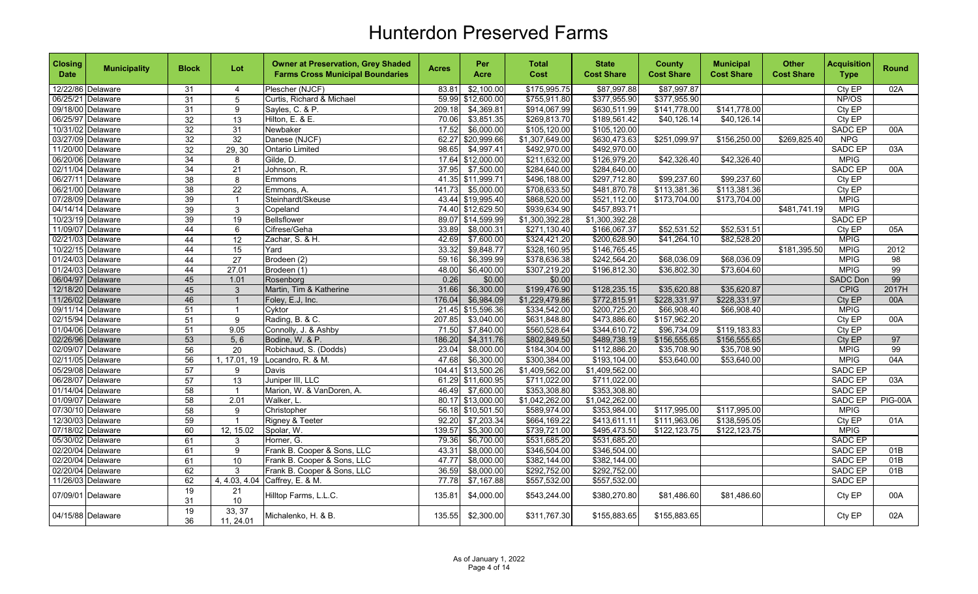| <b>Closing</b><br><b>Date</b> | <b>Municipality</b>                    | <b>Block</b>          | Lot                  | <b>Owner at Preservation, Grey Shaded</b><br><b>Farms Cross Municipal Boundaries</b> | <b>Acres</b>  | Per<br>Acre           | Total<br>Cost          | <b>State</b><br><b>Cost Share</b> | <b>County</b><br><b>Cost Share</b> | <b>Municipal</b><br><b>Cost Share</b> | <b>Other</b><br><b>Cost Share</b> | <b>Acquisition</b><br><b>Type</b> | <b>Round</b>   |
|-------------------------------|----------------------------------------|-----------------------|----------------------|--------------------------------------------------------------------------------------|---------------|-----------------------|------------------------|-----------------------------------|------------------------------------|---------------------------------------|-----------------------------------|-----------------------------------|----------------|
|                               | 12/22/86 Delaware                      | 31                    | $\overline{4}$       | Plescher (NJCF)                                                                      | 83.81         | \$2,100.00            | \$175,995.75           | \$87,997.88                       | \$87,997.87                        |                                       |                                   | Cty EP                            | 02A            |
|                               | 06/25/21 Delaware                      | 31                    | 5                    | Curtis, Richard & Michael                                                            |               | 59.99 \$12,600.00     | \$755,911.80           | \$377,955.90                      | \$377,955.90                       |                                       |                                   | NP/OS                             |                |
|                               | 09/18/00 Delaware                      | 31                    | 9                    | Sayles, C. & P.                                                                      | 209.18        | $\overline{4,369.81}$ | \$914,067.99           | \$630,511.99                      | \$141,778.00                       | \$141,778.00                          |                                   | Cty EP                            |                |
|                               | 06/25/97 Delaware                      | $\overline{32}$       | 13                   | Hilton, E. & E.                                                                      | 70.06         | \$3,851.35            | \$269,813.70           | \$189,561.42                      | \$40,126.14                        | \$40,126.14                           |                                   | Cty EP                            |                |
|                               | 10/31/02 Delaware                      | $\overline{32}$       | 31                   | Newbaker                                                                             | 17.52         | \$6,000.00            | \$105,120.00           | \$105,120.00                      |                                    |                                       |                                   | <b>SADC EP</b>                    | 00A            |
|                               | 03/27/09 Delaware                      | 32                    | 32                   | Danese (NJCF)                                                                        | 62.27         | \$20,999.66           | \$1,307,649.00         | \$630,473.63                      | \$251,099.97                       | \$156,250.00                          | \$269,825.40                      | NPG                               |                |
|                               | 11/20/00 Delaware                      | 32                    | 29, 30               | <b>Ontario Limited</b>                                                               | 98.65         | \$4,997.41            | \$492,970.00           | \$492,970.00                      |                                    |                                       |                                   | <b>SADC EP</b>                    | 03A            |
|                               | 06/20/06 Delaware                      | $\overline{34}$       | 8                    | Gilde, D.                                                                            |               | 17.64 \$12,000.00     | \$211,632.00           | \$126,979.20                      | \$42,326.40                        | \$42,326.40                           |                                   | <b>MPIG</b>                       |                |
|                               | 02/11/04 Delaware                      | 34                    | $\overline{21}$      | Johnson, R.                                                                          | 37.95         | \$7,500.00            | \$284,640.00           | \$284,640.00                      |                                    |                                       |                                   | <b>SADC EP</b>                    | 00A            |
|                               | 06/27/11 Delaware                      | $\overline{38}$       | 8                    | Emmons                                                                               |               | 41.35 \$11,999.71     | \$496,188.00           | \$297,712.80                      | \$99,237.60                        | \$99,237.60                           |                                   | Cty EP                            |                |
|                               | 06/21/00 Delaware                      | $\overline{38}$       | 22                   | Emmons, A.                                                                           | 141.73        | \$5,000.00            | \$708,633.50           | \$481,870.78                      | \$113,381.36                       | \$113,381.36                          |                                   | Cty EP                            |                |
|                               | 07/28/09 Delaware                      | 39                    | $\overline{1}$       | Steinhardt/Skeuse                                                                    |               | 43.44 \$19,995.40     | \$868,520.00           | \$521,112.00                      | \$173,704.00                       | \$173,704.00                          |                                   | <b>MPIG</b>                       |                |
|                               | 04/14/14 Delaware                      | 39                    | $\mathbf{3}$         | Copeland                                                                             |               | 74.40 \$12,629.50     | \$939,634.90           | \$457,893.71                      |                                    |                                       | \$481.741.19                      | <b>MPIG</b>                       |                |
|                               | 10/23/19 Delaware                      | 39                    | 19                   | Bellsflower                                                                          |               | 89.07 \$14,599.99     | \$1,300,392.28         | \$1,300,392.28                    |                                    |                                       |                                   | <b>SADC EP</b>                    |                |
|                               | 11/09/07 Delaware                      | 44                    | 6                    | Cifrese/Geha                                                                         | 33.89         | \$8,000.31            | \$271,130.40           | \$166,067.37                      | \$52,531.52                        | \$52,531.51                           |                                   | Cty EP                            | 05A            |
|                               | 02/21/03 Delaware                      | 44                    | 12                   | Zachar, S. & H.                                                                      | 42.69         | \$7,600.00            | \$324,421.20           | \$200,628.90                      | \$41,264.10                        | \$82,528.20                           |                                   | <b>MPIG</b>                       |                |
|                               | 10/22/15 Delaware                      | 44                    | 15                   | Yard                                                                                 | 33.32         | \$9,848.77            | \$328,160.95           | \$146,765.45                      |                                    |                                       | \$181,395.50                      | <b>MPIG</b>                       | 2012           |
|                               | 01/24/03 Delaware                      | 44                    | 27<br>27.01          | Brodeen (2)                                                                          | 59.16         | \$6,399.99            | \$378,636.38           | \$242,564.20                      | \$68,036.09                        | \$68,036.09<br>\$73,604.60            |                                   | <b>MPIG</b><br><b>MPIG</b>        | 98<br>99       |
|                               | 01/24/03 Delaware<br>06/04/97 Delaware | 44                    |                      | Brodeen (1)                                                                          | 48.00<br>0.26 | \$6,400.00<br>\$0.00  | \$307,219.20<br>\$0.00 | \$196,812.30                      | \$36,802.30                        |                                       |                                   | <b>SADC Don</b>                   | 99             |
|                               | 12/18/20 Delaware                      | 45                    | 1.01<br>$\mathbf{3}$ | Rosenborg<br>Martin, Tim & Katherine                                                 | 31.66         | \$6,300.00            | \$199,476.90           | \$128,235.15                      | \$35,620.88                        | \$35,620.87                           |                                   | <b>CPIG</b>                       | 2017H          |
|                               | 11/26/02 Delaware                      | 45<br>46              | $\overline{1}$       | Foley, E.J, Inc.                                                                     | 176.04        | \$6,984.09            | \$1,229,479.86         | \$772,815.91                      | \$228,331.97                       | \$228,331.97                          |                                   | Cty EP                            | 00A            |
|                               | 09/11/14 Delaware                      | 51                    | $\mathbf{1}$         | Cyktor                                                                               | 21.45         | \$15,596.36           | \$334,542.00           | \$200,725.20                      | \$66,908.40                        | \$66,908.40                           |                                   | <b>MPIG</b>                       |                |
|                               | 02/15/94 Delaware                      | 51                    | 9                    | Rading, B. & C.                                                                      | 207.85        | \$3,040.00            | \$631,848.80           | \$473,886.60                      | \$157,962.20                       |                                       |                                   | Cty EP                            | 00A            |
|                               | 01/04/06 Delaware                      | 51                    | 9.05                 | Connolly, J. & Ashby                                                                 | 71.50         | \$7,840.00            | \$560,528.64           | \$344,610.72                      | \$96,734.09                        | \$119,183.83                          |                                   | CtyEP                             |                |
|                               | 02/26/96 Delaware                      | 53                    | 5, 6                 | Bodine, W. & P.                                                                      | 186.20        | \$4,311.76            | \$802,849.50           | \$489,738.19                      | \$156,555.65                       | \$156,555.65                          |                                   | Cty EP                            | 97             |
|                               | 02/09/07 Delaware                      | 56                    | $\overline{20}$      | Robichaud, S. (Dodds)                                                                | 23.04         | \$8,000.00            | \$184,304.00           | \$112,886.20                      | \$35,708.90                        | \$35,708.90                           |                                   | <b>MPIG</b>                       | 99             |
|                               | 02/11/05 Delaware                      | $\overline{56}$       | 1, 17.01, 19         | Locandro, R. & M.                                                                    | 47.68         | \$6,300.00            | \$300,384.00           | \$193,104.00                      | \$53,640.00                        | \$53,640.00                           |                                   | <b>MPIG</b>                       | 04A            |
|                               | 05/29/08 Delaware                      | 57                    | 9                    | Davis                                                                                | 104.41        | \$13,500.26           | \$1,409,562.00         | \$1,409,562.00                    |                                    |                                       |                                   | SADC EP                           |                |
|                               | 06/28/07 Delaware                      | 57                    | 13                   | Juniper III, LLC                                                                     |               | 61.29 \$11,600.95     | \$711,022.00           | \$711,022.00                      |                                    |                                       |                                   | SADC EP                           | 03A            |
|                               | 01/14/04 Delaware                      | $\overline{58}$       | $\overline{1}$       | Marion, W. & VanDoren, A.                                                            | 46.49         | \$7,600.00            | \$353,308.80           | \$353,308.80                      |                                    |                                       |                                   | <b>SADC EP</b>                    |                |
|                               | 01/09/07 Delaware                      | 58                    | 2.01                 | Walker, L.                                                                           |               | 80.17 \$13,000.00     | \$1,042,262.00         | \$1,042,262.00                    |                                    |                                       |                                   | <b>SADC EP</b>                    | <b>PIG-00A</b> |
|                               | 07/30/10 Delaware                      | 58                    | 9                    | Christopher                                                                          |               | 56.18 \$10,501.50     | \$589,974.00           | \$353,984.00                      | \$117,995.00                       | \$117,995.00                          |                                   | <b>MPIG</b>                       |                |
|                               | 12/30/03 Delaware                      | 59                    | $\overline{1}$       | Rigney & Teeter                                                                      | 92.20         | \$7,203.34            | \$664,169.22           | \$413,611.11                      | \$111,963.06                       | \$138,595.05                          |                                   | Cty EP                            | 01A            |
|                               | 07/18/02 Delaware                      | 60                    | 12, 15.02            | Spolar, W.                                                                           | 139.57        | \$5,300.00            | \$739,721.00           | \$495,473.50                      | \$122,123.75                       | \$122,123.75                          |                                   | <b>MPIG</b>                       |                |
|                               | 05/30/02 Delaware                      | 61                    | 3                    | Horner, G.                                                                           | 79.36         | \$6,700.00            | \$531,685.20           | \$531,685.20                      |                                    |                                       |                                   | <b>SADC EP</b>                    |                |
|                               | 02/20/04 Delaware                      | 61                    | 9                    | Frank B. Cooper & Sons, LLC                                                          | 43.31         | \$8,000.00            | \$346,504.00           | \$346,504.00                      |                                    |                                       |                                   | <b>SADC EP</b>                    | 01B            |
|                               | 02/20/04 Delaware                      | 61                    | 10                   | Frank B. Cooper & Sons, LLC                                                          | 47.77         | \$8,000.00            | \$382,144.00           | \$382,144.00                      |                                    |                                       |                                   | <b>SADC EP</b>                    | 01B            |
|                               | 02/20/04 Delaware                      | 62                    | 3                    | Frank B. Cooper & Sons, LLC                                                          | 36.59         | \$8,000.00            | \$292,752.00           | \$292,752.00                      |                                    |                                       |                                   | <b>SADC EP</b>                    | 01B            |
|                               | 11/26/03 Delaware                      | 62                    |                      | 4, 4.03, 4.04 Caffrey, E. & M.                                                       | 77.78         | \$7,167.88            | \$557,532.00           | \$557,532.00                      |                                    |                                       |                                   | <b>SADC EP</b>                    |                |
|                               | 07/09/01 Delaware                      | 19<br>31              | 21<br>$10$           | Hilltop Farms, L.L.C.                                                                | 135.81        | \$4,000.00            | \$543,244.00           | \$380,270.80                      | \$81,486.60                        | \$81,486.60                           |                                   | Cty EP                            | 00A            |
|                               | 04/15/88 Delaware                      | $\overline{19}$<br>36 | 33, 37<br>11, 24.01  | Michalenko, H. & B.                                                                  | 135.55        | \$2,300.00            | \$311,767.30           | \$155,883.65                      | \$155,883.65                       |                                       |                                   | Cty EP                            | 02A            |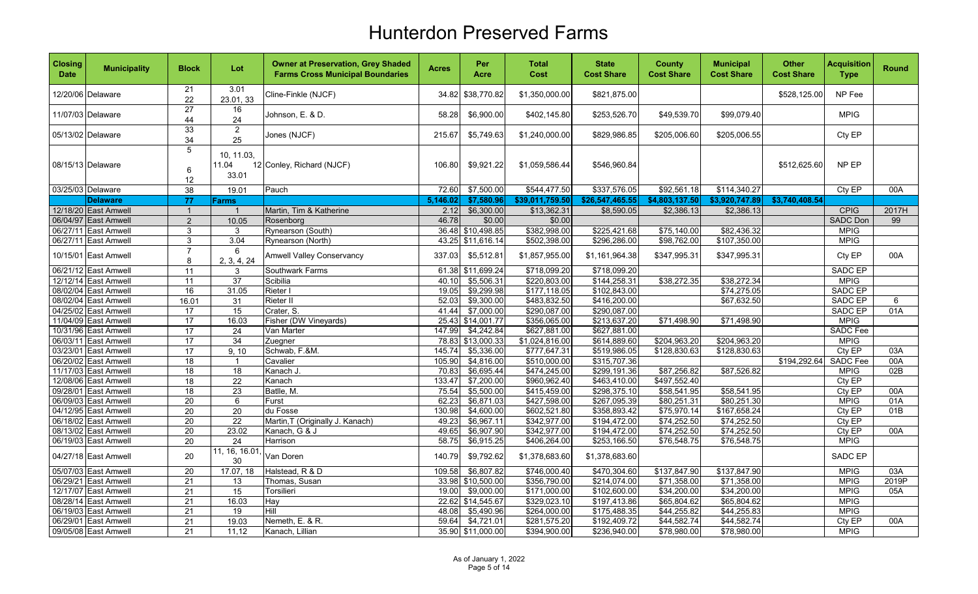| <b>Closing</b><br><b>Date</b> | <b>Municipality</b>                          | <b>Block</b>                       | Lot                                | <b>Owner at Preservation, Grey Shaded</b><br><b>Farms Cross Municipal Boundaries</b> | <b>Acres</b>    | Per<br>Acre              | <b>Total</b><br>Cost         | <b>State</b><br><b>Cost Share</b> | <b>County</b><br><b>Cost Share</b> | <b>Municipal</b><br><b>Cost Share</b> | <b>Other</b><br><b>Cost Share</b> | <b>Acquisition</b><br><b>Type</b> | <b>Round</b> |
|-------------------------------|----------------------------------------------|------------------------------------|------------------------------------|--------------------------------------------------------------------------------------|-----------------|--------------------------|------------------------------|-----------------------------------|------------------------------------|---------------------------------------|-----------------------------------|-----------------------------------|--------------|
|                               | 12/20/06 Delaware                            | 21<br>22                           | 3.01<br>23.01, 33                  | Cline-Finkle (NJCF)                                                                  | 34.82           | \$38,770.82              | \$1,350,000.00               | \$821,875.00                      |                                    |                                       | \$528,125.00                      | NP Fee                            |              |
|                               | 11/07/03 Delaware                            | $\overline{27}$<br>44              | 16<br>24                           | Johnson, E. & D.                                                                     | 58.28           | \$6,900.00               | \$402,145.80                 | \$253,526.70                      | \$49,539.70                        | \$99,079.40                           |                                   | <b>MPIG</b>                       |              |
|                               | 05/13/02 Delaware                            | 33<br>34                           | $\overline{2}$<br>25               | Jones (NJCF)                                                                         | 215.67          | \$5,749.63               | \$1,240,000.00               | \$829,986.85                      | \$205,006.60                       | \$205,006.55                          |                                   | Cty EP                            |              |
|                               | 08/15/13 Delaware                            | 5<br>$\,6\,$<br>12                 | 10, 11.03,<br>11.04<br>33.01       | 12 Conley, Richard (NJCF)                                                            | 106.80          | \$9,921.22               | \$1,059,586.44               | \$546,960.84                      |                                    |                                       | \$512,625.60                      | NP EP                             |              |
|                               | 03/25/03 Delaware                            | $\overline{38}$                    | 19.01                              | Pauch                                                                                | 72.60           | \$7,500.00               | \$544,477.50                 | \$337,576.05                      | \$92,561.18                        | \$114,340.27                          |                                   | Cty EP                            | 00A          |
|                               | <b>Delaware</b>                              | 77                                 | Farms                              |                                                                                      | 5,146.02        | \$7,580.96               | \$39,011,759.50              | \$26,547,465.55                   | \$4,803,137.50                     | \$3,920,747.89                        | \$3,740,408.54                    |                                   |              |
|                               | 12/18/20 East Amwell                         | $\overline{1}$                     | $\mathbf{1}$                       | Martin, Tim & Katherine                                                              | 2.12            | \$6,300.00               | \$13,362.31                  | \$8,590.05                        | \$2,386.13                         | \$2,386.13                            |                                   | <b>CPIG</b>                       | 2017H        |
|                               | 06/04/97 East Amwell                         | $\overline{2}$                     | 10.05                              | Rosenborg                                                                            | 46.78           | \$0.00                   | \$0.00                       |                                   |                                    |                                       |                                   | <b>SADC Don</b>                   | 99           |
|                               | 06/27/11 East Amwell                         | 3                                  | 3                                  | Rynearson (South)                                                                    | 36.48           | \$10,498.85              | \$382,998.00                 | \$225,421.68                      | \$75,140.00                        | \$82,436.32                           |                                   | <b>MPIG</b>                       |              |
|                               | 06/27/11 East Amwell                         | $\mathbf{3}$                       | 3.04                               | Rynearson (North)                                                                    |                 | 43.25 \$11,616.14        | \$502,398.00                 | \$296,286.00                      | \$98,762.00                        | \$107,350.00                          |                                   | <b>MPIG</b>                       |              |
|                               | 10/15/01 East Amwell                         | $\overline{7}$<br>8                | 6<br>2, 3, 4, 24                   | <b>Amwell Valley Conservancy</b>                                                     | 337.03          | \$5,512.81               | \$1,857,955.00               | \$1,161,964.38                    | \$347,995.31                       | \$347,995.31                          |                                   | Cty EP                            | 00A          |
|                               | 06/21/12 East Amwell                         | $\overline{11}$                    | $\mathsf 3$                        | Southwark Farms                                                                      |                 | 61.38 \$11,699.24        | \$718,099.20                 | \$718,099.20                      |                                    |                                       |                                   | <b>SADC EP</b>                    |              |
|                               | 12/12/14 East Amwell                         | 11                                 | $\overline{37}$                    | Scibilia                                                                             | 40.10           | \$5,506.31               | \$220,803.00                 | \$144,258.31                      | \$38,272.35                        | \$38,272.34                           |                                   | <b>MPIG</b>                       |              |
|                               | 08/02/04 East Amwell                         | 16                                 | 31.05                              | Rieter I                                                                             | 19.05           | \$9,299.98               | \$177,118.05                 | \$102,843.00                      |                                    | \$74,275.05                           |                                   | SADC EP                           |              |
|                               | 08/02/04 East Amwell                         | 16.01                              | 31                                 | Rieter II                                                                            | 52.03           | \$9,300.00               | \$483,832.50                 | \$416,200.00                      |                                    | \$67,632.50                           |                                   | SADC EP                           | 6            |
|                               | 04/25/02 East Amwell                         | 17                                 | 15                                 | Crater, S.                                                                           | 41.44           | \$7,000.00               | \$290,087.00                 | \$290,087.00                      |                                    |                                       |                                   | SADC EP                           | 01A          |
|                               | 11/04/09 East Amwell                         | $\overline{17}$                    | 16.03                              | Fisher (DW Vineyards)                                                                | 25.43           | \$14,001.77              | \$356,065.00                 | \$213,637.20                      | \$71,498.90                        | \$71,498.90                           |                                   | <b>MPIG</b>                       |              |
|                               | 10/31/96 East Amwell                         | 17                                 | 24                                 | Van Marter                                                                           | 147.99          | \$4,242.84               | \$627,881.00                 | \$627,881.00                      |                                    |                                       |                                   | <b>SADC</b> Fee                   |              |
|                               | 06/03/11 East Amwell                         | 17                                 | 34                                 | Zuegner                                                                              | 78.83           | \$13,000.33              | \$1,024,816.00               | \$614,889.60                      | \$204,963.20                       | \$204,963.20                          |                                   | <b>MPIG</b>                       |              |
|                               | 03/23/01 East Amwell                         | 17                                 | 9, 10                              | Schwab, F.&M.                                                                        | 145.74          | \$5,336.00               | \$777,647.31                 | \$519,986.05                      | \$128,830.63                       | \$128,830.63                          |                                   | Cty EP                            | 03A          |
|                               | 06/20/02 East Amwell                         | $\overline{18}$                    | $\overline{1}$                     | Cavalier                                                                             | 105.90          | \$4,816.00               | \$510,000.00                 | \$315,707.36                      |                                    |                                       | \$194,292.64                      | <b>SADC Fee</b>                   | 00A          |
|                               | 11/17/03 East Amwell                         | $\overline{18}$                    | $\overline{18}$                    | Kanach J.                                                                            | 70.83           | \$6,695.44               | \$474,245.00                 | \$299,191.36                      | \$87,256.82                        | \$87,526.82                           |                                   | <b>MPIG</b>                       | 02B          |
|                               | 12/08/06 East Amwell                         | 18                                 | 22                                 | Kanach                                                                               | 133.47          | \$7,200.00               | \$960,962.40                 | \$463,410.00                      | \$497,552.40                       |                                       |                                   | Cty EP                            |              |
|                               | 09/28/01 East Amwell                         | 18                                 | 23                                 | Batlle, M.                                                                           | 75.54           | \$5,500.00               | \$415,459.00                 | \$298,375.10                      | \$58,541.95                        | \$58,541.95                           |                                   | Cty EP                            | 00A          |
|                               | 06/09/03 East Amwell<br>04/12/95 East Amwell | 20                                 | 6                                  | Furst<br>du Fosse                                                                    | 62.23<br>130.98 | \$6,871.03<br>\$4,600.00 | \$427,598.00<br>\$602,521.80 | \$267,095.39<br>\$358,893.42      | \$80,251.31<br>\$75,970.14         | \$80,251.30<br>\$167,658.24           |                                   | <b>MPIG</b><br>CtyEP              | 01A<br>01B   |
|                               | 06/18/02 East Amwell                         | $\overline{20}$<br>$\overline{20}$ | $\overline{20}$<br>$\overline{22}$ | Martin, T (Originally J. Kanach)                                                     | 49.23           | \$6,967.11               | \$342,977.00                 | \$194,472.00                      | \$74,252.50                        | \$74,252.50                           |                                   | Cty EP                            |              |
|                               | 08/13/02 East Amwell                         | $\overline{20}$                    | 23.02                              | Kanach, G & J                                                                        | 49.65           | \$6,907.90               | \$342,977.00                 | \$194,472.00                      | \$74,252.50                        | \$74,252.50                           |                                   | CtyEP                             | 00A          |
|                               | 06/19/03 East Amwell                         | 20                                 | 24                                 | Harrison                                                                             | 58.75           | \$6,915.25               | \$406,264.00                 | \$253,166.50                      | \$76,548.75                        | \$76,548.75                           |                                   | <b>MPIG</b>                       |              |
|                               | 04/27/18 East Amwell                         | 20                                 | 11, 16, 16.01<br>30                | Van Doren                                                                            | 140.79          | \$9,792.62               | \$1,378,683.60               | \$1,378,683.60                    |                                    |                                       |                                   | <b>SADC EP</b>                    |              |
|                               | 05/07/03 East Amwell                         | 20                                 | 17.07, 18                          | Halstead, R & D                                                                      | 109.58          | \$6,807.82               | \$746,000.40                 | \$470,304.60                      | \$137,847.90                       | \$137,847.90                          |                                   | <b>MPIG</b>                       | 03A          |
|                               | 06/29/21 East Amwell                         | 21                                 | 13                                 | Thomas, Susan                                                                        | 33.98           | \$10,500.00              | \$356,790.00                 | \$214,074.00                      | \$71,358.00                        | \$71,358.00                           |                                   | <b>MPIG</b>                       | 2019P        |
|                               | 12/17/07 East Amwell                         | 21                                 | 15                                 | Torsilieri                                                                           | 19.00           | \$9,000.00               | \$171,000.00                 | \$102,600.00                      | \$34,200.00                        | \$34,200.00                           |                                   | <b>MPIG</b>                       | 05A          |
|                               | 08/28/14 East Amwell                         | $\overline{21}$                    | 16.03                              | Hay                                                                                  |                 | 22.62 \$14,545.67        | \$329,023.10                 | \$197,413.86                      | \$65,804.62                        | \$65,804.62                           |                                   | <b>MPIG</b>                       |              |
|                               | 06/19/03 East Amwell                         | $\overline{21}$                    | 19                                 | Hill                                                                                 | 48.08           | \$5,490.96               | \$264,000.00                 | \$175,488.35                      | \$44,255.82                        | \$44,255.83                           |                                   | <b>MPIG</b>                       |              |
|                               | 06/29/01 East Amwell                         | $\overline{21}$                    | 19.03                              | Nemeth, E. & R.                                                                      | 59.64           | \$4,721.01               | \$281,575.20                 | \$192,409.72                      | \$44,582.74                        | \$44,582.74                           |                                   | Cty EP                            | 00A          |
|                               | 09/05/08 East Amwell                         | 21                                 | 11,12                              | Kanach, Lillian                                                                      |                 | 35.90 \$11,000.00        | \$394,900.00                 | \$236,940.00                      | \$78,980.00                        | \$78,980.00                           |                                   | <b>MPIG</b>                       |              |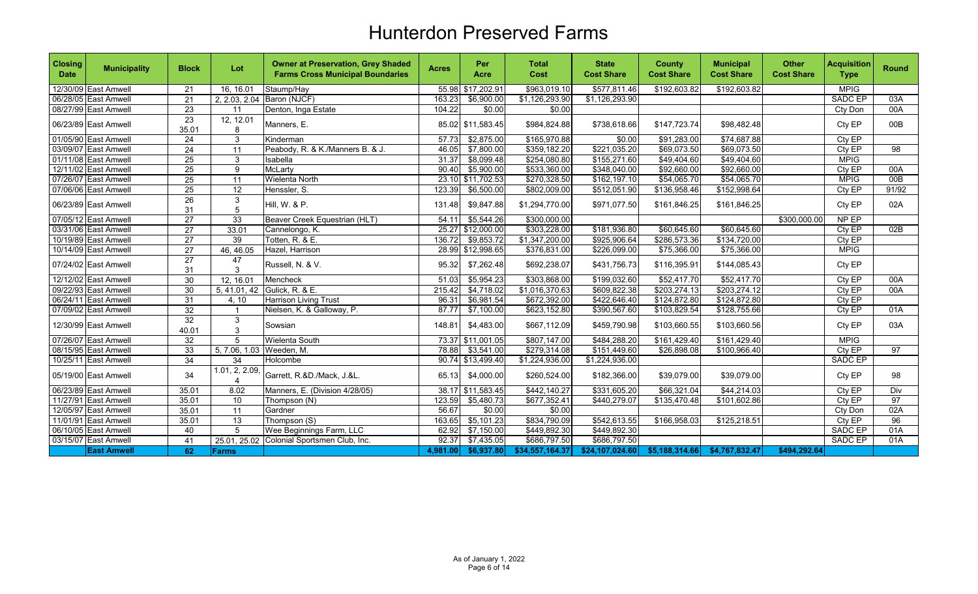| <b>Closing</b><br><b>Date</b> | <b>Municipality</b>  | <b>Block</b>             | Lot                      | <b>Owner at Preservation, Grey Shaded</b><br><b>Farms Cross Municipal Boundaries</b> | <b>Acres</b> | Per<br><b>Acre</b> | Total<br>Cost   | <b>State</b><br><b>Cost Share</b> | <b>County</b><br><b>Cost Share</b> | <b>Municipal</b><br><b>Cost Share</b> | <b>Other</b><br><b>Cost Share</b> | <b>Acquisition</b><br><b>Type</b> | <b>Round</b> |
|-------------------------------|----------------------|--------------------------|--------------------------|--------------------------------------------------------------------------------------|--------------|--------------------|-----------------|-----------------------------------|------------------------------------|---------------------------------------|-----------------------------------|-----------------------------------|--------------|
|                               | 12/30/09 East Amwell | 21                       | 16, 16.01                | Staump/Hay                                                                           | 55.98        | \$17,202.91        | \$963,019.10    | \$577,811.46                      | \$192,603.82                       | \$192,603.82                          |                                   | <b>MPIG</b>                       |              |
|                               | 06/28/05 East Amwell | 21                       |                          | 2, 2.03, 2.04 Baron (NJCF)                                                           | 163.23       | \$6,900.00         | \$1,126,293.90  | \$1,126,293.90                    |                                    |                                       |                                   | <b>SADC EP</b>                    | 03A          |
|                               | 08/27/99 East Amwell | $\overline{23}$          | 11                       | Denton, Inga Estate                                                                  | 104.22       | \$0.00             | \$0.00          |                                   |                                    |                                       |                                   | Cty Don                           | 00A          |
|                               | 06/23/89 East Amwell | $\overline{23}$<br>35.01 | 12, 12.01<br>8           | Manners, E.                                                                          |              | 85.02 \$11,583.45  | \$984,824.88    | \$738,618.66                      | \$147,723.74                       | \$98,482.48                           |                                   | Cty EP                            | 00B          |
|                               | 01/05/90 East Amwell | 24                       | $\mathbf{3}$             | Kinderman                                                                            | 57.73        | \$2,875.00         | \$165,970.88    | \$0.00                            | \$91,283.00                        | $\overline{$74,687.88}$               |                                   | Cty EP                            |              |
|                               | 03/09/07 East Amwell | $\overline{24}$          | 11                       | Peabody, R. & K./Manners B. & J.                                                     | 46.05        | \$7,800.00         | \$359,182.20    | \$221,035.20                      | \$69,073.50                        | \$69,073.50                           |                                   | Cty EP                            | 98           |
|                               | 01/11/08 East Amwell | 25                       | 3                        | Isabella                                                                             | 31.37        | \$8,099.48         | \$254,080.80    | \$155,271.60                      | \$49,404.60                        | \$49,404.60                           |                                   | <b>MPIG</b>                       |              |
|                               | 12/11/02 East Amwell | 25                       | 9                        | <b>McLarty</b>                                                                       | 90.40        | \$5,900.00         | \$533,360.00    | \$348,040.00                      | \$92,660.00                        | \$92,660.00                           |                                   | Cty EP                            | 00A          |
|                               | 07/26/07 East Amwell | 25                       | 11                       | <b>Wielenta North</b>                                                                | 23.10        | \$11,702.53        | \$270,328.50    | \$162,197.10                      | \$54,065.70                        | \$54,065.70                           |                                   | <b>MPIG</b>                       | 00B          |
|                               | 07/06/06 East Amwell | 25                       | $\overline{12}$          | Henssler, S.                                                                         | 123.39       | \$6,500.00         | \$802,009.00    | \$512,051.90                      | \$136,958.46                       | \$152,998.64                          |                                   | Cty EP                            | 91/92        |
|                               | 06/23/89 East Amwell | $\overline{26}$<br>31    | $\mathbf{3}$<br>5        | Hill, W. & P.                                                                        | 131.48       | \$9,847.88         | \$1,294,770.00  | \$971,077.50                      | \$161,846.25                       | \$161,846.25                          |                                   | Cty EP                            | 02A          |
|                               | 07/05/12 East Amwell | $\overline{27}$          | 33                       | Beaver Creek Equestrian (HLT)                                                        | 54.11        | \$5,544.26         | \$300,000.00    |                                   |                                    |                                       | \$300,000.00                      | NP EP                             |              |
|                               | 03/31/06 East Amwell | $\overline{27}$          | 33.01                    | Cannelongo, K.                                                                       | 25.27        | \$12,000.00        | \$303,228.00    | \$181,936.80                      | \$60,645.60                        | \$60,645.60                           |                                   | Cty EP                            | 02B          |
|                               | 10/19/89 East Amwell | $\overline{27}$          | 39                       | Totten, R. & E.                                                                      | 136.72       | \$9,853.72         | \$1,347,200.00  | \$925,906.64                      | \$286,573.36                       | \$134,720.00                          |                                   | Cty EP                            |              |
|                               | 10/14/09 East Amwell | $\overline{27}$          | 46, 46.05                | Hazel, Harrison                                                                      | 28.99        | \$12,998.65        | \$376,831.00    | \$226,099.00                      | \$75,366.00                        | \$75,366.00                           |                                   | <b>MPIG</b>                       |              |
|                               | 07/24/02 East Amwell | $\overline{27}$<br>31    | 47<br>3                  | Russell, N. & V.                                                                     | 95.32        | \$7,262.48         | \$692,238.07    | \$431,756.73                      | \$116,395.91                       | \$144,085.43                          |                                   | Cty EP                            |              |
|                               | 12/12/02 East Amwell | 30                       | 12, 16.01                | Mencheck                                                                             | 51.03        | \$5,954.23         | \$303,868.00    | \$199,032.60                      | \$52,417.70                        | \$52,417.70                           |                                   | Cty EP                            | 00A          |
|                               | 09/22/93 East Amwell | 30                       | 5, 41.01, 42             | Gulick, R. & E.                                                                      | 215.42       | \$4,718.02         | \$1,016,370.63  | \$609,822.38                      | \$203,274.13                       | \$203,274.12                          |                                   | Cty EP                            | 00A          |
|                               | 06/24/11 East Amwell | 31                       | 4, 10                    | Harrison Living Trust                                                                | 96.31        | \$6,981.54         | \$672,392.00    | \$422,646.40                      | \$124,872.80                       | \$124,872.80                          |                                   | Cty EP                            |              |
|                               | 07/09/02 East Amwell | $\overline{32}$          | $\overline{\mathbf{1}}$  | Nielsen, K. & Galloway, P.                                                           | 87.77        | \$7,100.00         | \$623,152.80    | \$390,567.60                      | \$103,829.54                       | \$128,755.66                          |                                   | $City$ $EP$                       | 01A          |
|                               | 12/30/99 East Amwell | $\overline{32}$<br>40.01 | 3<br>3                   | Sowsian                                                                              | 148.81       | \$4,483.00         | \$667,112.09    | \$459,790.98                      | \$103,660.55                       | \$103,660.56                          |                                   | Cty EP                            | 03A          |
|                               | 07/26/07 East Amwell | 32                       | 5                        | Wielenta South                                                                       | 73.37        | \$11,001.05        | \$807,147.00    | \$484,288.20                      | \$161,429.40                       | \$161,429.40                          |                                   | <b>MPIG</b>                       |              |
|                               | 08/15/95 East Amwell | 33                       | 5, 7.06, 1.03 Weeden, M. |                                                                                      | 78.88        | \$3,541.00         | \$279,314.08    | \$151,449.60                      | \$26,898.08                        | \$100,966.40                          |                                   | Cty EP                            | 97           |
|                               | 10/25/11 East Amwell | 34                       | 34                       | Holcombe                                                                             | 90.74        | \$13,499.40        | \$1,224,936.00  | \$1,224,936.00                    |                                    |                                       |                                   | SADC EP                           |              |
|                               | 05/19/00 East Amwell | 34                       | 1.01, 2, 2.09,           | Garrett, R.&D./Mack, J.&L.                                                           | 65.13        | \$4,000.00         | \$260,524.00    | \$182,366.00                      | \$39,079.00                        | \$39,079.00                           |                                   | Cty EP                            | 98           |
|                               | 06/23/89 East Amwell | 35.01                    | 8.02                     | Manners, E. (Division 4/28/05)                                                       | 38.17        | \$11,583.45        | \$442,140.27    | \$331,605.20                      | \$66,321.04                        | \$44,214.03                           |                                   | Ctv EP                            | Div          |
|                               | 11/27/91 East Amwell | 35.01                    | 10                       | Thompson (N)                                                                         | 123.59       | \$5,480.73         | \$677,352.41    | \$440,279.07                      | \$135,470.48                       | \$101,602.86                          |                                   | Cty EP                            | 97           |
|                               | 12/05/97 East Amwell | 35.01                    | 11                       | Gardner                                                                              | 56.67        | \$0.00             | \$0.00          |                                   |                                    |                                       |                                   | Cty Don                           | 02A          |
|                               | 11/01/91 East Amwell | 35.01                    | 13                       | Thompson (S)                                                                         | 163.65       | \$5,101.23         | \$834,790.09    | \$542,613.55                      | \$166,958.03                       | \$125,218.51                          |                                   | Cty EP                            | 96           |
|                               | 06/10/05 East Amwell | 40                       | 5                        | Wee Beginnings Farm, LLC                                                             | 62.92        | \$7,150.00         | \$449,892.30    | \$449,892.30                      |                                    |                                       |                                   | SADC EP                           | 01A          |
|                               | 03/15/07 East Amwell | 41                       | 25.01, 25.02             | Colonial Sportsmen Club, Inc.                                                        | 92.37        | \$7,435.05         | \$686,797.50    | \$686,797.50                      |                                    |                                       |                                   | <b>SADC EP</b>                    | 01A          |
|                               | <b>East Amwell</b>   | 62                       | <b>Farms</b>             |                                                                                      | 4,981.00     | \$6,937.80         | \$34,557,164.37 | \$24,107,024.60                   | \$5,188,314.66                     | \$4,767,832.47                        | \$494,292.64                      |                                   |              |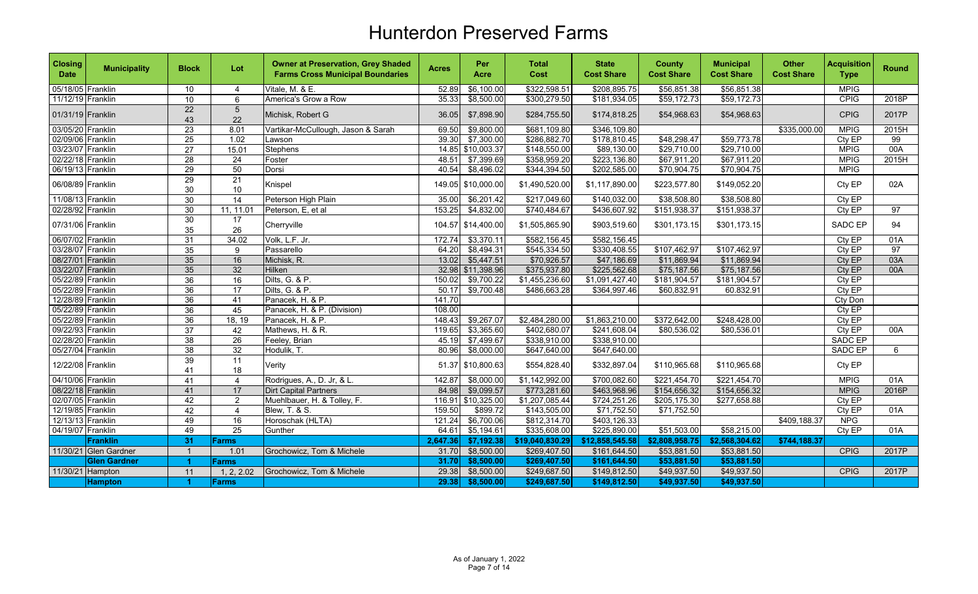| <b>Closing</b><br><b>Date</b> | <b>Municipality</b>   | <b>Block</b>          | Lot              | <b>Owner at Preservation, Grey Shaded</b><br><b>Farms Cross Municipal Boundaries</b> | <b>Acres</b> | Per<br>Acre | <b>Total</b><br><b>Cost</b> | <b>State</b><br><b>Cost Share</b> | <b>County</b><br><b>Cost Share</b> | <b>Municipal</b><br><b>Cost Share</b> | <b>Other</b><br><b>Cost Share</b> | <b>Acquisition</b><br><b>Type</b> | <b>Round</b>    |
|-------------------------------|-----------------------|-----------------------|------------------|--------------------------------------------------------------------------------------|--------------|-------------|-----------------------------|-----------------------------------|------------------------------------|---------------------------------------|-----------------------------------|-----------------------------------|-----------------|
| 05/18/05 Franklin             |                       | 10                    | $\overline{4}$   | Vitale, M. & E.                                                                      | 52.89        | \$6,100.00  | \$322,598.51                | \$208,895.75                      | \$56,851.38                        | \$56,851.38                           |                                   | <b>MPIG</b>                       |                 |
| 11/12/19 Franklin             |                       | 10                    | 6                | America's Grow a Row                                                                 | 35.33        | \$8,500.00  | \$300,279.50                | \$181,934.05                      | \$59,172.73                        | \$59,172.73                           |                                   | CPIG                              | 2018P           |
| 01/31/19 Franklin             |                       | 22<br>43              | $\sqrt{5}$<br>22 | Michisk, Robert G                                                                    | 36.05        | \$7,898.90  | \$284,755.50                | \$174,818.25                      | \$54,968.63                        | \$54,968.63                           |                                   | <b>CPIG</b>                       | 2017P           |
| 03/05/20 Franklin             |                       | 23                    | 8.01             | Vartikar-McCullough, Jason & Sarah                                                   | 69.50        | \$9,800.00  | \$681,109.80                | \$346,109.80                      |                                    |                                       | \$335,000.00                      | <b>MPIG</b>                       | 2015H           |
| 02/09/06 Franklin             |                       | $\overline{25}$       | 1.02             | Lawson                                                                               | 39.30        | \$7,300.00  | \$286,882.70                | \$178,810.45                      | \$48,298.47                        | \$59,773.78                           |                                   | Cty EP                            | $\overline{99}$ |
| 03/23/07 Franklin             |                       | $\overline{27}$       | 15.01            | Stephens                                                                             | 14.85        | \$10,003.37 | \$148,550.00                | \$89,130.00                       | \$29,710.00                        | \$29,710.00                           |                                   | <b>MPIG</b>                       | 00A             |
| 02/22/18 Franklin             |                       | $\overline{28}$       | $\overline{24}$  | Foster                                                                               | 48.51        | \$7,399.69  | \$358,959.20                | \$223,136.80                      | \$67,911.20                        | \$67,911.20                           |                                   | <b>MPIG</b>                       | 2015H           |
| 06/19/13 Franklin             |                       | $\overline{29}$       | 50               | Dorsi                                                                                | 40.54        | \$8,496.02  | \$344,394.50                | \$202,585.00                      | \$70,904.75                        | \$70,904.75                           |                                   | <b>MPIG</b>                       |                 |
| 06/08/89 Franklin             |                       | $\overline{29}$<br>30 | 21<br>$10\,$     | Knispel                                                                              | 149.05       | \$10,000.00 | \$1,490,520.00              | \$1,117,890.00                    | \$223,577.80                       | \$149,052.20                          |                                   | Cty EP                            | 02A             |
| 11/08/13 Franklin             |                       | 30                    | 14               | Peterson High Plain                                                                  | 35.00        | \$6,201.42  | \$217,049.60                | \$140,032.00                      | \$38,508.80                        | \$38,508.80                           |                                   | Cty EP                            |                 |
| 02/28/92 Franklin             |                       | 30                    | 11, 11.01        | Peterson, E, et al                                                                   | 153.25       | \$4,832.00  | \$740,484.67                | \$436,607.92                      | \$151,938.37                       | \$151,938.37                          |                                   | CtyEP                             | $\overline{97}$ |
| 07/31/06 Franklin             |                       | 30<br>35              | 17<br>26         | Cherryville                                                                          | 104.57       | \$14,400.00 | \$1,505,865.90              | \$903,519.60                      | \$301,173.15                       | \$301,173.15                          |                                   | <b>SADC EP</b>                    | 94              |
| 06/07/02 Franklin             |                       | 31                    | 34.02            | Volk, L.F. Jr.                                                                       | 172.74       | \$3,370.11  | \$582,156.45                | \$582,156.45                      |                                    |                                       |                                   | Cty EP                            | 01A             |
| 03/28/07 Franklin             |                       | 35                    | 9                | Passarello                                                                           | 64.20        | \$8,494.31  | \$545,334.50                | \$330,408.55                      | \$107,462.97                       | \$107,462.97                          |                                   | Cty EP                            | 97              |
| 08/27/01 Franklin             |                       | 35                    | 16               | Michisk, R.                                                                          | 13.02        | \$5,447.51  | \$70,926.57                 | \$47,186.69                       | \$11,869.94                        | \$11,869.94                           |                                   | Cty EP                            | 03A             |
| 03/22/07 Franklin             |                       | 35                    | 32               | Hilken                                                                               | 32.98        | \$11,398.96 | \$375,937.80                | \$225,562.68                      | \$75,187.56                        | \$75,187.56                           |                                   | Cty EP                            | 00A             |
| 05/22/89 Franklin             |                       | 36                    | 16               | Dilts, G. & P.                                                                       | 150.02       | \$9,700.22  | \$1,455,236.60              | \$1,091,427.40                    | \$181,904.57                       | \$181,904.57                          |                                   | Cty EP                            |                 |
| 05/22/89 Franklin             |                       | 36                    | 17               | Dilts, G. & P.                                                                       | 50.17        | \$9,700.48  | \$486,663.28                | \$364,997.46                      | \$60,832.91                        | 60.832.91                             |                                   | Cty EP                            |                 |
| 12/28/89 Franklin             |                       | 36                    | 41               | Panacek, H. & P.                                                                     | 141.70       |             |                             |                                   |                                    |                                       |                                   | Cty Don                           |                 |
| 05/22/89 Franklin             |                       | $\overline{36}$       | 45               | Panacek, H. & P. (Division)                                                          | 108.00       |             |                             |                                   |                                    |                                       |                                   | Cty EP                            |                 |
| 05/22/89 Franklin             |                       | $\overline{36}$       | 18, 19           | Panacek, H. & P.                                                                     | 148.43       | \$9,267.07  | \$2,484,280.00              | \$1,863,210.00                    | \$372,642.00                       | \$248,428.00                          |                                   | Cty EP                            |                 |
| 09/22/93 Franklin             |                       | 37                    | 42               | Mathews, H. & R.                                                                     | 119.65       | \$3,365.60  | \$402,680.07                | \$241,608.04                      | \$80,536.02                        | \$80,536.01                           |                                   | CtyEP                             | 00A             |
| 02/28/20 Franklin             |                       | 38                    | $\overline{26}$  | Feeley, Brian                                                                        | 45.19        | \$7,499.67  | \$338,910.00                | \$338,910.00                      |                                    |                                       |                                   | <b>SADC EP</b>                    |                 |
| 05/27/04 Franklin             |                       | $\overline{38}$       | 32               | Hodulik, T.                                                                          | 80.96        | \$8,000.00  | \$647,640.00                | \$647,640.00                      |                                    |                                       |                                   | SADC EP                           | 6               |
| 12/22/08 Franklin             |                       | 39<br>41              | 11<br>18         | Verity                                                                               | 51.37        | \$10,800.63 | \$554,828.40                | \$332,897.04                      | \$110,965.68                       | \$110,965.68                          |                                   | Cty EP                            |                 |
| 04/10/06 Franklin             |                       | $\overline{41}$       | 4                | Rodrigues, A., D. Jr, & L.                                                           | 142.87       | \$8,000.00  | \$1,142,992.00              | \$700,082.60                      | \$221,454.70                       | \$221,454.70                          |                                   | <b>MPIG</b>                       | 01A             |
| 08/22/18 Franklin             |                       | 41                    | 17               | <b>Dirt Capital Partners</b>                                                         | 84.98        | \$9,099.57  | \$773,281.60                | \$463,968.96                      | \$154,656.32                       | \$154,656.32                          |                                   | <b>MPIG</b>                       | 2016P           |
| 02/07/05 Franklin             |                       | 42                    | $\overline{2}$   | Muehlbauer, H. & Tolley, F.                                                          | 116.91       | \$10,325.00 | \$1,207,085.44              | \$724,251.26                      | \$205,175.30                       | \$277,658.88                          |                                   | Cty EP                            |                 |
| 12/19/85 Franklin             |                       | 42                    | $\overline{4}$   | Blew, T. & S.                                                                        | 159.50       | \$899.72    | \$143,505.00                | \$71,752.50                       | \$71,752.50                        |                                       |                                   | CtyEP                             | 01A             |
| 12/13/13 Franklin             |                       | 49                    | 16               | Horoschak (HLTA)                                                                     | 121.24       | \$6,700.06  | \$812,314.70                | \$403,126.33                      |                                    |                                       | \$409,188.37                      | <b>NPG</b>                        |                 |
| 04/19/07 Franklin             |                       | 49                    | $\overline{25}$  | Gunther                                                                              | 64.61        | \$5,194.61  | \$335,608.00                | \$225,890.00                      | \$51,503.00                        | \$58,215.00                           |                                   | Cty EP                            | 01A             |
|                               | Franklin              | 31                    | <b>Farms</b>     |                                                                                      | 2,647.36     | \$7,192.38  | \$19,040,830.29             | \$12,858,545.58                   | \$2,808,958.75                     | \$2,568,304.62                        | \$744,188.37                      |                                   |                 |
|                               | 11/30/21 Glen Gardner | $\overline{1}$        | 1.01             | Grochowicz, Tom & Michele                                                            | 31.70        | \$8,500.00  | \$269,407.50                | \$161,644.50                      | \$53,881.50                        | \$53,881.50                           |                                   | CPIG                              | 2017P           |
|                               | <b>Glen Gardner</b>   | 1                     | Farms            |                                                                                      | 31.70        | \$8,500.00  | \$269,407.50                | \$161,644.50                      | \$53,881.50                        | \$53,881.50                           |                                   |                                   |                 |
| 11/30/21 Hampton              |                       | 11                    | 1, 2, 2.02       | Grochowicz, Tom & Michele                                                            | 29.38        | \$8,500.00  | \$249,687.50                | \$149,812.50                      | \$49,937.50                        | \$49,937.50                           |                                   | <b>CPIG</b>                       | 2017P           |
|                               | <b>Hampton</b>        | -1                    | <b>Farms</b>     |                                                                                      | 29.38        | \$8,500.00  | \$249,687.50                | \$149,812.50                      | \$49,937.50                        | \$49,937.50                           |                                   |                                   |                 |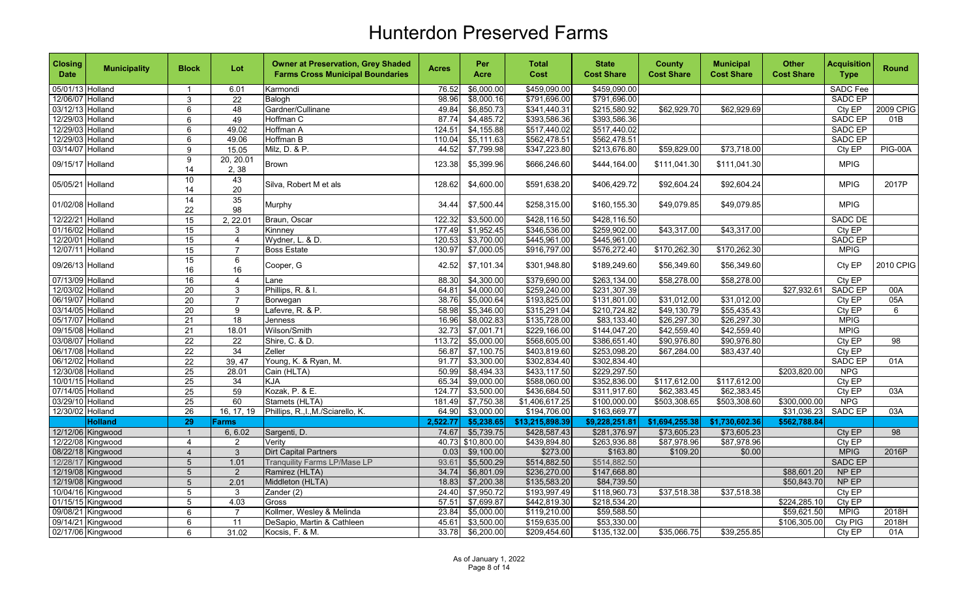| <b>Closing</b><br><b>Date</b> | <b>Municipality</b> | <b>Block</b>    | Lot               | <b>Owner at Preservation, Grey Shaded</b><br><b>Farms Cross Municipal Boundaries</b> | <b>Acres</b> | Per<br>Acre | <b>Total</b><br>Cost | <b>State</b><br><b>Cost Share</b> | <b>County</b><br><b>Cost Share</b> | <b>Municipal</b><br><b>Cost Share</b> | <b>Other</b><br><b>Cost Share</b> | <b>Acquisition</b><br><b>Type</b> | <b>Round</b>    |
|-------------------------------|---------------------|-----------------|-------------------|--------------------------------------------------------------------------------------|--------------|-------------|----------------------|-----------------------------------|------------------------------------|---------------------------------------|-----------------------------------|-----------------------------------|-----------------|
| 05/01/13 Holland              |                     | $\mathbf{1}$    | 6.01              | Karmondi                                                                             | 76.52        | \$6,000.00  | \$459.090.00         | \$459,090.00                      |                                    |                                       |                                   | <b>SADC Fee</b>                   |                 |
| 12/06/07 Holland              |                     | 3               | 22                | Balogh                                                                               | 98.96        | \$8,000.16  | \$791,696.00         | \$791,696.00                      |                                    |                                       |                                   | <b>SADC EP</b>                    |                 |
| 03/12/13 Holland              |                     | 6               | 48                | Gardner/Cullinane                                                                    | 49.84        | \$6,850.73  | \$341,440.31         | \$215,580.92                      | \$62,929.70                        | \$62,929.69                           |                                   | Cty EP                            | 2009 CPIG       |
| 12/29/03 Holland              |                     | 6               | 49                | Hoffman C                                                                            | 87.74        | \$4,485.72  | \$393,586.36         | \$393,586.36                      |                                    |                                       |                                   | <b>SADC EP</b>                    | 01B             |
| 12/29/03 Holland              |                     | 6               | 49.02             | Hoffman A                                                                            | 124.51       | \$4,155.88  | \$517,440.02         | \$517,440.02                      |                                    |                                       |                                   | <b>SADC EP</b>                    |                 |
| 12/29/03 Holland              |                     | 6               | 49.06             | <b>Hoffman B</b>                                                                     | 110.04       | \$5,111.63  | \$562,478.51         | \$562,478.51                      |                                    |                                       |                                   | SADC EP                           |                 |
| 03/14/07 Holland              |                     | 9               | 15.05             | Milz, D. & P.                                                                        | 44.52        | \$7,799.98  | \$347,223.80         | \$213,676.80                      | \$59,829.00                        | \$73,718.00                           |                                   | Cty EP                            | <b>PIG-00A</b>  |
| 09/15/17 Holland              |                     | 9<br>14         | 20, 20.01<br>2,38 | <b>Brown</b>                                                                         | 123.38       | \$5,399.96  | \$666,246.60         | \$444,164.00                      | \$111,041.30                       | \$111,041.30                          |                                   | <b>MPIG</b>                       |                 |
| 05/05/21 Holland              |                     | 10<br>14        | 43<br>20          | Silva. Robert M et als                                                               | 128.62       | \$4,600.00  | \$591,638.20         | \$406,429.72                      | \$92,604.24                        | \$92,604.24                           |                                   | <b>MPIG</b>                       | 2017P           |
| 01/02/08 Holland              |                     | 14<br>22        | 35<br>98          | Murphy                                                                               | 34.44        | \$7,500.44  | \$258,315.00         | \$160,155.30                      | \$49,079.85                        | \$49,079.85                           |                                   | <b>MPIG</b>                       |                 |
| 12/22/21 Holland              |                     | 15              | 2, 22.01          | Braun, Oscar                                                                         | 122.32       | \$3,500.00  | \$428,116.50         | \$428,116.50                      |                                    |                                       |                                   | <b>SADC DE</b>                    |                 |
| 01/16/02 Holland              |                     | 15              | 3                 | Kinnney                                                                              | 177.49       | \$1,952.45  | \$346,536.00         | \$259,902.00                      | \$43,317.00                        | \$43,317.00                           |                                   | Cty EP                            |                 |
| 12/20/01 Holland              |                     | 15              | $\overline{4}$    | Wydner, L. & D.                                                                      | 120.53       | \$3,700.00  | \$445,961.00         | \$445,961.00                      |                                    |                                       |                                   | <b>SADC EP</b>                    |                 |
| 12/07/11 Holland              |                     | $\overline{15}$ | $\overline{7}$    | <b>Boss Estate</b>                                                                   | 130.97       | \$7,000.05  | \$916,797.00         | \$576,272.40                      | \$170,262.30                       | \$170,262.30                          |                                   | <b>MPIG</b>                       |                 |
| 09/26/13 Holland              |                     | 15<br>16        | 6<br>16           | Cooper, G                                                                            | 42.52        | \$7,101.34  | \$301,948.80         | \$189,249.60                      | \$56,349.60                        | \$56,349.60                           |                                   | Cty EP                            | 2010 CPIG       |
| 07/13/09 Holland              |                     | 16              | $\overline{4}$    | Lane                                                                                 | 88.30        | \$4,300.00  | \$379,690.00         | \$263,134.00                      | \$58,278.00                        | \$58,278.00                           |                                   | Cty EP                            |                 |
| 12/03/02 Holland              |                     | $\overline{20}$ | 3                 | Phillips, R. & I.                                                                    | 64.81        | \$4,000.00  | \$259,240.00         | \$231,307.39                      |                                    |                                       | \$27,932.61                       | <b>SADC EP</b>                    | 00A             |
| 06/19/07 Holland              |                     | 20              | $\overline{7}$    | Borwegan                                                                             | 38.76        | \$5,000.64  | \$193,825.00         | \$131,801.00                      | \$31,012.00                        | \$31,012.00                           |                                   | Cty EP                            | 05A             |
| 03/14/05 Holland              |                     | $\overline{20}$ | 9                 | Lafevre, R. & P.                                                                     | 58.98        | \$5,346.00  | \$315,291.04         | \$210,724.82                      | \$49,130.79                        | \$55,435.43                           |                                   | Cty EP                            | 6               |
| 05/17/07 Holland              |                     | 21              | $\overline{18}$   | Jenness                                                                              | 16.96        | \$8,002.83  | \$135,728.00         | \$83,133.40                       | \$26,297.30                        | \$26,297.30                           |                                   | <b>MPIG</b>                       |                 |
| 09/15/08 Holland              |                     | $\overline{21}$ | 18.01             | Wilson/Smith                                                                         | 32.73        | \$7,001.71  | \$229,166.00         | \$144,047.20                      | \$42,559.40                        | \$42,559.40                           |                                   | <b>MPIG</b>                       |                 |
| 03/08/07 Holland              |                     | $\overline{22}$ | $\overline{22}$   | Shire, C. & D.                                                                       | 113.72       | \$5,000.00  | \$568,605.00         | \$386,651.40                      | \$90,976.80                        | \$90,976.80                           |                                   | Cty EP                            | $\overline{98}$ |
| 06/17/08 Holland              |                     | 22              | 34                | Zeller                                                                               | 56.87        | \$7,100.75  | \$403,819.60         | \$253,098.20                      | \$67,284.00                        | \$83,437.40                           |                                   | Cty EP                            |                 |
| 06/12/02 Holland              |                     | 22              | 39, 47            | Young, K. & Ryan, M.                                                                 | 91.77        | \$3,300.00  | \$302,834.40         | \$302,834.40                      |                                    |                                       |                                   | SADC EP                           | 01A             |
| 12/30/08 Holland              |                     | 25              | 28.01             | Cain (HLTA)                                                                          | 50.99        | \$8,494.33  | \$433,117.50         | \$229,297.50                      |                                    |                                       | \$203,820.00                      | <b>NPG</b>                        |                 |
| 10/01/15 Holland              |                     | 25              | 34                | <b>KJA</b>                                                                           | 65.34        | \$9,000.00  | \$588,060.00         | \$352,836.00                      | \$117,612.00                       | \$117,612.00                          |                                   | Cty EP                            |                 |
| 07/14/05 Holland              |                     | $\overline{25}$ | 59                | Kozak, P. & E.                                                                       | 124.77       | \$3,500.00  | \$436,684.50         | \$311,917.60                      | \$62,383.45                        | \$62,383.45                           |                                   | Cty EP                            | 03A             |
| 03/29/10 Holland              |                     | 25              | 60                | Stamets (HLTA)                                                                       | 181.49       | \$7,750.38  | \$1,406,617.25       | \$100,000.00                      | \$503,308.65                       | \$503,308.60                          | \$300,000.00                      | <b>NPG</b>                        |                 |
| 12/30/02 Holland              |                     | $\overline{26}$ | 16, 17, 19        | Phillips, R., I., M./Sciarello, K.                                                   | 64.90        | \$3,000.00  | \$194,706.00         | \$163,669.77                      |                                    |                                       | \$31,036.23                       | SADC EP                           | 03A             |
|                               | <b>Holland</b>      | $\overline{29}$ | Farms             |                                                                                      | 2,522.77     | \$5,238.65  | \$13,215,898.39      | \$9,228,251.81                    | \$1,694,255.38                     | \$1,730,602.36                        | \$562,788.84                      |                                   |                 |
|                               | 12/12/06 Kingwood   | $\overline{1}$  | 6, 6.02           | Sargenti, D.                                                                         | 74.67        | \$5,739.75  | \$428,587.43         | \$281,376.97                      | \$73,605.23                        | \$73,605.23                           |                                   | Cty EP                            | 98              |
|                               | 12/22/08 Kingwood   | $\overline{4}$  | $\overline{a}$    | Verity                                                                               | 40.73        | \$10,800.00 | \$439,894.80         | \$263,936.88                      | \$87,978.96                        | \$87,978.96                           |                                   | Cty EP                            |                 |
|                               | 08/22/18 Kingwood   | $\overline{4}$  | $\overline{3}$    | Dirt Capital Partners                                                                | 0.03         | \$9,100.00  | \$273.00             | \$163.80                          | \$109.20                           | \$0.00                                |                                   | <b>MPIG</b>                       | 2016P           |
|                               | 12/28/17 Kingwood   | 5               | 1.01              | <b>Tranquility Farms LP/Mase LP</b>                                                  | 93.61        | \$5,500.29  | \$514,882.50         | \$514,882.50                      |                                    |                                       |                                   | <b>SADC EP</b>                    |                 |
|                               | 12/19/08 Kingwood   | 5               | $\overline{2}$    | Ramirez (HLTA)                                                                       | 34.74        | \$6,801.09  | \$236,270.00         | \$147,668.80                      |                                    |                                       | \$88,601.20                       | NP EP                             |                 |
|                               | 12/19/08 Kingwood   | 5               | 2.01              | Middleton (HLTA)                                                                     | 18.83        | \$7,200.38  | \$135,583.20         | \$84,739.50                       |                                    |                                       | \$50,843.70                       | NP EP                             |                 |
|                               | 10/04/16 Kingwood   | $\sqrt{5}$      | $\mathbf{3}$      | Zander (2)                                                                           | 24.40        | \$7,950.72  | \$193,997.49         | \$118,960.73                      | \$37,518.38                        | \$37,518.38                           |                                   | Cty EP                            |                 |
|                               | 01/15/15 Kingwood   | $\overline{5}$  | 4.03              | Gross                                                                                | 57.51        | \$7,699.87  | \$442,819.30         | \$218,534.20                      |                                    |                                       | \$224,285.10                      | Cty EP                            |                 |
|                               | 09/08/21 Kingwood   | 6               | $\overline{7}$    | Kollmer, Wesley & Melinda                                                            | 23.84        | \$5,000.00  | \$119,210.00         | \$59,588.50                       |                                    |                                       | \$59,621.50                       | <b>MPIG</b>                       | 2018H           |
|                               | 09/14/21 Kingwood   | 6               | 11                | DeSapio, Martin & Cathleen                                                           | 45.61        | \$3,500.00  | \$159,635.00         | \$53,330.00                       |                                    |                                       | \$106,305.00                      | Cty PIG                           | 2018H           |
|                               | 02/17/06 Kingwood   | 6               | 31.02             | Kocsis, F. & M.                                                                      | 33.78        | \$6,200.00  | \$209,454.60         | \$135,132.00                      | \$35,066.75                        | \$39,255.85                           |                                   | Cty EP                            | 01A             |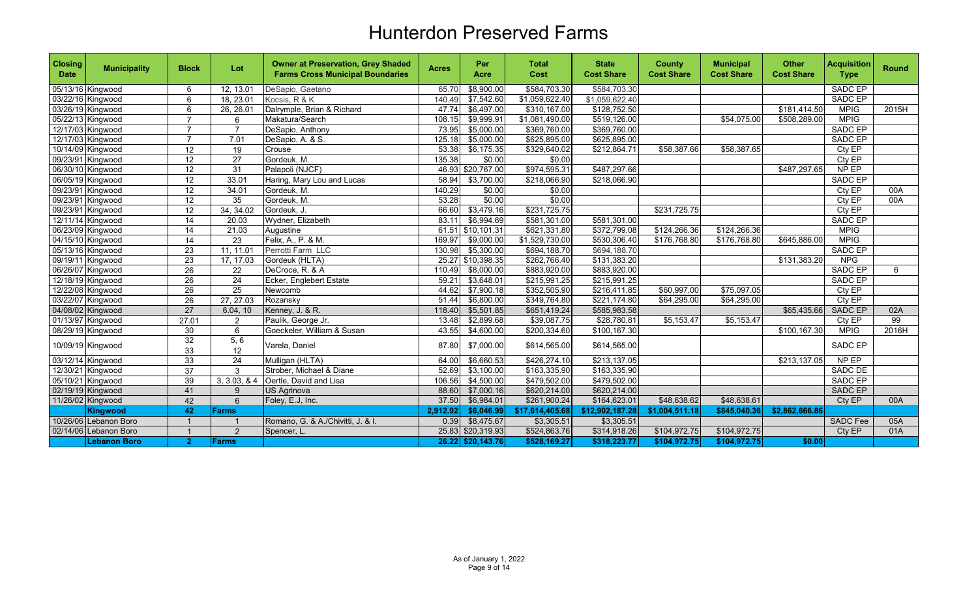| <b>Closing</b><br><b>Date</b> | <b>Municipality</b>   | <b>Block</b>    | Lot             | <b>Owner at Preservation, Grey Shaded</b><br><b>Farms Cross Municipal Boundaries</b> | <b>Acres</b> | Per<br>Acre       | <b>Total</b><br>Cost | <b>State</b><br><b>Cost Share</b> | <b>County</b><br><b>Cost Share</b> | <b>Municipal</b><br><b>Cost Share</b> | <b>Other</b><br><b>Cost Share</b> | <b>Acquisition</b><br><b>Type</b> | Round |
|-------------------------------|-----------------------|-----------------|-----------------|--------------------------------------------------------------------------------------|--------------|-------------------|----------------------|-----------------------------------|------------------------------------|---------------------------------------|-----------------------------------|-----------------------------------|-------|
|                               | 05/13/16 Kingwood     | 6               | 12, 13.01       | DeSapio, Gaetano                                                                     | 65.70        | \$8,900.00        | \$584,703.30         | \$584,703.30                      |                                    |                                       |                                   | SADC EP                           |       |
|                               | 03/22/16 Kingwood     | 6               | 18, 23.01       | Kocsis, R & K                                                                        | 140.49       | \$7,542.60        | \$1,059,622.40       | \$1,059,622.40                    |                                    |                                       |                                   | <b>SADC EP</b>                    |       |
|                               | 03/26/19 Kingwood     | 6               | 26, 26.01       | Dalrymple, Brian & Richard                                                           | 47.74        | \$6,497.00        | \$310,167.00         | \$128,752.50                      |                                    |                                       | \$181,414.50                      | <b>MPIG</b>                       | 2015H |
|                               | 05/22/13 Kingwood     | $\overline{7}$  | 6               | Makatura/Search                                                                      | 108.15       | \$9,999.91        | \$1,081,490.00       | \$519,126.00                      |                                    | \$54,075.00                           | \$508,289.00                      | <b>MPIG</b>                       |       |
|                               | 12/17/03 Kingwood     | $\overline{7}$  | $\overline{7}$  | DeSapio, Anthony                                                                     | 73.95        | \$5,000.00        | \$369,760.00         | \$369,760.00                      |                                    |                                       |                                   | <b>SADC EP</b>                    |       |
|                               | 12/17/03 Kingwood     | $\overline{7}$  | 7.01            | DeSapio, A. & S.                                                                     | 125.18       | \$5,000.00        | \$625,895.00         | \$625,895.00                      |                                    |                                       |                                   | <b>SADC EP</b>                    |       |
|                               | 10/14/09 Kingwood     | $\overline{12}$ | 19              | Crouse                                                                               | 53.38        | \$6,175.35        | \$329,640.02         | \$212,864.71                      | \$58,387.66                        | \$58,387.65                           |                                   | CtyEP                             |       |
|                               | 09/23/91 Kingwood     | $\overline{12}$ | $\overline{27}$ | Gordeuk, M.                                                                          | 135.38       | \$0.00            | \$0.00               |                                   |                                    |                                       |                                   | Cty $E\overline{P}$               |       |
|                               | 06/30/10 Kingwood     | 12              | 31              | Palapoli (NJCF)                                                                      | 46.93        | \$20,767.00       | \$974,595.31         | \$487,297.66                      |                                    |                                       | \$487,297.65                      | NP EP                             |       |
|                               | 06/05/19 Kingwood     | 12              | 33.01           | Haring, Mary Lou and Lucas                                                           | 58.94        | \$3,700.00        | \$218,066.90         | \$218,066.90                      |                                    |                                       |                                   | SADC EP                           |       |
|                               | 09/23/91 Kingwood     | 12              | 34.01           | Gordeuk, M.                                                                          | 140.29       | \$0.00            | \$0.00               |                                   |                                    |                                       |                                   | Cty EP                            | 00A   |
|                               | 09/23/91 Kingwood     | $\overline{12}$ | $\overline{35}$ | Gordeuk, M.                                                                          | 53.28        | \$0.00            | \$0.00               |                                   |                                    |                                       |                                   | CtyEP                             | 00A   |
|                               | 09/23/91 Kingwood     | 12              | 34, 34.02       | Gordeuk, J.                                                                          | 66.60        | \$3,479.16        | \$231,725.75         |                                   | \$231,725.75                       |                                       |                                   | Cty EP                            |       |
|                               | 12/11/14 Kingwood     | $\overline{14}$ | 20.03           | Wydner, Elizabeth                                                                    | 83.11        | \$6,994.69        | \$581,301.00         | \$581,301.00                      |                                    |                                       |                                   | <b>SADC EP</b>                    |       |
|                               | 06/23/09 Kingwood     | 14              | 21.03           | Augustine                                                                            | 61.51        | \$10,101.31       | \$621,331.80         | \$372,799.08                      | \$124,266.36                       | \$124,266.36                          |                                   | <b>MPIG</b>                       |       |
|                               | 04/15/10 Kingwood     | 14              | 23              | Felix, A., P. & M.                                                                   | 169.97       | \$9,000.00        | \$1,529,730.00       | \$530,306.40                      | \$176,768.80                       | \$176,768.80                          | \$645,886.00                      | <b>MPIG</b>                       |       |
|                               | 05/13/16 Kingwood     | $\overline{23}$ | 11, 11.01       | Perrotti Farm LLC                                                                    | 130.98       | \$5,300.00        | \$694,188.70         | \$694,188.70                      |                                    |                                       |                                   | <b>SADC EP</b>                    |       |
|                               | 09/19/11 Kingwood     | $\overline{23}$ | 17, 17.03       | Gordeuk (HLTA)                                                                       | 25.27        | \$10,398.35       | \$262,766.40         | \$131,383.20                      |                                    |                                       | \$131,383.20                      | <b>NPG</b>                        |       |
|                               | 06/26/07 Kingwood     | 26              | 22              | DeCroce, R. & A                                                                      | 110.49       | \$8,000.00        | \$883,920.00         | \$883,920.00                      |                                    |                                       |                                   | <b>SADC EP</b>                    | 6     |
|                               | 12/18/19 Kingwood     | 26              | 24              | Ecker, Englebert Estate                                                              | 59.21        | \$3,648.01        | \$215,991.25         | \$215,991.25                      |                                    |                                       |                                   | SADC EP                           |       |
|                               | 12/22/08 Kingwood     | 26              | 25              | Newcomb                                                                              | 44.62        | \$7,900.18        | \$352,505.90         | \$216,411.85                      | \$60,997.00                        | \$75,097.05                           |                                   | Cty EP                            |       |
|                               | 03/22/07 Kingwood     | $\overline{26}$ | 27, 27.03       | Rozansky                                                                             | 51.44        | \$6,800.00        | \$349,764.80         | \$221,174.80                      | $\overline{$64,295.00}$            | \$64,295.00                           |                                   | Cty $E\overline{P}$               |       |
|                               | 04/08/02 Kingwood     | $\overline{27}$ | 6.04, 10        | Kenney, J. & R.                                                                      | 118.40       | \$5,501.85        | \$651,419.24         | \$585,983.58                      |                                    |                                       | \$65,435.66                       | SADC EP                           | 02A   |
|                               | 01/13/97 Kingwood     | 27.01           | 2               | Paulik, George Jr.                                                                   | 13.48        | \$2,899.68        | \$39,087.75          | \$28,780.81                       | \$5,153.47                         | \$5,153.47                            |                                   | Cty EP                            | 99    |
|                               | 08/29/19 Kingwood     | 30              | 6               | Goeckeler, William & Susan                                                           | 43.55        | \$4,600.00        | \$200,334.60         | \$100, 167.30                     |                                    |                                       | \$100,167.30                      | <b>MPIG</b>                       | 2016H |
|                               | 10/09/19 Kingwood     | 32<br>33        | 5,6<br>12       | Varela, Daniel                                                                       | 87.80        | \$7,000.00        | \$614,565.00         | \$614,565.00                      |                                    |                                       |                                   | SADC EP                           |       |
|                               | 03/12/14 Kingwood     | 33              | 24              | Mulligan (HLTA)                                                                      | 64.00        | \$6,660.53        | \$426,274.10         | \$213,137.05                      |                                    |                                       | \$213,137.05                      | NP EP                             |       |
|                               | 12/30/21 Kingwood     | $\overline{37}$ | 3               | Strober, Michael & Diane                                                             | 52.69        | \$3,100.00        | \$163,335.90         | \$163,335.90                      |                                    |                                       |                                   | SADC DE                           |       |
|                               | 05/10/21 Kingwood     | 39              | 3, 3.03, 8.4    | Oertle, David and Lisa                                                               | 106.56       | \$4,500.00        | \$479,502.00         | \$479,502.00                      |                                    |                                       |                                   | <b>SADC EP</b>                    |       |
|                               | 02/19/19 Kingwood     | 41              | 9               | US Agrinova                                                                          | 88.60        | \$7,000.16        | \$620,214.00         | \$620,214.00                      |                                    |                                       |                                   | SADC EP                           |       |
|                               | 11/26/02 Kingwood     | 42              | 6               | Foley, E.J, Inc.                                                                     | 37.50        | \$6,984.01        | \$261,900.24         | \$164,623.01                      | \$48,638.62                        | \$48,638.61                           |                                   | Cty EP                            | 00A   |
|                               | Kingwood              | 42              | Farms           |                                                                                      | 2,912.92     | \$6,046.99        | \$17,614,405.68      | \$12,902,187.28                   | \$1,004,511.18                     | \$845,040.36                          | \$2,862,666.86                    |                                   |       |
|                               | 10/26/06 Lebanon Boro |                 |                 | Romano, G. & A./Chivitti, J. & I.                                                    | 0.39         | \$8,475.67        | \$3,305.51           | \$3,305.51                        |                                    |                                       |                                   | <b>SADC Fee</b>                   | 05A   |
|                               | 02/14/06 Lebanon Boro |                 | 2               | Spencer, L                                                                           |              | 25.83 \$20,319.93 | \$524,863.76         | \$314,918.26                      | \$104,972.75                       | \$104,972.75                          |                                   | Cty EP                            | 01A   |
|                               | <b>Lebanon Boro</b>   | 2 <sup>1</sup>  | Farms           |                                                                                      |              | 26.22 \$20,143.76 | \$528,169.27         | \$318,223.77                      | \$104,972.75                       | \$104,972.75                          | \$0.00                            |                                   |       |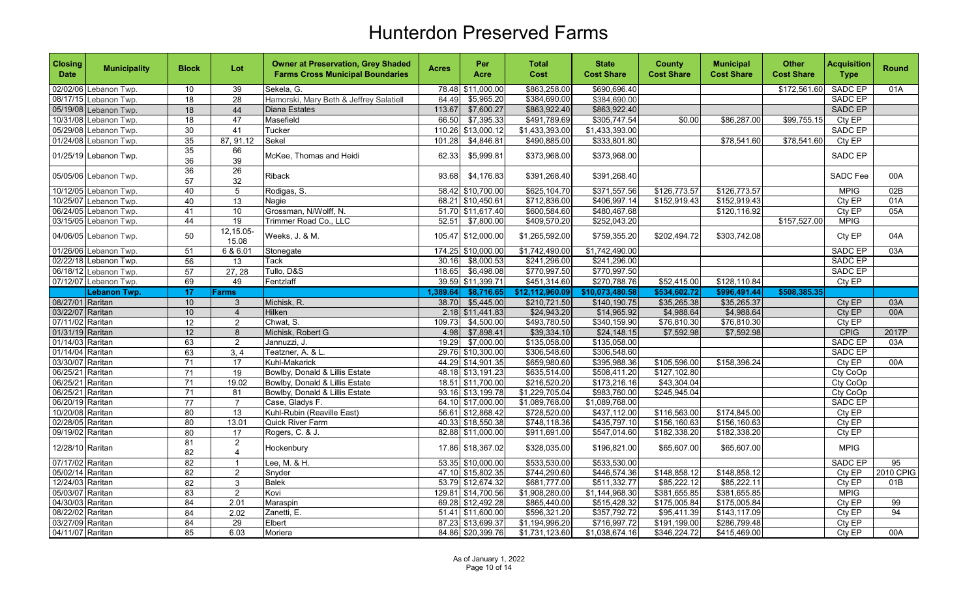| <b>Closing</b><br><b>Date</b> | <b>Municipality</b>   | <b>Block</b>          | Lot                              | <b>Owner at Preservation, Grey Shaded</b><br><b>Farms Cross Municipal Boundaries</b> | <b>Acres</b> | Per<br>Acre        | <b>Total</b><br>Cost | <b>State</b><br><b>Cost Share</b> | <b>County</b><br><b>Cost Share</b> | <b>Municipal</b><br><b>Cost Share</b> | <b>Other</b><br><b>Cost Share</b> | <b>Acquisition</b><br><b>Type</b> | <b>Round</b> |
|-------------------------------|-----------------------|-----------------------|----------------------------------|--------------------------------------------------------------------------------------|--------------|--------------------|----------------------|-----------------------------------|------------------------------------|---------------------------------------|-----------------------------------|-----------------------------------|--------------|
|                               | 02/02/06 Lebanon Twp. | 10                    | 39                               | Sekela, G.                                                                           | 78.48        | \$11,000.00        | \$863,258.00         | \$690,696.40                      |                                    |                                       | \$172,561.60                      | SADC EP                           | 01A          |
|                               | 08/17/15 Lebanon Twp. | $\overline{18}$       | $\overline{28}$                  | Hamorski, Mary Beth & Jeffrey Salatiell                                              | 64.49        | \$5,965.20         | \$384,690.00         | \$384,690.00                      |                                    |                                       |                                   | SADC EP                           |              |
|                               | 05/19/08 Lebanon Twp. | 18                    | 44                               | <b>Diana Estates</b>                                                                 | 113.67       | \$7,600.27         | \$863,922.40         | \$863,922.40                      |                                    |                                       |                                   | <b>SADC EP</b>                    |              |
|                               | 10/31/08 Lebanon Twp. | 18                    | 47                               | Masefield                                                                            | 66.50        | \$7,395.33         | \$491,789.69         | \$305,747.54                      | \$0.00                             | \$86,287.00                           | \$99,755.15                       | Cty EP                            |              |
|                               | 05/29/08 Lebanon Twp. | $\overline{30}$       | 41                               | Tucker                                                                               | 110.26       | \$13,000.12        | \$1,433,393.00       | \$1,433,393.00                    |                                    |                                       |                                   | SADC EP                           |              |
|                               | 01/24/08 Lebanon Twp. | 35                    | 87, 91.12                        | <b>Sekel</b>                                                                         | 101.28       | \$4,846.81         | \$490,885.00         | \$333,801.80                      |                                    | \$78,541.60                           | \$78,541.60                       | Cty EP                            |              |
|                               | 01/25/19 Lebanon Twp. | $\overline{35}$<br>36 | 66<br>39                         | McKee, Thomas and Heidi                                                              | 62.33        | \$5,999.81         | \$373,968.00         | \$373,968.00                      |                                    |                                       |                                   | SADC EP                           |              |
|                               | 05/05/06 Lebanon Twp. | $\overline{36}$<br>57 | $\overline{26}$<br>32            | <b>Riback</b>                                                                        | 93.68        | \$4,176.83         | \$391,268.40         | \$391,268.40                      |                                    |                                       |                                   | SADC Fee                          | 00A          |
|                               | 10/12/05 Lebanon Twp. | 40                    | $\overline{5}$                   | Rodigas, S.                                                                          |              | 58.42 \$10,700.00  | \$625,104.70         | \$371,557.56                      | \$126,773.57                       | \$126,773.57                          |                                   | <b>MPIG</b>                       | 02B          |
|                               | 10/25/07 Lebanon Twp. | 40                    | 13                               | Nagie                                                                                | 68.21        | \$10,450.61        | \$712,836.00         | \$406,997.14                      | \$152,919.43                       | \$152,919.43                          |                                   | Cty EP                            | 01A          |
|                               | 06/24/05 Lebanon Twp. | 41                    | 10                               | Grossman, N/Wolff, N.                                                                |              | 51.70 \$11,617.40  | \$600,584.60         | \$480,467.68                      |                                    | \$120,116.92                          |                                   | Cty EP                            | 05A          |
|                               | 03/15/05 Lebanon Twp. | 44                    | 19                               | Trimmer Road Co., LLC                                                                | 52.51        | \$7,800.00         | \$409,570.20         | \$252,043.20                      |                                    |                                       | \$157,527.00                      | <b>MPIG</b>                       |              |
|                               | 04/06/05 Lebanon Twp. | 50                    | 12,15.05-<br>15.08               | Weeks, J. & M.                                                                       |              | 105.47 \$12,000.00 | \$1,265,592.00       | \$759,355.20                      | \$202,494.72                       | \$303,742.08                          |                                   | Cty EP                            | 04A          |
|                               | 01/26/06 Lebanon Twp. | 51                    | 6 & 6.01                         | Stonegate                                                                            |              | 174.25 \$10,000.00 | \$1,742,490.00       | \$1,742,490.00                    |                                    |                                       |                                   | <b>SADC EP</b>                    | 03A          |
|                               | 02/22/18 Lebanon Twp. | 56                    | 13                               | <b>Tack</b>                                                                          | 30.16        | \$8,000.53         | \$241,296.00         | \$241,296.00                      |                                    |                                       |                                   | SADC EP                           |              |
|                               | 06/18/12 Lebanon Twp. | 57                    | 27, 28                           | Tullo, D&S                                                                           | 118.65       | \$6,498.08         | \$770,997.50         | \$770,997.50                      |                                    |                                       |                                   | SADC EP                           |              |
|                               | 07/12/07 Lebanon Twp. | 69                    | 49                               | Fentzlaff                                                                            | 39.59        | \$11,399.71        | \$451,314.60         | \$270,788.76                      | \$52,415.00                        | \$128,110.84                          |                                   | $City$ $EP$                       |              |
|                               | <b>Lebanon Twp.</b>   | 17                    | <b>Farms</b>                     |                                                                                      | 1,389.64     | \$8,716.65         | \$12,112,960.09      | \$10,073,480.58                   | \$534,602.72                       | \$996,491.44                          | \$508,385.35                      |                                   |              |
| 08/27/01 Raritan              |                       | 10                    | $\mathbf{3}$                     | Michisk, R.                                                                          | 38.70        | \$5,445.00         | \$210,721.50         | \$140,190.75                      | \$35,265.38                        | \$35,265.37                           |                                   | Cty EP                            | 03A          |
| 03/22/07 Raritan              |                       | 10                    | $\overline{4}$                   | Hilken                                                                               | 2.18         | \$11,441.83        | \$24,943.20          | \$14,965.92                       | \$4,988.64                         | \$4,988.64                            |                                   | Cty EP                            | 00A          |
| 07/11/02 Raritan              |                       | $\overline{12}$       | $\overline{2}$                   | Chwat, S.                                                                            | 109.73       | \$4,500.00         | \$493,780.50         | \$340,159.90                      | \$76,810.30                        | \$76,810.30                           |                                   | Cty EP                            |              |
| 01/31/19 Raritan              |                       | 12                    | $\overline{\mathbf{8}}$          | Michisk, Robert G                                                                    | 4.98         | \$7,898.41         | \$39,334.10          | \$24,148.15                       | \$7,592.98                         | \$7,592.98                            |                                   | <b>CPIG</b>                       | 2017P        |
| 01/14/03 Raritan              |                       | 63                    | $\overline{2}$                   | Jannuzzi, J.                                                                         | 19.29        | \$7,000.00         | \$135,058.00         | \$135,058.00                      |                                    |                                       |                                   | SADC EP                           | 03A          |
| 01/14/04 Raritan              |                       | 63                    | 3, 4                             | Teatzner, A. & L.                                                                    |              | 29.76 \$10,300.00  | \$306,548.60         | \$306,548.60                      |                                    |                                       |                                   | SADC EP                           |              |
| 03/30/07 Raritan              |                       | $\overline{71}$       | $\overline{17}$                  | Kuhl-Makarick                                                                        |              | 44.29 \$14,901.35  | \$659,980.60         | \$395,988.36                      | \$105,596.00                       | \$158,396.24                          |                                   | Cty EP                            | 00A          |
| 06/25/21 Raritan              |                       | $\overline{71}$       | 19                               | Bowlby, Donald & Lillis Estate                                                       |              | 48.18 \$13,191.23  | \$635,514.00         | \$508,411.20                      | \$127,102.80                       |                                       |                                   | Cty CoOp                          |              |
| 06/25/21 Raritan              |                       | $\overline{71}$       | 19.02                            | Bowlby, Donald & Lillis Estate                                                       |              | 18.51 \$11,700.00  | \$216,520.20         | \$173,216.16                      | \$43,304.04                        |                                       |                                   | Cty CoOp                          |              |
| 06/25/21 Raritan              |                       | 71                    | 81                               | Bowlby, Donald & Lillis Estate                                                       |              | 93.16 \$13,199.78  | \$1,229,705.04       | \$983,760.00                      | \$245,945.04                       |                                       |                                   | Cty CoOp                          |              |
| 06/20/19 Raritan              |                       | $\overline{77}$       | $\overline{7}$                   | Case, Gladys F.                                                                      |              | 64.10 \$17,000.00  | \$1,089,768.00       | \$1,089,768.00                    |                                    |                                       |                                   | <b>SADC EP</b>                    |              |
| 10/20/08 Raritan              |                       | $\overline{80}$       | 13                               | Kuhl-Rubin (Reaville East)                                                           |              | 56.61 \$12,868.42  | \$728,520.00         | \$437,112.00                      | \$116,563.00                       | \$174,845.00                          |                                   | Cty EP                            |              |
| 02/28/05 Raritan              |                       | 80                    | 13.01                            | Quick River Farm                                                                     |              | 40.33 \$18,550.38  | \$748,118.36         | \$435,797.10                      | \$156,160.63                       | \$156,160.63                          |                                   | CtyEP                             |              |
| 09/19/02 Raritan              |                       | 80                    | 17                               | Rogers, C. & J.                                                                      |              | 82.88 \$11,000.00  | \$911,691.00         | \$547,014.60                      | \$182,338.20                       | \$182,338.20                          |                                   | Cty EP                            |              |
| 12/28/10 Raritan              |                       | 81<br>82              | $\overline{2}$<br>$\overline{4}$ | Hockenbury                                                                           |              | 17.86 \$18,367.02  | \$328,035.00         | \$196,821.00                      | \$65,607.00                        | \$65,607.00                           |                                   | <b>MPIG</b>                       |              |
| 07/17/02 Raritan              |                       | 82                    | $\mathbf{1}$                     | Lee, M. & H.                                                                         |              | 53.35 \$10,000.00  | \$533,530.00         | \$533,530.00                      |                                    |                                       |                                   | SADC EP                           | 95           |
| 05/02/14 Raritan              |                       | 82                    | $\overline{2}$                   | Snyder                                                                               |              | 47.10 \$15,802.35  | \$744,290.60         | \$446,574.36                      | \$148,858.12                       | \$148,858.12                          |                                   | Cty EP                            | 2010 CPIG    |
| 12/24/03 Raritan              |                       | $\overline{82}$       | 3                                | <b>Balek</b>                                                                         |              | 53.79 \$12,674.32  | \$681,777.00         | \$511,332.77                      | \$85,222.12                        | \$85,222.11                           |                                   | Cty EP                            | 01B          |
| 05/03/07 Raritan              |                       | 83                    | $\overline{2}$                   | Kovi                                                                                 |              | 129.81 \$14,700.56 | \$1,908,280.00       | \$1,144,968.30                    | \$381,655.85                       | \$381,655.85                          |                                   | <b>MPIG</b>                       |              |
| 04/30/03 Raritan              |                       | 84                    | 2.01                             | Maraspin                                                                             |              | 69.28 \$12,492.28  | \$865,440.00         | \$515,428.32                      | \$175,005.84                       | \$175,005.84                          |                                   | Cty EP                            | 99           |
| 08/22/02 Raritan              |                       | $\overline{84}$       | 2.02                             | Zanetti, E.                                                                          |              | 51.41 \$11,600.00  | \$596,321.20         | \$357,792.72                      | \$95,411.39                        | \$143,117.09                          |                                   | Cty EP                            | 94           |
| 03/27/09 Raritan              |                       | 84                    | 29                               | Elbert                                                                               |              | 87.23 \$13,699.37  | \$1,194,996.20       | \$716,997.72                      | \$191,199.00                       | \$286,799.48                          |                                   | Cty EP                            |              |
| 04/11/07 Raritan              |                       | 85                    | 6.03                             | Moriera                                                                              |              | 84.86 \$20,399.76  | \$1,731,123.60       | \$1,038,674.16                    | \$346,224.72                       | \$415,469.00                          |                                   | Cty EP                            | 00A          |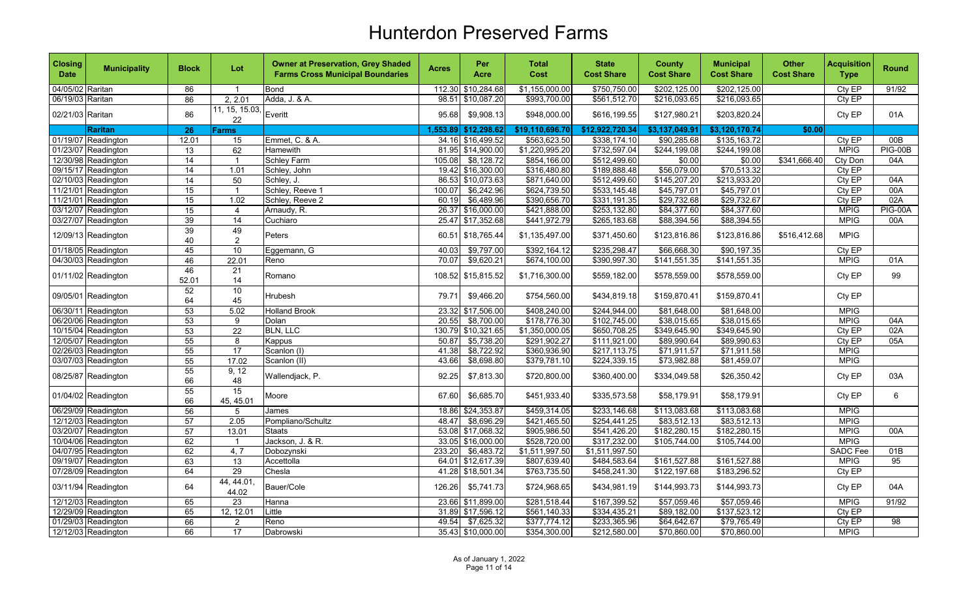| <b>Closing</b><br><b>Date</b> | <b>Municipality</b> | <b>Block</b>    | Lot                   | <b>Owner at Preservation, Grey Shaded</b><br><b>Farms Cross Municipal Boundaries</b> | <b>Acres</b> | Per<br>Acre       | <b>Total</b><br>Cost | <b>State</b><br><b>Cost Share</b> | <b>County</b><br><b>Cost Share</b> | <b>Municipal</b><br><b>Cost Share</b> | <b>Other</b><br><b>Cost Share</b> | <b>Acquisition</b><br><b>Type</b> | <b>Round</b>   |
|-------------------------------|---------------------|-----------------|-----------------------|--------------------------------------------------------------------------------------|--------------|-------------------|----------------------|-----------------------------------|------------------------------------|---------------------------------------|-----------------------------------|-----------------------------------|----------------|
| 04/05/02 Raritan              |                     | 86              | $\overline{1}$        | <b>Bond</b>                                                                          | 112.30       | \$10,284.68       | \$1,155,000.00       | \$750,750.00                      | \$202,125.00                       | \$202,125.00                          |                                   | Cty EP                            | 91/92          |
| 06/19/03 Raritan              |                     | 86              | 2, 2.01               | Adda, J. & A.                                                                        | 98.51        | \$10,087.20       | \$993,700.00         | \$561,512.70                      | \$216,093.65                       | \$216,093.65                          |                                   | Cty EP                            |                |
| 02/21/03 Raritan              |                     | 86              | 11, 15, 15.03,<br>22  | Everitt                                                                              | 95.68        | \$9,908.13        | \$948,000.00         | \$616,199.55                      | \$127,980.21                       | \$203,820.24                          |                                   | Cty EP                            | 01A            |
|                               | <b>Raritan</b>      | 26              | <b>Farms</b>          |                                                                                      | 1,553.89     | \$12,298.62       | \$19,110,696.70      | \$12,922,720.34                   | \$3,137,049.91                     | \$3,120,170.74                        | \$0.00                            |                                   |                |
|                               | 01/19/07 Readington | 12.01           | 15                    | Emmet, C. & A.                                                                       | 34.16        | \$16,499.52       | \$563,623.50         | \$338,174.10                      | \$90,285.68                        | \$135,163.72                          |                                   | Cty EP                            | 00B            |
|                               | 01/23/07 Readington | 13              | 62                    | <b>Hamewith</b>                                                                      |              | 81.95 \$14,900.00 | \$1,220,995.20       | \$732,597.04                      | \$244,199.08                       | \$244,199.08                          |                                   | <b>MPIG</b>                       | <b>PIG-00B</b> |
|                               | 12/30/98 Readington | 14              | $\overline{1}$        | Schley Farm                                                                          | 105.08       | \$8,128.72        | \$854,166.00         | \$512,499.60                      | \$0.00                             | \$0.00                                | \$341,666.40                      | Cty Don                           | 04A            |
|                               | 09/15/17 Readington | 14              | 1.01                  | Schley, John                                                                         |              | 19.42 \$16,300.00 | \$316,480.80         | \$189,888.48                      | \$56,079.00                        | \$70,513.32                           |                                   | Cty EP                            |                |
|                               | 02/10/03 Readington | 14              | 50                    | Schlev. J.                                                                           | 86.53        | \$10,073.63       | \$871,640.00         | \$512,499.60                      | \$145,207.20                       | \$213,933.20                          |                                   | Cty EP                            | 04A            |
|                               | 11/21/01 Readington | 15              | $\overline{1}$        | Schley, Reeve 1                                                                      | 100.07       | \$6,242.96        | \$624,739.50         | \$533,145.48                      | \$45,797.01                        | \$45,797.01                           |                                   | Cty EP                            | 00A            |
|                               | 11/21/01 Readington | 15              | 1.02                  | Schley, Reeve 2                                                                      | 60.19        | \$6,489.96        | \$390,656.70         | \$331,191.35                      | \$29,732.68                        | \$29,732.67                           |                                   | CtyEP                             | 02A            |
|                               | 03/12/07 Readington | 15              | $\overline{4}$        | Arnaudy, R.                                                                          | 26.37        | \$16,000.00       | \$421,888.00         | \$253,132.80                      | \$84,377.60                        | \$84,377.60                           |                                   | <b>MPIG</b>                       | <b>PIG-00A</b> |
|                               | 03/27/07 Readington | 39              | $\overline{14}$       | Cuchiaro                                                                             | 25.47        | \$17,352.68       | \$441,972.79         | \$265,183.68                      | \$88,394.56                        | \$88,394.55                           |                                   | <b>MPIG</b>                       | 00A            |
|                               | 12/09/13 Readington | 39<br>40        | 49<br>$\sqrt{2}$      | Peters                                                                               | 60.51        | \$18,765.44       | \$1,135,497.00       | \$371,450.60                      | \$123,816.86                       | \$123,816.86                          | \$516.412.68                      | <b>MPIG</b>                       |                |
|                               | 01/18/05 Readington | 45              | 10                    | Eggemann, G                                                                          | 40.03        | \$9,797.00        | \$392,164.12         | \$235,298.47                      | \$66,668.30                        | \$90,197.35                           |                                   | Cty EP                            |                |
|                               | 04/30/03 Readington | 46              | 22.01                 | Reno                                                                                 | 70.07        | \$9,620.21        | \$674,100.00         | \$390,997.30                      | \$141,551.35                       | \$141,551.35                          |                                   | <b>MPIG</b>                       | 01A            |
|                               | 01/11/02 Readington | 46<br>52.01     | $\overline{21}$<br>14 | Romano                                                                               | 108.52       | \$15,815.52       | \$1,716,300.00       | \$559,182.00                      | \$578,559.00                       | \$578,559.00                          |                                   | Cty EP                            | 99             |
|                               | 09/05/01 Readington | 52<br>64        | 10<br>45              | Hrubesh                                                                              | 79.71        | \$9,466.20        | \$754,560.00         | \$434,819.18                      | \$159,870.41                       | \$159,870.41                          |                                   | Cty EP                            |                |
|                               | 06/30/11 Readington | 53              | 5.02                  | <b>Holland Brook</b>                                                                 | 23.32        | \$17,506.00       | \$408,240.00         | \$244,944.00                      | \$81,648.00                        | \$81,648.00                           |                                   | <b>MPIG</b>                       |                |
|                               | 06/20/06 Readington | 53              | 9                     | Dolan                                                                                | 20.55        | \$8,700.00        | \$178,776.30         | \$102,745.00                      | \$38,015.65                        | \$38,015.65                           |                                   | <b>MPIG</b>                       | 04A            |
|                               | 10/15/04 Readington | 53              | $\overline{22}$       | <b>BLN, LLC</b>                                                                      | 130.79       | \$10,321.65       | \$1,350,000.05       | \$650,708.25                      | \$349,645.90                       | \$349,645.90                          |                                   | Cty EP                            | 02A            |
|                               | 12/05/07 Readington | 55              | 8                     | Kappus                                                                               | 50.87        | \$5,738.20        | \$291,902.27         | \$111,921.00                      | \$89,990.64                        | \$89,990.63                           |                                   | Cty EP                            | 05A            |
|                               | 02/26/03 Readington | 55              | $\overline{17}$       | Scanlon (I)                                                                          | 41.38        | \$8,722.92        | \$360,936.90         | \$217,113.75                      | \$71,911.57                        | \$71,911.58                           |                                   | <b>MPIG</b>                       |                |
|                               | 03/07/03 Readington | 55              | 17.02                 | Scanlon (II)                                                                         | 43.66        | \$8,698.80        | \$379,781.10         | \$224,339.15                      | \$73,982.88                        | \$81,459.07                           |                                   | <b>MPIG</b>                       |                |
|                               | 08/25/87 Readington | 55<br>66        | 9, 12<br>48           | Wallendjack, P.                                                                      | 92.25        | \$7,813.30        | \$720,800.00         | \$360,400.00                      | \$334,049.58                       | \$26,350.42                           |                                   | Cty EP                            | 03A            |
|                               | 01/04/02 Readington | 55<br>66        | 15<br>45, 45.01       | Moore                                                                                | 67.60        | \$6,685.70        | \$451,933.40         | \$335,573.58                      | \$58,179.91                        | \$58,179.91                           |                                   | Cty EP                            | 6              |
|                               | 06/29/09 Readington | 56              | 5                     | James                                                                                |              | 18.86 \$24,353.87 | \$459,314.05         | \$233,146.68                      | \$113,083.68                       | \$113,083.68                          |                                   | <b>MPIG</b>                       |                |
|                               | 12/12/03 Readington | 57              | 2.05                  | Pompliano/Schultz                                                                    | 48.47        | \$8,696.29        | \$421,465.50         | \$254,441.25                      | \$83,512.13                        | \$83,512.13                           |                                   | <b>MPIG</b>                       |                |
|                               | 03/20/07 Readington | $\overline{57}$ | 13.01                 | <b>Staats</b>                                                                        | 53.08        | \$17,068.32       | \$905,986.50         | \$541,426.20                      | \$182,280.15                       | \$182,280.15                          |                                   | <b>MPIG</b>                       | 00A            |
|                               | 10/04/06 Readington | 62              | $\overline{1}$        | Jackson, J. & R.                                                                     | 33.05        | \$16,000.00       | \$528,720.00         | \$317,232.00                      | \$105,744.00                       | \$105,744.00                          |                                   | <b>MPIG</b>                       |                |
|                               | 04/07/95 Readington | 62              | 4, 7                  | Dobozynski                                                                           | 233.20       | \$6,483.72        | \$1,511,997.50       | \$1,511,997.50                    |                                    |                                       |                                   | <b>SADC</b> Fee                   | 01B            |
|                               | 09/19/07 Readington | 63              | $\overline{13}$       | Accettolla                                                                           | 64.01        | \$12,617.39       | \$807,639.40         | \$484,583.64                      | \$161,527.88                       | \$161,527.88                          |                                   | <b>MPIG</b>                       | 95             |
|                               | 07/28/09 Readington | 64              | 29                    | Chesla                                                                               |              | 41.28 \$18,501.34 | \$763,735.50         | \$458,241.30                      | \$122,197.68                       | \$183,296.52                          |                                   | Cty EP                            |                |
|                               | 03/11/94 Readington | 64              | 44, 44.01<br>44.02    | Bauer/Cole                                                                           | 126.26       | \$5,741.73        | \$724,968.65         | \$434,981.19                      | \$144,993.73                       | \$144,993.73                          |                                   | Cty EP                            | 04A            |
|                               | 12/12/03 Readington | 65              | 23                    | Hanna                                                                                |              | 23.66 \$11,899.00 | \$281,518.44         | \$167,399.52                      | \$57,059.46                        | \$57,059.46                           |                                   | <b>MPIG</b>                       | 91/92          |
|                               | 12/29/09 Readington | 65              | 12, 12.01             | Little                                                                               | 31.89        | \$17.596.12       | \$561,140.33         | \$334,435.21                      | \$89,182.00                        | \$137,523.12                          |                                   | Cty EP                            |                |
|                               | 01/29/03 Readington | 66              | $\overline{2}$        | Reno                                                                                 | 49.54        | \$7,625.32        | \$377,774.12         | \$233,365.96                      | \$64,642.67                        | \$79,765.49                           |                                   | Cty EP                            | 98             |
|                               | 12/12/03 Readington | 66              | 17                    | Dabrowski                                                                            |              | 35.43 \$10,000.00 | \$354,300.00         | \$212,580.00                      | \$70,860.00                        | \$70,860.00                           |                                   | <b>MPIG</b>                       |                |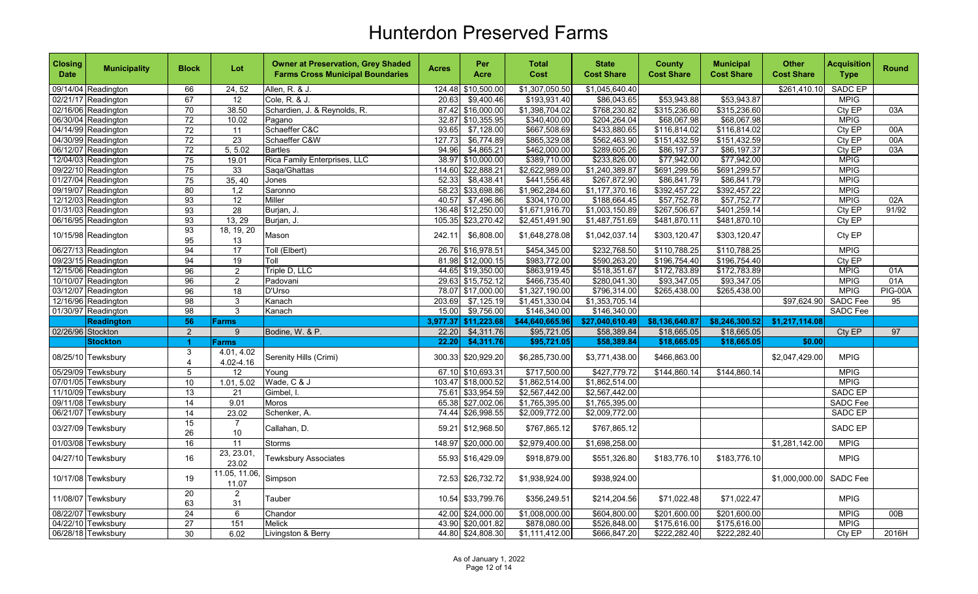| <b>Closing</b><br><b>Date</b> | <b>Municipality</b> | <b>Block</b>        | Lot                     | <b>Owner at Preservation, Grey Shaded</b><br><b>Farms Cross Municipal Boundaries</b> | <b>Acres</b> | Per<br>Acre          | <b>Total</b><br>Cost | <b>State</b><br><b>Cost Share</b> | <b>County</b><br><b>Cost Share</b> | <b>Municipal</b><br><b>Cost Share</b> | <b>Other</b><br><b>Cost Share</b> | <b>Acquisition</b><br><b>Type</b> | <b>Round</b>   |
|-------------------------------|---------------------|---------------------|-------------------------|--------------------------------------------------------------------------------------|--------------|----------------------|----------------------|-----------------------------------|------------------------------------|---------------------------------------|-----------------------------------|-----------------------------------|----------------|
|                               | 09/14/04 Readington | 66                  | 24, 52                  | Allen, R. & J.                                                                       | 124.48       | \$10,500.00          | \$1,307,050.50       | \$1,045,640.40                    |                                    |                                       | \$261,410.10                      | <b>SADC EP</b>                    |                |
|                               | 02/21/17 Readington | 67                  | 12                      | Cole, R. & J.                                                                        | 20.63        | \$9,400.46           | \$193,931.40         | \$86,043.65                       | \$53,943.88                        | \$53,943.87                           |                                   | <b>MPIG</b>                       |                |
|                               | 02/16/06 Readington | 70                  | 38.50                   | Schardien, J. & Reynolds, R.                                                         |              | 87.42 \$16,000.00    | \$1,398,704.02       | \$768,230.82                      | \$315,236.60                       | \$315,236.60                          |                                   | Cty EP                            | 03A            |
|                               | 06/30/04 Readington | 72                  | 10.02                   | Pagano                                                                               |              | 32.87 \$10,355.95    | \$340,400.00         | \$204,264.04                      | \$68,067.98                        | \$68,067.98                           |                                   | <b>MPIG</b>                       |                |
|                               | 04/14/99 Readington | 72                  | 11                      | Schaeffer C&C                                                                        | 93.65        | \$7,128.00           | \$667,508.69         | \$433,880.65                      | \$116,814.02                       | \$116,814.02                          |                                   | Cty EP                            | 00A            |
|                               | 04/30/99 Readington | 72                  | 23                      | Schaeffer C&W                                                                        | 127.73       | \$6,774.89           | \$865,329.08         | \$562,463.90                      | \$151,432.59                       | \$151,432.59                          |                                   | Cty EP                            | 00A            |
|                               | 06/12/07 Readington | $\overline{72}$     | 5, 5.02                 | <b>Bartles</b>                                                                       | 94.96        | \$4,865.21           | \$462,000.00         | \$289,605.26                      | \$86,197.37                        | \$86,197.37                           |                                   | Cty EP                            | 03A            |
|                               | 12/04/03 Readington | 75                  | 19.01                   | Rica Family Enterprises, LLC                                                         |              | 38.97 \$10,000.00    | \$389,710.00         | \$233,826.00                      | \$77,942.00                        | \$77,942.00                           |                                   | <b>MPIG</b>                       |                |
|                               | 09/22/10 Readington | 75                  | 33                      | Saqa/Ghattas                                                                         | 114.60       | \$22,888.21          | \$2,622,989.00       | \$1,240,389.87                    | \$691,299.56                       | \$691,299.57                          |                                   | <b>MPIG</b>                       |                |
|                               | 01/27/04 Readington | 75                  | 35, 40                  | Jones                                                                                | 52.33        | \$8,438.41           | \$441,556.48         | \$267,872.90                      | \$86,841.79                        | \$86,841.79                           |                                   | <b>MPIG</b>                       |                |
|                               | 09/19/07 Readington | 80                  | 1,2                     | Saronno                                                                              |              | 58.23 \$33,698.86    | \$1,962,284.60       | \$1,177,370.16                    | \$392,457.22                       | \$392,457.22                          |                                   | <b>MPIG</b>                       |                |
|                               | 12/12/03 Readington | 93                  | $\overline{12}$         | Miller                                                                               | 40.57        | \$7,496.86           | \$304,170.00         | \$188,664.45                      | \$57,752.78                        | \$57,752.77                           |                                   | <b>MPIG</b>                       | 02A            |
|                               | 01/31/03 Readington | 93                  | 28                      | Burjan, J.                                                                           | 136.48       | \$12,250.00          | \$1,671,916.70       | \$1,003,150.89                    | \$267,506.67                       | \$401,259.14                          |                                   | Cty EP                            | 91/92          |
|                               | 06/16/95 Readington | 93                  | 13, 29                  | Burjan, J.                                                                           | 105.35       | \$23,270.42          | \$2,451,491.90       | \$1,487,751.69                    | \$481,870.11                       | \$481,870.10                          |                                   | Cty EP                            |                |
|                               | 10/15/98 Readington | 93<br>95            | 18, 19, 20<br>13        | Mason                                                                                | 242.11       | \$6,808.00           | \$1,648,278.08       | \$1,042,037.14                    | \$303,120.47                       | \$303,120.47                          |                                   | Cty EP                            |                |
|                               | 06/27/13 Readington | 94                  | 17                      | Toll (Elbert)                                                                        |              | 26.76 \$16,978.51    | \$454,345.00         | \$232,768.50                      | \$110,788.25                       | \$110,788.25                          |                                   | <b>MPIG</b>                       |                |
|                               | 09/23/15 Readington | 94                  | $\overline{19}$         | Toll                                                                                 |              | 81.98 \$12,000.15    | \$983,772.00         | \$590,263.20                      | \$196,754.40                       | \$196,754.40                          |                                   | Cty EP                            |                |
|                               | 12/15/06 Readington | 96                  | $\overline{2}$          | Triple D, LLC                                                                        |              | 44.65 \$19,350.00    | \$863,919.45         | \$518,351.67                      | \$172,783.89                       | \$172,783.89                          |                                   | <b>MPIG</b>                       | 01A            |
|                               | 10/10/07 Readington | 96                  | $\overline{2}$          | Padovani                                                                             |              | 29.63 \$15,752.12    | \$466,735.40         | \$280,041.30                      | \$93,347.05                        | \$93,347.05                           |                                   | <b>MPIG</b>                       | 01A            |
|                               | 03/12/07 Readington | 96                  | 18                      | D'Urso                                                                               |              | 78.07 \$17,000.00    | \$1,327,190.00       | \$796,314.00                      | \$265,438.00                       | \$265,438.00                          |                                   | <b>MPIG</b>                       | <b>PIG-00A</b> |
|                               | 12/16/96 Readington | $\overline{98}$     | 3                       | Kanach                                                                               | 203.69       | \$7,125.19           | \$1,451,330.04       | \$1,353,705.14                    |                                    |                                       | \$97,624.90                       | <b>SADC Fee</b>                   | 95             |
|                               | 01/30/97 Readington | $\overline{98}$     | $\mathbf{3}$            | Kanach                                                                               | 15.00        | \$9,756.00           | \$146,340.00         | \$146,340.00                      |                                    |                                       |                                   | <b>SADC Fee</b>                   |                |
|                               | <b>Readington</b>   | 56                  | <b>Farms</b>            |                                                                                      |              | 3,977.37 \$11,223.68 | \$44,640,665.96      | \$27,040,610.49                   | \$8,136,640.87                     | \$8,246,300.52                        | \$1,217,114.08                    |                                   |                |
| 02/26/96 Stockton             |                     | 2                   | 9                       | Bodine, W. & P.                                                                      | 22.20        | \$4,311.76           | \$95,721.05          | \$58,389.84                       | \$18,665.05                        | \$18,665.05                           |                                   | Cty EP                            | 97             |
|                               | <b>Stockton</b>     |                     | Farms                   |                                                                                      | 22.20        | \$4,311.76           | \$95,721.05          | \$58,389.84                       | \$18,665.05                        | \$18,665.05                           | \$0.00                            |                                   |                |
|                               | 08/25/10 Tewksbury  | $\overline{3}$<br>4 | 4.01, 4.02<br>4.02-4.16 | Serenity Hills (Crimi)                                                               | 300.33       | \$20,929.20          | \$6,285,730.00       | \$3,771,438.00                    | \$466,863.00                       |                                       | \$2,047,429.00                    | <b>MPIG</b>                       |                |
|                               | 05/29/09 Tewksbury  | 5                   | 12                      | Young                                                                                |              | 67.10 \$10,693.31    | \$717,500.00         | \$427,779.72                      | \$144,860.14                       | \$144,860.14                          |                                   | <b>MPIG</b>                       |                |
|                               | 07/01/05 Tewksbury  | 10                  | 1.01, 5.02              | Wade, C & J                                                                          |              | 103.47 \$18,000.52   | \$1,862,514.00       | \$1,862,514.00                    |                                    |                                       |                                   | <b>MPIG</b>                       |                |
|                               | 11/10/09 Tewksbury  | 13                  | 21                      | Gimbel, I.                                                                           |              | 75.61 \$33,954.59    | \$2,567,442.00       | \$2,567,442.00                    |                                    |                                       |                                   | SADC EP                           |                |
|                               | 09/11/08 Tewksbury  | $\overline{14}$     | 9.01                    | Moros                                                                                |              | 65.38 \$27,002.06    | \$1,765,395.00       | \$1,765,395.00                    |                                    |                                       |                                   | SADC Fee                          |                |
|                               | 06/21/07 Tewksbury  | 14                  | 23.02                   | Schenker, A.                                                                         |              | 74.44 \$26,998.55    | \$2,009,772.00       | \$2,009,772.00                    |                                    |                                       |                                   | SADC EP                           |                |
|                               | 03/27/09 Tewksbury  | 15<br>26            | $\overline{7}$<br>10    | Callahan, D.                                                                         | 59.21        | \$12,968.50          | \$767,865.12         | \$767,865.12                      |                                    |                                       |                                   | SADC EP                           |                |
|                               | 01/03/08 Tewksbury  | 16                  | $\overline{11}$         | <b>Storms</b>                                                                        | 148.97       | \$20,000.00          | \$2,979,400.00       | \$1,698,258.00                    |                                    |                                       | \$1,281,142.00                    | <b>MPIG</b>                       |                |
|                               | 04/27/10 Tewksbury  | 16                  | 23, 23.01,<br>23.02     | <b>Tewksbury Associates</b>                                                          |              | 55.93 \$16,429.09    | \$918,879.00         | \$551,326.80                      | \$183,776.10                       | \$183,776.10                          |                                   | <b>MPIG</b>                       |                |
|                               | 10/17/08 Tewksbury  | 19                  | 11.05, 11.06,<br>11.07  | Simpson                                                                              |              | 72.53 \$26,732.72    | \$1,938,924.00       | \$938,924.00                      |                                    |                                       | \$1,000,000.00                    | SADC Fee                          |                |
|                               | 11/08/07 Tewksbury  | 20<br>63            | $\overline{2}$<br>31    | Tauber                                                                               |              | 10.54 \$33,799.76    | \$356,249.51         | \$214,204.56                      | \$71,022.48                        | \$71,022.47                           |                                   | <b>MPIG</b>                       |                |
|                               | 08/22/07 Tewksbury  | 24                  | 6                       | Chandor                                                                              | 42.00        | \$24,000.00          | \$1,008,000.00       | \$604,800.00                      | \$201,600.00                       | \$201,600.00                          |                                   | <b>MPIG</b>                       | 00B            |
|                               | 04/22/10 Tewksbury  | $\overline{27}$     | 151                     | <b>Melick</b>                                                                        |              | 43.90 \$20,001.82    | \$878,080.00         | \$526,848.00                      | $\overline{$175,616.00}$           | \$175,616.00                          |                                   | <b>MPIG</b>                       |                |
|                               | 06/28/18 Tewksbury  | 30                  | 6.02                    | Livingston & Berry                                                                   |              | 44.80 \$24,808.30    | \$1,111,412.00       | \$666,847.20                      | \$222,282.40                       | \$222,282.40                          |                                   | Cty EP                            | 2016H          |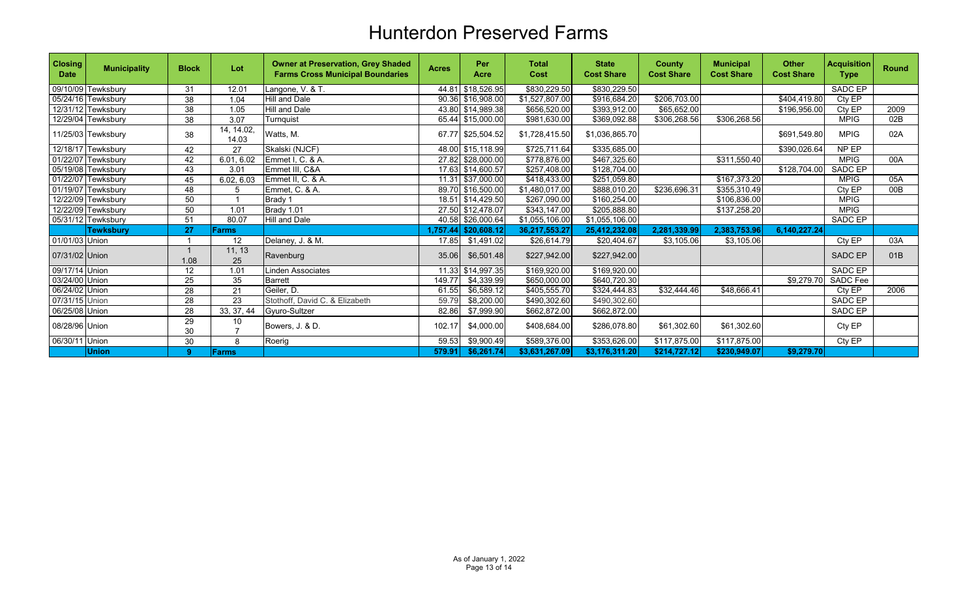| <b>Closing</b><br><b>Date</b> | <b>Municipality</b> | <b>Block</b> | Lot                 | <b>Owner at Preservation, Grey Shaded</b><br><b>Farms Cross Municipal Boundaries</b> | <b>Acres</b> | Per<br>Acre       | <b>Total</b><br>Cost | <b>State</b><br><b>Cost Share</b> | <b>County</b><br><b>Cost Share</b> | <b>Municipal</b><br><b>Cost Share</b> | <b>Other</b><br><b>Cost Share</b> | <b>Acquisition</b><br><b>Type</b> | <b>Round</b> |
|-------------------------------|---------------------|--------------|---------------------|--------------------------------------------------------------------------------------|--------------|-------------------|----------------------|-----------------------------------|------------------------------------|---------------------------------------|-----------------------------------|-----------------------------------|--------------|
|                               | 09/10/09 Tewksbury  | 31           | 12.01               | Langone, V. & T.                                                                     | 44.81        | \$18.526.95       | \$830,229.50         | \$830,229.50                      |                                    |                                       |                                   | SADC EP                           |              |
|                               | 05/24/16 Tewksbury  | 38           | 1.04                | <b>Hill and Dale</b>                                                                 |              | 90.36 \$16,908.00 | \$1,527,807.00       | \$916,684.20                      | \$206,703.00                       |                                       | \$404.419.80                      | Cty EP                            |              |
|                               | 12/31/12 Tewksbury  | 38           | 1.05                | <b>Hill and Dale</b>                                                                 |              | 43.80 \$14,989.38 | \$656,520.00         | \$393,912.00                      | \$65,652.00                        |                                       | \$196,956.00                      | Ctv EP                            | 2009         |
|                               | 12/29/04 Tewksbury  | 38           | 3.07                | Turnquist                                                                            | 65.44        | \$15,000.00       | \$981,630.00         | \$369,092.88                      | \$306,268.56                       | \$306,268.56                          |                                   | <b>MPIG</b>                       | 02B          |
|                               | 11/25/03 Tewksbury  | 38           | 14, 14.02,<br>14.03 | Watts, M.                                                                            |              | 67.77 \$25,504.52 | \$1,728,415.50       | \$1,036,865.70                    |                                    |                                       | \$691,549.80                      | <b>MPIG</b>                       | 02A          |
|                               | 12/18/17 Tewksbury  | 42           | 27                  | Skalski (NJCF)                                                                       |              | 48.00 \$15,118.99 | \$725,711.64         | \$335,685.00                      |                                    |                                       | \$390,026.64                      | NP EP                             |              |
|                               | 01/22/07 Tewksbury  | 42           | 6.01, 6.02          | Emmet I, C. & A.                                                                     |              | 27.82 \$28,000.00 | \$778,876.00         | \$467,325.60                      |                                    | \$311,550.40                          |                                   | <b>MPIG</b>                       | 00A          |
|                               | 05/19/08 Tewksbury  | 43           | 3.01                | Emmet III, C&A                                                                       |              | 17.63 \$14,600.57 | \$257,408.00         | \$128,704.00                      |                                    |                                       | \$128,704.00                      | SADC EP                           |              |
|                               | 01/22/07 Tewksbury  | 45           | 6.02, 6.03          | Emmet II, C. & A.                                                                    |              | 11.31 \$37,000.00 | \$418,433.00         | \$251,059.80                      |                                    | \$167,373.20                          |                                   | <b>MPIG</b>                       | 05A          |
|                               | 01/19/07 Tewksbury  | 48           | 5                   | Emmet, C. & A.                                                                       |              | 89.70 \$16,500.00 | \$1,480,017.00       | \$888,010.20                      | \$236,696.31                       | \$355,310.49                          |                                   | Cty EP                            | 00B          |
|                               | 12/22/09 Tewksbury  | 50           |                     | Brady 1                                                                              |              | 18.51 \$14,429.50 | \$267,090.00         | \$160,254.00                      |                                    | \$106,836.00                          |                                   | <b>MPIG</b>                       |              |
|                               | 12/22/09 Tewksbury  | 50           | 1.01                | Brady 1.01                                                                           |              | 27.50 \$12,478.07 | \$343,147.00         | \$205,888.80                      |                                    | \$137,258.20                          |                                   | <b>MPIG</b>                       |              |
|                               | 05/31/12 Tewksbury  | 51           | 80.07               | Hill and Dale                                                                        |              | 40.58 \$26,000.64 | \$1,055,106.00       | \$1,055,106.00                    |                                    |                                       |                                   | SADC EP                           |              |
|                               | <b>Tewksburv</b>    | 27           | Farms               |                                                                                      | 1.757.44     | \$20,608.12       | 36,217,553.27        | 25.412.232.08                     | 2.281.339.99                       | 2.383.753.96                          | 6.140.227.24                      |                                   |              |
| 01/01/03 Union                |                     |              | 12                  | Delaney, J. & M.                                                                     | 17.85        | \$1,491.02        | \$26,614.79          | \$20,404.67                       | \$3,105.06                         | \$3,105.06                            |                                   | Cty EP                            | 03A          |
| 07/31/02 Union                |                     | 1.08         | 11, 13<br>25        | Ravenburg                                                                            | 35.06        | \$6,501.48        | \$227,942.00         | \$227,942.00                      |                                    |                                       |                                   | <b>SADC EP</b>                    | 01B          |
| 09/17/14 Union                |                     | 12           | 1.01                | <b>Linden Associates</b>                                                             |              | 11.33 \$14,997.35 | \$169,920.00         | \$169,920.00                      |                                    |                                       |                                   | SADC EP                           |              |
| 03/24/00 Union                |                     | 25           | 35                  | <b>Barrett</b>                                                                       | 149.77       | \$4,339.99        | \$650,000.00         | \$640,720.30                      |                                    |                                       | \$9,279.70                        | SADC Fee                          |              |
| 06/24/02 Union                |                     | 28           | 21                  | Geiler, D.                                                                           | 61.55        | \$6,589.12        | \$405,555.70         | \$324,444.83                      | \$32,444.46                        | \$48,666.41                           |                                   | Cty EP                            | 2006         |
| 07/31/15 Union                |                     | 28           | 23                  | Stothoff, David C. & Elizabeth                                                       | 59.79        | \$8,200.00        | \$490,302.60         | \$490,302.60                      |                                    |                                       |                                   | SADC EP                           |              |
| 06/25/08 Union                |                     | 28           | 33, 37, 44          | Gyuro-Sultzer                                                                        | 82.86        | \$7,999.90        | \$662,872.00         | \$662,872.00                      |                                    |                                       |                                   | SADC EP                           |              |
| 08/28/96 Union                |                     | 29<br>30     | 10                  | Bowers, J. & D.                                                                      | 102.17       | \$4,000.00        | \$408,684.00         | \$286,078.80                      | \$61,302.60                        | \$61,302.60                           |                                   | Cty EP                            |              |
| 06/30/11 Union                |                     | 30           | 8                   | Roerig                                                                               | 59.53        | \$9,900.49        | \$589,376.00         | \$353,626.00                      | \$117,875.00                       | \$117,875.00                          |                                   | Cty EP                            |              |
|                               | <b>Union</b>        | 9            | Farms               |                                                                                      | 579.91       | \$6,261.74        | \$3,631,267.09       | \$3,176,311.20                    | \$214,727.12                       | \$230,949.07                          | \$9,279.70                        |                                   |              |